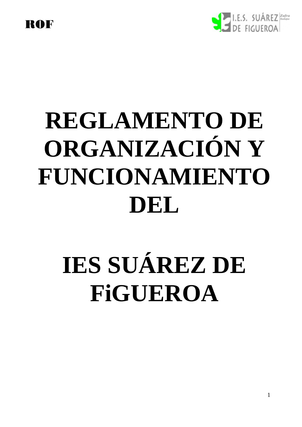

# **REGLAMENTO DE ORGANIZACIÓN Y FUNCIONAMIENTO DEL**

# **IES SUÁREZ DE FiGUEROA**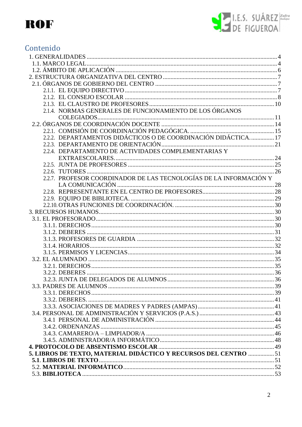

# Contenido

| 2.1.4. NORMAS GENERALES DE FUNCIONAMIENTO DE LOS ÓRGANOS           |  |
|--------------------------------------------------------------------|--|
|                                                                    |  |
|                                                                    |  |
|                                                                    |  |
| 2.2.2. DEPARTAMENTOS DIDÁCTICOS O DE COORDINACIÓN DIDÁCTICA 17     |  |
|                                                                    |  |
| 2.2.4. DEPARTAMENTO DE ACTIVIDADES COMPLEMENTARIAS Y               |  |
|                                                                    |  |
|                                                                    |  |
|                                                                    |  |
|                                                                    |  |
| 2.2.7. PROFESOR COORDINADOR DE LAS TECNOLOGÍAS DE LA INFORMACIÓN Y |  |
|                                                                    |  |
|                                                                    |  |
|                                                                    |  |
|                                                                    |  |
|                                                                    |  |
|                                                                    |  |
|                                                                    |  |
|                                                                    |  |
|                                                                    |  |
|                                                                    |  |
|                                                                    |  |
|                                                                    |  |
|                                                                    |  |
|                                                                    |  |
|                                                                    |  |
|                                                                    |  |
|                                                                    |  |
|                                                                    |  |
|                                                                    |  |
|                                                                    |  |
|                                                                    |  |
|                                                                    |  |
|                                                                    |  |
|                                                                    |  |
|                                                                    |  |
| 5. LIBROS DE TEXTO, MATERIAL DIDÁCTICO Y RECURSOS DEL CENTRO  51   |  |
|                                                                    |  |
|                                                                    |  |
|                                                                    |  |
|                                                                    |  |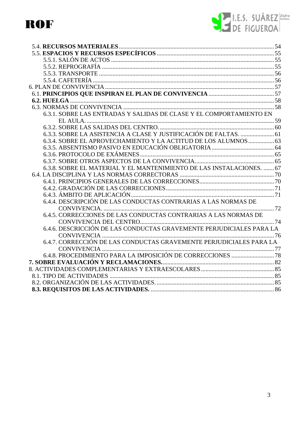

| 6.3.1. SOBRE LAS ENTRADAS Y SALIDAS DE CLASE Y EL COMPORTAMIENTO EN   |  |
|-----------------------------------------------------------------------|--|
|                                                                       |  |
|                                                                       |  |
|                                                                       |  |
| 6.3.4. SOBRE EL APROVECHAMIENTO Y LA ACTITUD DE LOS ALUMNOS  63       |  |
|                                                                       |  |
|                                                                       |  |
|                                                                       |  |
| 6.3.8. SOBRE EL MATERIAL Y EL MANTENIMIENTO DE LAS INSTALACIONES.  67 |  |
|                                                                       |  |
|                                                                       |  |
|                                                                       |  |
|                                                                       |  |
| 6.4.4. DESCRIPCIÓN DE LAS CONDUCTAS CONTRARIAS A LAS NORMAS DE        |  |
|                                                                       |  |
| 6.4.5. CORRECCIONES DE LAS CONDUCTAS CONTRARIAS A LAS NORMAS DE       |  |
|                                                                       |  |
| 6.4.6. DESCRICCIÓN DE LAS CONDUCTAS GRAVEMENTE PERJUDICIALES PARA LA  |  |
|                                                                       |  |
| 6.4.7. CORRECCIÓN DE LAS CONDUCTAS GRAVEMENTE PERJUDICIALES PARA LA   |  |
|                                                                       |  |
|                                                                       |  |
|                                                                       |  |
|                                                                       |  |
|                                                                       |  |
|                                                                       |  |
|                                                                       |  |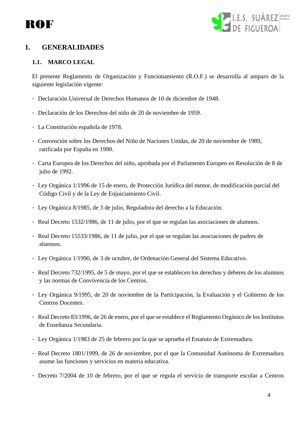



# <span id="page-3-0"></span>**1. GENERALIDADES**

### <span id="page-3-1"></span>**1.1. MARCO LEGAL**

El presente Reglamento de Organización y Funcionamiento (R.O.F.) se desarrolla al amparo de la siguiente legislación vigente:

- Declaración Universal de Derechos Humanos de 10 de diciembre de 1948.
- Declaración de los Derechos del niño de 20 de noviembre de 1959.
- La Constitución española de 1978.
- Convención sobre los Derechos del Niño de Naciones Unidas, de 20 de noviembre de 1989, ratificada por España en 1990.
- Carta Europea de los Derechos del niño, aprobada por el Parlamento Europeo en Resolución de 8 de julio de 1992.
- Ley Orgánica 1/1996 de 15 de enero, de Protección Jurídica del menor, de modificación parcial del Código Civil y de la Ley de Enjuiciamiento Civil.
- Ley Orgánica 8/1985, de 3 de julio, Reguladora del derecho a la Educación.
- Real Decreto 1532/1986, de 11 de julio, por el que se regulan las asociaciones de alumnos.
- Real Decreto 15533/1986, de 11 de julio, por el que se regulan las asociaciones de padres de alumnos.
- Ley Orgánica 1/1990, de 3 de octubre, de Ordenación General del Sistema Educativo.
- Real Decreto 732/1995, de 5 de mayo, por el que se establecen los derechos y deberes de los alumnos y las normas de Convivencia de los Centros.
- Ley Orgánica 9/1995, de 20 de noviembre de la Participación, la Evaluación y el Gobierno de los Centros Docentes.
- Real Decreto 83/1996, de 26 de enero, por el que se establece el Reglamento Orgánico de los Institutos de Enseñanza Secundaria.
- Ley Orgánica 1/1983 de 25 de febrero por la que se aprueba el Estatuto de Extremadura.
- Real Decreto 1801/1999, de 26 de noviembre, por el que la Comunidad Autónoma de Extremadura asume las funciones y servicios en materia educativa.
- Decreto 7/2004 de 10 de febrero, por el que se regula el servicio de transporte escolar a Centros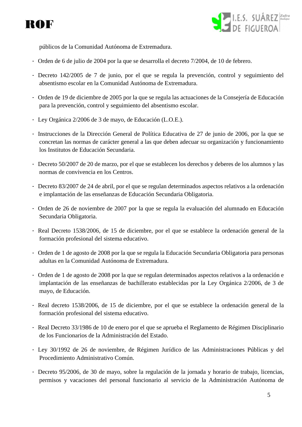



públicos de la Comunidad Autónoma de Extremadura.

- Orden de 6 de julio de 2004 por la que se desarrolla el decreto 7/2004, de 10 de febrero.
- Decreto 142/2005 de 7 de junio, por el que se regula la prevención, control y seguimiento del absentismo escolar en la Comunidad Autónoma de Extremadura.
- Orden de 19 de diciembre de 2005 por la que se regula las actuaciones de la Consejería de Educación para la prevención, control y seguimiento del absentismo escolar.
- Ley Orgánica 2/2006 de 3 de mayo, de Educación (L.O.E.).
- Instrucciones de la Dirección General de Política Educativa de 27 de junio de 2006, por la que se concretan las normas de carácter general a las que deben adecuar su organización y funcionamiento los Institutos de Educación Secundaria.
- Decreto 50/2007 de 20 de marzo, por el que se establecen los derechos y deberes de los alumnos y las normas de convivencia en los Centros.
- Decreto 83/2007 de 24 de abril, por el que se regulan determinados aspectos relativos a la ordenación e implantación de las enseñanzas de Educación Secundaria Obligatoria.
- Orden de 26 de noviembre de 2007 por la que se regula la evaluación del alumnado en Educación Secundaria Obligatoria.
- Real Decreto 1538/2006, de 15 de diciembre, por el que se establece la ordenación general de la formación profesional del sistema educativo.
- Orden de 1 de agosto de 2008 por la que se regula la Educación Secundaria Obligatoria para personas adultas en la Comunidad Autónoma de Extremadura.
- Orden de 1 de agosto de 2008 por la que se regulan determinados aspectos relativos a la ordenación e implantación de las enseñanzas de bachillerato establecidas por la Ley Orgánica 2/2006, de 3 de mayo, de Educación.
- Real decreto 1538/2006, de 15 de diciembre, por el que se establece la ordenación general de la formación profesional del sistema educativo.
- Real Decreto 33/1986 de 10 de enero por el que se aprueba el Reglamento de Régimen Disciplinario de los Funcionarios de la Administración del Estado.
- Ley 30/1992 de 26 de noviembre, de Régimen Jurídico de las Administraciones Públicas y del Procedimiento Administrativo Común.
- Decreto 95/2006, de 30 de mayo, sobre la regulación de la jornada y horario de trabajo, licencias, permisos y vacaciones del personal funcionario al servicio de la Administración Autónoma de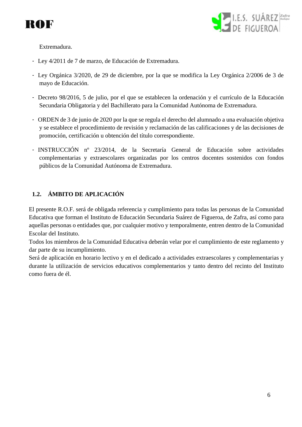



Extremadura.

- Ley 4/2011 de 7 de marzo, de Educación de Extremadura.
- Ley Orgánica 3/2020, de 29 de diciembre, por la que se modifica la Ley Orgánica 2/2006 de 3 de mayo de Educación.
- Decreto 98/2016, 5 de julio, por el que se establecen la ordenación y el currículo de la Educación Secundaria Obligatoria y del Bachillerato para la Comunidad Autónoma de Extremadura.
- ORDEN de 3 de junio de 2020 por la que se regula el derecho del alumnado a una evaluación objetiva y se establece el procedimiento de revisión y reclamación de las calificaciones y de las decisiones de promoción, certificación u obtención del título correspondiente.
- INSTRUCCIÓN nº 23/2014, de la Secretaría General de Educación sobre actividades complementarias y extraescolares organizadas por los centros docentes sostenidos con fondos públicos de la Comunidad Autónoma de Extremadura.

## <span id="page-5-0"></span>**1.2. ÁMBITO DE APLICACIÓN**

El presente R.O.F. será de obligada referencia y cumplimiento para todas las personas de la Comunidad Educativa que forman el Instituto de Educación Secundaria Suárez de Figueroa, de Zafra, así como para aquellas personas o entidades que, por cualquier motivo y temporalmente, entren dentro de la Comunidad Escolar del Instituto.

Todos los miembros de la Comunidad Educativa deberán velar por el cumplimiento de este reglamento y dar parte de su incumplimiento.

Será de aplicación en horario lectivo y en el dedicado a actividades extraescolares y complementarias y durante la utilización de servicios educativos complementarios y tanto dentro del recinto del Instituto como fuera de él.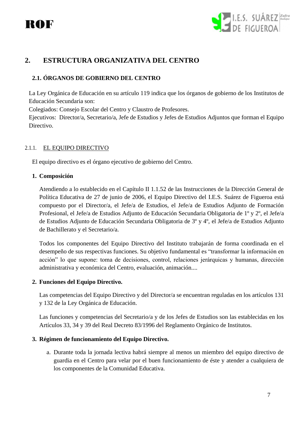



# <span id="page-6-1"></span><span id="page-6-0"></span>**2. ESTRUCTURA ORGANIZATIVA DEL CENTRO**

#### **2.1. ÓRGANOS DE GOBIERNO DEL CENTRO**

La Ley Orgánica de Educación en su artículo 119 indica que los órganos de gobierno de los Institutos de Educación Secundaria son:

Colegiados: Consejo Escolar del Centro y Claustro de Profesores.

Ejecutivos: Director/a, Secretario/a, Jefe de Estudios y Jefes de Estudios Adjuntos que forman el Equipo Directivo.

#### <span id="page-6-2"></span>2.1.1. EL EQUIPO DIRECTIVO

El equipo directivo es el órgano ejecutivo de gobierno del Centro.

#### **1. Composición**

Atendiendo a lo establecido en el Capítulo II 1.1.52 de las Instrucciones de la Dirección General de Política Educativa de 27 de junio de 2006, el Equipo Directivo del I.E.S. Suárez de Figueroa está compuesto por el Director/a, el Jefe/a de Estudios, el Jefe/a de Estudios Adjunto de Formación Profesional, el Jefe/a de Estudios Adjunto de Educación Secundaria Obligatoria de 1º y 2º, el Jefe/a de Estudios Adjunto de Educación Secundaria Obligatoria de 3º y 4º, el Jefe/a de Estudios Adjunto de Bachillerato y el Secretario/a.

Todos los componentes del Equipo Directivo del Instituto trabajarán de forma coordinada en el desempeño de sus respectivas funciones. Su objetivo fundamental es "transformar la información en acción" lo que supone: toma de decisiones, control, relaciones jerárquicas y humanas, dirección administrativa y económica del Centro, evaluación, animación....

#### **2. Funciones del Equipo Directivo.**

Las competencias del Equipo Directivo y del Director/a se encuentran reguladas en los artículos 131 y 132 de la Ley Orgánica de Educación.

Las funciones y competencias del Secretario/a y de los Jefes de Estudios son las establecidas en los Artículos 33, 34 y 39 del Real Decreto 83/1996 del Reglamento Orgánico de Institutos.

#### **3. Régimen de funcionamiento del Equipo Directivo.**

a. Durante toda la jornada lectiva habrá siempre al menos un miembro del equipo directivo de guardia en el Centro para velar por el buen funcionamiento de éste y atender a cualquiera de los componentes de la Comunidad Educativa.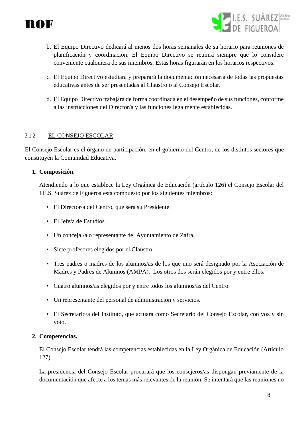



- b. El Equipo Directivo dedicará al menos dos horas semanales de su horario para reuniones de planificación y coordinación. El Equipo Directivo se reunirá siempre que lo considere conveniente cualquiera de sus miembros. Estas horas figurarán en los horarios respectivos.
- c. El Equipo Directivo estudiará y preparará la documentación necesaria de todas las propuestas educativas antes de ser presentadas al Claustro o al Consejo Escolar.
- d. El Equipo Directivo trabajará de forma coordinada en el desempeño de sus funciones, conforme a las instrucciones del Director/a y las funciones legalmente establecidas.

#### <span id="page-7-0"></span>2.1.2. EL CONSEJO ESCOLAR

El Consejo Escolar es el órgano de participación, en el gobierno del Centro, de los distintos sectores que constituyen la Comunidad Educativa.

#### **1. Composición.**

Atendiendo a lo que establece la Ley Orgánica de Educación (artículo 126) el Consejo Escolar del I.E.S. Suárez de Figueroa está compuesto por los siguientes miembros:

- El Director/a del Centro, que será su Presidente.
- El Jefe/a de Estudios.
- Un concejal/a o representante del Ayuntamiento de Zafra.
- Siete profesores elegidos por el Claustro
- Tres padres o madres de los alumnos/as de los que uno será designado por la Asociación de Madres y Padres de Alumnos (AMPA). Los otros dos serán elegidos por y entre ellos.
- Cuatro alumnos/as elegidos por y entre todos los alumnos/as del Centro.
- Un representante del personal de administración y servicios.
- El Secretario/a del Instituto, que actuará como Secretario del Consejo Escolar, con voz y sin voto.

#### **2. Competencias.**

El Consejo Escolar tendrá las competencias establecidas en la Ley Orgánica de Educación (Artículo 127).

La presidencia del Consejo Escolar procurará que los consejeros/as dispongan previamente de la documentación que afecte a los temas más relevantes de la reunión. Se intentará que las reuniones no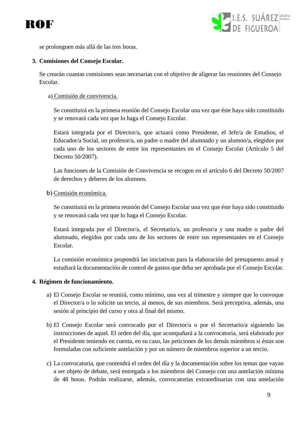



se prolonguen más allá de las tres horas.

#### **3. Comisiones del Consejo Escolar.**

Se crearán cuantas comisiones sean necesarias con el objetivo de aligerar las reuniones del Consejo Escolar.

#### a) Comisión de convivencia.

Se constituirá en la primera reunión del Consejo Escolar una vez que éste haya sido constituido y se renovará cada vez que lo haga el Consejo Escolar.

Estará integrada por el Director/a, que actuará como Presidente, el Jefe/a de Estudios, el Educador/a Social, un profesor/a, un padre o madre del alumnado y un alumno/a, elegidos por cada uno de los sectores de entre los representantes en el Consejo Escolar (Artículo 5 del Decreto 50/2007).

Las funciones de la Comisión de Convivencia se recogen en el artículo 6 del Decreto 50/2007 de derechos y deberes de los alumnos.

#### b) Comisión económica.

Se constituirá en la primera reunión del Consejo Escolar una vez que éste haya sido constituido y se renovará cada vez que lo haga el Consejo Escolar.

Estará integrada por el Director/a, el Secretario/a, un profesor/a y una madre o padre del alumnado, elegidos por cada uno de los sectores de entre sus representantes en el Consejo Escolar.

La comisión económica propondrá las iniciativas para la elaboración del presupuesto anual y estudiará la documentación de control de gastos que deba ser aprobada por el Consejo Escolar.

#### **4. Régimen de funcionamiento.**

- a) El Consejo Escolar se reunirá, como mínimo, una vez al trimestre y siempre que lo convoque el Director/a o lo solicite un tercio, al menos, de sus miembros. Será preceptiva, además, una sesión al principio del curso y otra al final del mismo.
- b) El Consejo Escolar será convocado por el Director/a o por el Secretario/a siguiendo las instrucciones de aquel. El orden del día, que acompañará a la convocatoria, será elaborado por el Presidente teniendo en cuenta, en su caso, las peticiones de los demás miembros si éstas son formuladas con suficiente antelación y por un número de miembros superior a un tercio.
- c) La convocatoria, que contendrá el orden del día y la documentación sobre los temas que vayan a ser objeto de debate, será entregada a los miembros del Consejo con una antelación mínima de 48 horas. Podrán realizarse, además, convocatorias extraordinarias con una antelación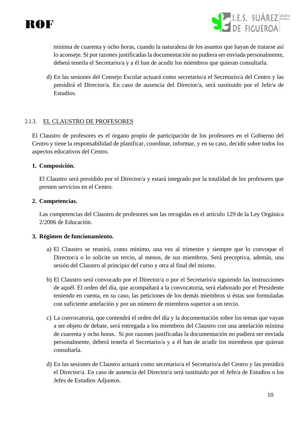



mínima de cuarenta y ocho horas, cuando la naturaleza de los asuntos que hayan de tratarse así lo aconseje. Si por razones justificadas la documentación no pudiera ser enviada personalmente, deberá tenerla el Secretario/a y a él han de acudir los miembros que quieran consultarla.

d) En las sesiones del Consejo Escolar actuará como secretario/a el Secretario/a del Centro y las presidirá el Director/a. En caso de ausencia del Director/a, será sustituido por el Jefe/a de Estudios.

#### <span id="page-9-0"></span>2.1.3. EL CLAUSTRO DE PROFESORES

El Claustro de profesores es el órgano propio de participación de los profesores en el Gobierno del Centro y tiene la responsabilidad de planificar, coordinar, informar, y en su caso, decidir sobre todos los aspectos educativos del Centro.

#### **1. Composición.**

El Claustro será presidido por el Director/a y estará integrado por la totalidad de los profesores que presten servicios en el Centro.

#### **2. Competencias.**

Las competencias del Claustro de profesores son las recogidas en el artículo 129 de la Ley Orgánica 2/2006 de Educación.

#### **3. Régimen de funcionamiento.**

- a) El Claustro se reunirá, como mínimo, una vez al trimestre y siempre que lo convoque el Director/a o lo solicite un tercio, al menos, de sus miembros. Será preceptiva, además, una sesión del Claustro al principio del curso y otra al final del mismo.
- b) El Claustro será convocado por el Director/a o por el Secretario/a siguiendo las instrucciones de aquél. El orden del día, que acompañará a la convocatoria, será elaborado por el Presidente teniendo en cuenta, en su caso, las peticiones de los demás miembros si éstas son formuladas con suficiente antelación y por un número de miembros superior a un tercio.
- c) La convocatoria, que contendrá el orden del día y la documentación sobre los temas que vayan a ser objeto de debate, será entregada a los miembros del Claustro con una antelación mínima de cuarenta y ocho horas. Si por razones justificadas la documentación no pudiera ser enviada personalmente, deberá tenerla el Secretario/a y a él han de acudir los miembros que quieran consultarla.
- d) En las sesiones de Claustro actuará como secretario/a el Secretario/a del Centro y las presidirá el Director/a. En caso de ausencia del Director/a será sustituido por el Jefe/a de Estudios o los Jefes de Estudios Adjuntos.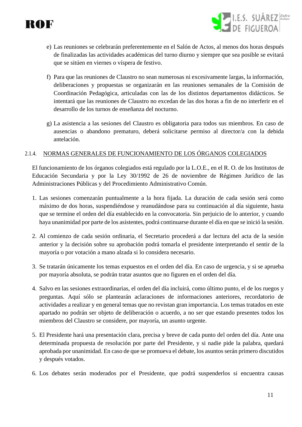- I.E.S. SUÁREZ Zafra
- e) Las reuniones se celebrarán preferentemente en el Salón de Actos, al menos dos horas después de finalizadas las actividades académicas del turno diurno y siempre que sea posible se evitará que se sitúen en viernes o víspera de festivo.
- f) Para que las reuniones de Claustro no sean numerosas ni excesivamente largas, la información, deliberaciones y propuestas se organizarán en las reuniones semanales de la Comisión de Coordinación Pedagógica, articuladas con las de los distintos departamentos didácticos. Se intentará que las reuniones de Claustro no excedan de las dos horas a fin de no interferir en el desarrollo de los turnos de enseñanza del nocturno.
- g) La asistencia a las sesiones del Claustro es obligatoria para todos sus miembros. En caso de ausencias o abandono prematuro, deberá solicitarse permiso al director/a con la debida antelación.

#### <span id="page-10-0"></span>2.1.4. NORMAS GENERALES DE FUNCIONAMIENTO DE LOS ÓRGANOS COLEGIADOS

El funcionamiento de los órganos colegiados está regulado por la L.O.E., en el R. O. de los Institutos de Educación Secundaria y por la Ley 30/1992 de 26 de noviembre de Régimen Jurídico de las Administraciones Públicas y del Procedimiento Administrativo Común.

- 1. Las sesiones comenzarán puntualmente a la hora fijada. La duración de cada sesión será como máximo de dos horas, suspendiéndose y reanudándose para su continuación al día siguiente, hasta que se termine el orden del día establecido en la convocatoria. Sin perjuicio de lo anterior, y cuando haya unanimidad por parte de los asistentes, podrá continuarse durante el día en que se inició la sesión.
- 2. Al comienzo de cada sesión ordinaria, el Secretario procederá a dar lectura del acta de la sesión anterior y la decisión sobre su aprobación podrá tomarla el presidente interpretando el sentir de la mayoría o por votación a mano alzada si lo considera necesario.
- 3. Se tratarán únicamente los temas expuestos en el orden del día. En caso de urgencia, y si se aprueba por mayoría absoluta, se podrán tratar asuntos que no figuren en el orden del día.
- 4. Salvo en las sesiones extraordinarias, el orden del día incluirá, como último punto, el de los ruegos y preguntas. Aquí sólo se plantearán aclaraciones de informaciones anteriores, recordatorio de actividades a realizar y en general temas que no revistan gran importancia. Los temas tratados en este apartado no podrán ser objeto de deliberación o acuerdo, a no ser que estando presentes todos los miembros del Claustro se considere, por mayoría, un asunto urgente.
- 5. El Presidente hará una presentación clara, precisa y breve de cada punto del orden del día. Ante una determinada propuesta de resolución por parte del Presidente, y si nadie pide la palabra, quedará aprobada por unanimidad. En caso de que se promueva el debate, los asuntos serán primero discutidos y después votados.
- 6. Los debates serán moderados por el Presidente, que podrá suspenderlos si encuentra causas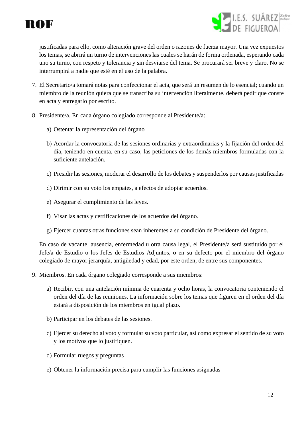



justificadas para ello, como alteración grave del orden o razones de fuerza mayor. Una vez expuestos los temas, se abrirá un turno de intervenciones las cuales se harán de forma ordenada, esperando cada uno su turno, con respeto y tolerancia y sin desviarse del tema. Se procurará ser breve y claro. No se interrumpirá a nadie que esté en el uso de la palabra.

- 7. El Secretario/a tomará notas para confeccionar el acta, que será un resumen de lo esencial; cuando un miembro de la reunión quiera que se transcriba su intervención literalmente, deberá pedir que conste en acta y entregarlo por escrito.
- 8. Presidente/a. En cada órgano colegiado corresponde al Presidente/a:
	- a) Ostentar la representación del órgano
	- b) Acordar la convocatoria de las sesiones ordinarias y extraordinarias y la fijación del orden del día, teniendo en cuenta, en su caso, las peticiones de los demás miembros formuladas con la suficiente antelación.
	- c) Presidir las sesiones, moderar el desarrollo de los debates y suspenderlos por causas justificadas
	- d) Dirimir con su voto los empates, a efectos de adoptar acuerdos.
	- e) Asegurar el cumplimiento de las leyes.
	- f) Visar las actas y certificaciones de los acuerdos del órgano.
	- g) Ejercer cuantas otras funciones sean inherentes a su condición de Presidente del órgano.

En caso de vacante, ausencia, enfermedad u otra causa legal, el Presidente/a será sustituido por el Jefe/a de Estudio o los Jefes de Estudios Adjuntos, o en su defecto por el miembro del órgano colegiado de mayor jerarquía, antigüedad y edad, por este orden, de entre sus componentes.

9. Miembros. En cada órgano colegiado corresponde a sus miembros:

- a) Recibir, con una antelación mínima de cuarenta y ocho horas, la convocatoria conteniendo el orden del día de las reuniones. La información sobre los temas que figuren en el orden del día estará a disposición de los miembros en igual plazo.
- b) Participar en los debates de las sesiones.
- c) Ejercer su derecho al voto y formular su voto particular, así como expresar el sentido de su voto y los motivos que lo justifiquen.
- d) Formular ruegos y preguntas
- e) Obtener la información precisa para cumplir las funciones asignadas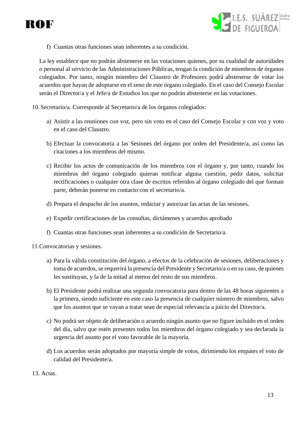



f) Cuantas otras funciones sean inherentes a su condición.

La ley establece que no podrán abstenerse en las votaciones quienes, por su cualidad de autoridades o personal al servicio de las Administraciones Públicas, tengan la condición de miembros de órganos colegiados. Por tanto, ningún miembro del Claustro de Profesores podrá abstenerse de votar los acuerdos que hayan de adoptarse en el seno de este órgano colegiado. En el caso del Consejo Escolar serán el Director/a y el Jefe/a de Estudios los que no podrán abstenerse en las votaciones.

- 10.Secretario/a. Corresponde al Secretario/a de los órganos colegiados:
	- a) Asistir a las reuniones con voz, pero sin voto en el caso del Consejo Escolar y con voz y voto en el caso del Claustro.
	- b) Efectuar la convocatoria a las Sesiones del órgano por orden del Presidente/a, así como las citaciones a los miembros del mismo.
	- c) Recibir los actos de comunicación de los miembros con el órgano y, por tanto, cuando los miembros del órgano colegiado quieran notificar alguna cuestión, pedir datos, solicitar rectificaciones o cualquier otra clase de escritos referidos al órgano colegiado del que forman parte, deberán ponerse en contacto con el secretario/a.
	- d) Prepara el despacho de los asuntos, redactar y autorizar las actas de las sesiones.
	- e) Expedir certificaciones de las consultas, dictámenes y acuerdos aprobado
	- f) Cuantas otras funciones sean inherentes a su condición de Secretario/a.

11.Convocatorias y sesiones.

- a) Para la válida constitución del órgano, a efectos de la celebración de sesiones, deliberaciones y toma de acuerdos, se requerirá la presencia del Presidente y Secretario/a o en su caso, de quienes les sustituyan, y la de la mitad al menos del resto de sus miembros.
- b) El Presidente podrá realizar una segunda convocatoria para dentro de las 48 horas siguientes a la primera, siendo suficiente en este caso la presencia de cualquier número de miembros, salvo que los asuntos que se vayan a tratar sean de especial relevancia a juicio del Director/a.
- c) No podrá ser objeto de deliberación o acuerdo ningún asunto que no figure incluido en el orden del día, salvo que estén presentes todos los miembros del órgano colegiado y sea declarada la urgencia del asunto por el voto favorable de la mayoría.
- d) Los acuerdos serán adoptados por mayoría simple de votos, dirimiendo los empates el voto de calidad del Presidente/a.
- 13. Actas.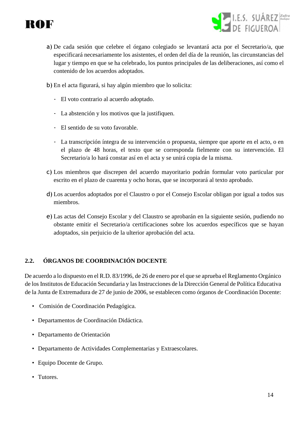



- a) De cada sesión que celebre el órgano colegiado se levantará acta por el Secretario/a, que especificará necesariamente los asistentes, el orden del día de la reunión, las circunstancias del lugar y tiempo en que se ha celebrado, los puntos principales de las deliberaciones, así como el contenido de los acuerdos adoptados.
- b) En el acta figurará, si hay algún miembro que lo solicita:
	- El voto contrario al acuerdo adoptado.
	- La abstención y los motivos que la justifiquen.
	- El sentido de su voto favorable.
	- La transcripción íntegra de su intervención o propuesta, siempre que aporte en el acto, o en el plazo de 48 horas, el texto que se corresponda fielmente con su intervención. El Secretario/a lo hará constar así en el acta y se unirá copia de la misma.
- c) Los miembros que discrepen del acuerdo mayoritario podrán formular voto particular por escrito en el plazo de cuarenta y ocho horas, que se incorporará al texto aprobado.
- d) Los acuerdos adoptados por el Claustro o por el Consejo Escolar obligan por igual a todos sus miembros.
- e) Las actas del Consejo Escolar y del Claustro se aprobarán en la siguiente sesión, pudiendo no obstante emitir el Secretario/a certificaciones sobre los acuerdos específicos que se hayan adoptados, sin perjuicio de la ulterior aprobación del acta.

# <span id="page-13-0"></span>**2.2. ÓRGANOS DE COORDINACIÓN DOCENTE**

De acuerdo a lo dispuesto en el R.D. 83/1996, de 26 de enero por el que se aprueba el Reglamento Orgánico de los Institutos de Educación Secundaria y las Instrucciones de la Dirección General de Política Educativa de la Junta de Extremadura de 27 de junio de 2006, se establecen como órganos de Coordinación Docente:

- Comisión de Coordinación Pedagógica.
- Departamentos de Coordinación Didáctica.
- Departamento de Orientación
- Departamento de Actividades Complementarias y Extraescolares.
- Equipo Docente de Grupo.
- Tutores.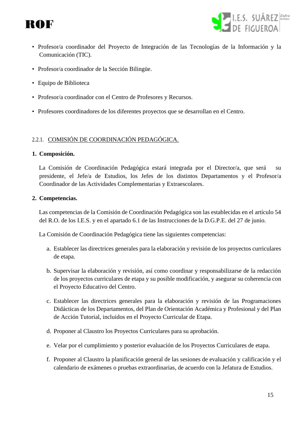



- Profesor/a coordinador del Proyecto de Integración de las Tecnologías de la Información y la Comunicación (TIC).
- Profesor/a coordinador de la Sección Bilingüe.
- Equipo de Biblioteca
- Profesor/a coordinador con el Centro de Profesores y Recursos.
- Profesores coordinadores de los diferentes proyectos que se desarrollan en el Centro.

#### <span id="page-14-0"></span>2.2.1. COMISIÓN DE COORDINACIÓN PEDAGÓGICA.

#### **1. Composición.**

La Comisión de Coordinación Pedagógica estará integrada por el Director/a, que será su presidente, el Jefe/a de Estudios, los Jefes de los distintos Departamentos y el Profesor/a Coordinador de las Actividades Complementarias y Extraescolares.

#### **2. Competencias.**

Las competencias de la Comisión de Coordinación Pedagógica son las establecidas en el artículo 54 del R.O. de los I.E.S. y en el apartado 6.1 de las Instrucciones de la D.G.P.E. del 27 de junio.

La Comisión de Coordinación Pedagógica tiene las siguientes competencias:

- a. Establecer las directrices generales para la elaboración y revisión de los proyectos curriculares de etapa.
- b. Supervisar la elaboración y revisión, así como coordinar y responsabilizarse de la redacción de los proyectos curriculares de etapa y su posible modificación, y asegurar su coherencia con el Proyecto Educativo del Centro.
- c. Establecer las directrices generales para la elaboración y revisión de las Programaciones Didácticas de los Departamentos, del Plan de Orientación Académica y Profesional y del Plan de Acción Tutorial, incluidos en el Proyecto Curricular de Etapa.
- d. Proponer al Claustro los Proyectos Curriculares para su aprobación.
- e. Velar por el cumplimiento y posterior evaluación de los Proyectos Curriculares de etapa.
- f. Proponer al Claustro la planificación general de las sesiones de evaluación y calificación y el calendario de exámenes o pruebas extraordinarias, de acuerdo con la Jefatura de Estudios.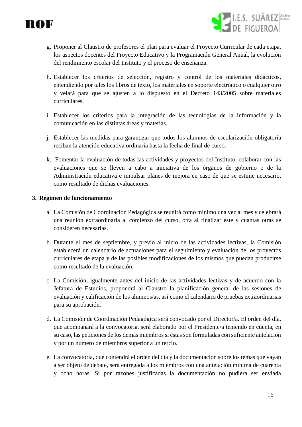



- g. Proponer al Claustro de profesores el plan para evaluar el Proyecto Curricular de cada etapa, los aspectos docentes del Proyecto Educativo y la Programación General Anual, la evolución del rendimiento escolar del Instituto y el proceso de enseñanza.
- h. Establecer los criterios de selección, registro y control de los materiales didácticos, entendiendo por tales los libros de texto, los materiales en soporte electrónico o cualquier otro y velará para que se ajusten a lo dispuesto en el Decreto 143/2005 sobre materiales curriculares.
- i. Establecer los criterios para la integración de las tecnologías de la información y la comunicación en las distintas áreas y materias.
- j. Establecer las medidas para garantizar que todos los alumnos de escolarización obligatoria reciban la atención educativa ordinaria hasta la fecha de final de curso.
- k. Fomentar la evaluación de todas las actividades y proyectos del Instituto, colaborar con las evaluaciones que se lleven a cabo a iniciativa de los órganos de gobierno o de la Administración educativa e impulsar planes de mejora en caso de que se estime necesario, como resultado de dichas evaluaciones.

#### **3. Régimen de funcionamiento**

- a. La Comisión de Coordinación Pedagógica se reunirá como mínimo una vez al mes y celebrará una reunión extraordinaria al comienzo del curso, otra al finalizar éste y cuantas otras se consideren necesarias.
- b. Durante el mes de septiembre, y previo al inicio de las actividades lectivas, la Comisión establecerá un calendario de actuaciones para el seguimiento y evaluación de los proyectos curriculares de etapa y de las posibles modificaciones de los mismos que puedan producirse como resultado de la evaluación.
- c. La Comisión, igualmente antes del inicio de las actividades lectivas y de acuerdo con la Jefatura de Estudios, propondrá al Claustro la planificación general de las sesiones de evaluación y calificación de los alumnos/as, así como el calendario de pruebas extraordinarias para su aprobación.
- d. La Comisión de Coordinación Pedagógica será convocado por el Director/a. El orden del día, que acompañará a la convocatoria, será elaborado por el Presidente/a teniendo en cuenta, en su caso, las peticiones de los demás miembros si éstas son formuladas con suficiente antelación y por un número de miembros superior a un tercio.
- e. La convocatoria, que contendrá el orden del día y la documentación sobre los temas que vayan a ser objeto de debate, será entregada a los miembros con una antelación mínima de cuarenta y ocho horas. Si por razones justificadas la documentación no pudiera ser enviada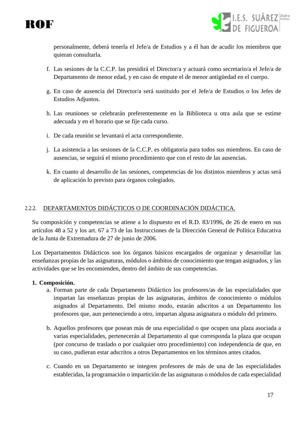



personalmente, deberá tenerla el Jefe/a de Estudios y a él han de acudir los miembros que quieran consultarla.

- f. Las sesiones de la C.C.P. las presidirá el Director/a y actuará como secretario/a el Jefe/a de Departamento de menor edad, y en caso de empate el de menor antigüedad en el cuerpo.
- g. En caso de ausencia del Director/a será sustituido por el Jefe/a de Estudios o los Jefes de Estudios Adjuntos.
- h. Las reuniones se celebrarán preferentemente en la Biblioteca u otra aula que se estime adecuada y en el horario que se fije cada curso.
- i. De cada reunión se levantará el acta correspondiente.
- j. La asistencia a las sesiones de la C.C.P. es obligatoria para todos sus miembros. En caso de ausencias, se seguirá el mismo procedimiento que con el resto de las ausencias.
- k. En cuanto al desarrollo de las sesiones, competencias de los distintos miembros y actas será de aplicación lo previsto para órganos colegiados.

#### <span id="page-16-0"></span>2.2.2. DEPARTAMENTOS DIDÁCTICOS O DE COORDINACIÓN DIDÁCTICA.

Su composición y competencias se atiene a lo dispuesto en el R.D. 83/1996, de 26 de enero en sus artículos 48 a 52 y los art. 67 a 73 de las Instrucciones de la Dirección General de Política Educativa de la Junta de Extremadura de 27 de junio de 2006.

Los Departamentos Didácticos son los órganos básicos encargados de organizar y desarrollar las enseñanzas propias de las asignaturas, módulos o ámbitos de conocimiento que tengan asignados, y las actividades que se les encomienden, dentro del ámbito de sus competencias.

#### **1. Composición.**

- a. Forman parte de cada Departamento Didáctico los profesores/as de las especialidades que impartan las enseñanzas propias de las asignaturas, ámbitos de conocimiento o módulos asignados al Departamento. Del mismo modo, estarán adscritos a un Departamento los profesores que, aun perteneciendo a otro, impartan alguna asignatura o módulo del primero.
- b. Aquellos profesores que posean más de una especialidad o que ocupen una plaza asociada a varias especialidades, pertenecerán al Departamento al que corresponda la plaza que ocupan (por concurso de traslado o por cualquier otro procedimiento) con independencia de que, en su caso, pudieran estar adscritos a otros Departamentos en los términos antes citados.
- c. Cuando en un Departamento se integren profesores de más de una de las especialidades establecidas, la programación o impartición de las asignaturas o módulos de cada especialidad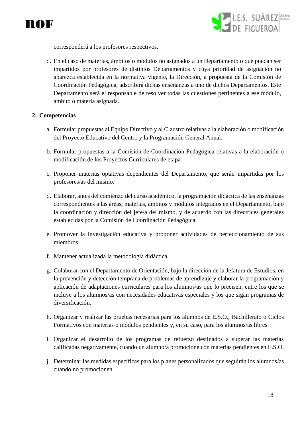



corresponderá a los profesores respectivos.

d. En el caso de materias, ámbitos o módulos no asignados a un Departamento o que puedan ser impartidos por profesores de distintos Departamentos y cuya prioridad de asignación no aparezca establecida en la normativa vigente, la Dirección, a propuesta de la Comisión de Coordinación Pedagógica, adscribirá dichas enseñanzas a uno de dichos Departamentos. Este Departamento será el responsable de resolver todas las cuestiones pertinentes a ese módulo, ámbito o materia asignada.

#### **2. Competencias**

- a. Formular propuestas al Equipo Directivo y al Claustro relativas a la elaboración o modificación del Proyecto Educativo del Centro y la Programación General Anual.
- b. Formular propuestas a la Comisión de Coordinación Pedagógica relativas a la elaboración o modificación de los Proyectos Curriculares de etapa.
- c. Proponer materias optativas dependientes del Departamento, que serán impartidas por los profesores/as del mismo.
- d. Elaborar, antes del comienzo del curso académico, la programación didáctica de las enseñanzas correspondientes a las áreas, materias, ámbitos y módulos integrados en el Departamento, bajo la coordinación y dirección del jefe/a del mismo, y de acuerdo con las directrices generales establecidas por la Comisión de Coordinación Pedagógica.
- e. Promover la investigación educativa y proponer actividades de perfeccionamiento de sus miembros.
- f. Mantener actualizada la metodología didáctica.
- g. Colaborar con el Departamento de Orientación, bajo la dirección de la Jefatura de Estudios, en la prevención y detección temprana de problemas de aprendizaje y elaborar la programación y aplicación de adaptaciones curriculares para los alumnos/as que lo precisen, entre los que se incluye a los alumnos/as con necesidades educativas especiales y los que sigan programas de diversificación.
- h. Organizar y realizar las pruebas necesarias para los alumnos de E.S.O., Bachillerato o Ciclos Formativos con materias o módulos pendientes y, en su caso, para los alumnos/as libres.
- i. Organizar el desarrollo de los programas de refuerzo destinados a superar las materias calificadas negativamente, cuando un alumno/a promocione con materias pendientes en E.S.O.
- j. Determinar las medidas específicas para los planes personalizados que seguirán los alumnos/as cuando no promocionen.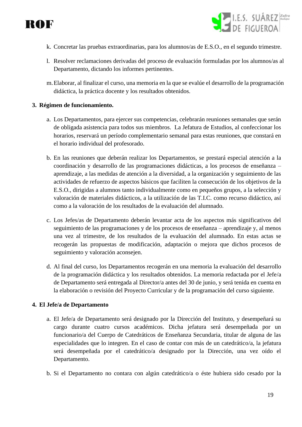



- k. Concretar las pruebas extraordinarias, para los alumnos/as de E.S.O., en el segundo trimestre.
- l. Resolver reclamaciones derivadas del proceso de evaluación formuladas por los alumnos/as al Departamento, dictando los informes pertinentes.
- m.Elaborar, al finalizar el curso, una memoria en la que se evalúe el desarrollo de la programación didáctica, la práctica docente y los resultados obtenidos.

#### **3. Régimen de funcionamiento.**

- a. Los Departamentos, para ejercer sus competencias, celebrarán reuniones semanales que serán de obligada asistencia para todos sus miembros. La Jefatura de Estudios, al confeccionar los horarios, reservará un período complementario semanal para estas reuniones, que constará en el horario individual del profesorado.
- b. En las reuniones que deberán realizar los Departamentos, se prestará especial atención a la coordinación y desarrollo de las programaciones didácticas, a los procesos de enseñanza – aprendizaje, a las medidas de atención a la diversidad, a la organización y seguimiento de las actividades de refuerzo de aspectos básicos que faciliten la consecución de los objetivos de la E.S.O., dirigidas a alumnos tanto individualmente como en pequeños grupos, a la selección y valoración de materiales didácticos, a la utilización de las T.I.C. como recurso didáctico, así como a la valoración de los resultados de la evaluación del alumnado.
- c. Los Jefes/as de Departamento deberán levantar acta de los aspectos más significativos del seguimiento de las programaciones y de los procesos de enseñanza – aprendizaje y, al menos una vez al trimestre, de los resultados de la evaluación del alumnado. En estas actas se recogerán las propuestas de modificación, adaptación o mejora que dichos procesos de seguimiento y valoración aconsejen.
- d. Al final del curso, los Departamentos recogerán en una memoria la evaluación del desarrollo de la programación didáctica y los resultados obtenidos. La memoria redactada por el Jefe/a de Departamento será entregada al Director/a antes del 30 de junio, y será tenida en cuenta en la elaboración o revisión del Proyecto Curricular y de la programación del curso siguiente.

#### **4. El Jefe/a de Departamento**

- a. El Jefe/a de Departamento será designado por la Dirección del Instituto, y desempeñará su cargo durante cuatro cursos académicos. Dicha jefatura será desempeñada por un funcionario/a del Cuerpo de Catedráticos de Enseñanza Secundaria, titular de alguna de las especialidades que lo integren. En el caso de contar con más de un catedrático/a, la jefatura será desempeñada por el catedrático/a designado por la Dirección, una vez oído el Departamento.
- b. Si el Departamento no contara con algún catedrático/a o éste hubiera sido cesado por la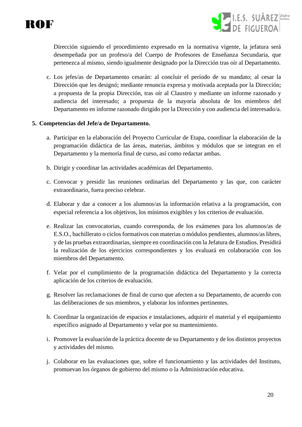



Dirección siguiendo el procedimiento expresado en la normativa vigente, la jefatura será desempeñada por un profeso/a del Cuerpo de Profesores de Enseñanza Secundaria, que pertenezca al mismo, siendo igualmente designado por la Dirección tras oír al Departamento.

c. Los jefes/as de Departamento cesarán: al concluir el período de su mandato; al cesar la Dirección que les designó; mediante renuncia expresa y motivada aceptada por la Dirección; a propuesta de la propia Dirección, tras oír al Claustro y mediante un informe razonado y audiencia del interesado; a propuesta de la mayoría absoluta de los miembros del Departamento en informe razonado dirigido por la Dirección y con audiencia del interesado/a.

#### **5. Competencias del Jefe/a de Departamento.**

- a. Participar en la elaboración del Proyecto Curricular de Etapa, coordinar la elaboración de la programación didáctica de las áreas, materias, ámbitos y módulos que se integran en el Departamento y la memoria final de curso, así como redactar ambas.
- b. Dirigir y coordinar las actividades académicas del Departamento.
- c. Convocar y presidir las reuniones ordinarias del Departamento y las que, con carácter extraordinario, fuera preciso celebrar.
- d. Elaborar y dar a conocer a los alumnos/as la información relativa a la programación, con especial referencia a los objetivos, los mínimos exigibles y los criterios de evaluación.
- e. Realizar las convocatorias, cuando corresponda, de los exámenes para los alumnos/as de E.S.O., bachillerato o ciclos formativos con materias o módulos pendientes, alumnos/as libres, y de las pruebas extraordinarias, siempre en coordinación con la Jefatura de Estudios. Presidirá la realización de los ejercicios correspondientes y los evaluará en colaboración con los miembros del Departamento.
- f. Velar por el cumplimiento de la programación didáctica del Departamento y la correcta aplicación de los criterios de evaluación.
- g. Resolver las reclamaciones de final de curso que afecten a su Departamento, de acuerdo con las deliberaciones de sus miembros, y elaborar los informes pertinentes.
- h. Coordinar la organización de espacios e instalaciones, adquirir el material y el equipamiento específico asignado al Departamento y velar por su mantenimiento.
- i. Promover la evaluación de la práctica docente de su Departamento y de los distintos proyectos y actividades del mismo.
- j. Colaborar en las evaluaciones que, sobre el funcionamiento y las actividades del Instituto, promuevan los órganos de gobierno del mismo o la Administración educativa.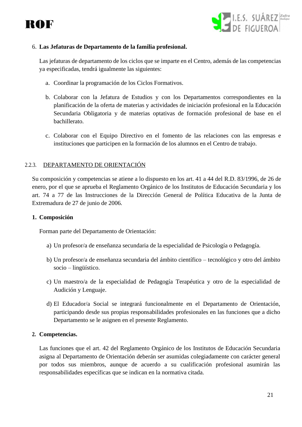



#### 6. **Las Jefaturas de Departamento de la familia profesional.**

Las jefaturas de departamento de los ciclos que se imparte en el Centro, además de las competencias ya especificadas, tendrá igualmente las siguientes:

- a. Coordinar la programación de los Ciclos Formativos.
- b. Colaborar con la Jefatura de Estudios y con los Departamentos correspondientes en la planificación de la oferta de materias y actividades de iniciación profesional en la Educación Secundaria Obligatoria y de materias optativas de formación profesional de base en el bachillerato.
- c. Colaborar con el Equipo Directivo en el fomento de las relaciones con las empresas e instituciones que participen en la formación de los alumnos en el Centro de trabajo.

#### <span id="page-20-0"></span>2.2.3. DEPARTAMENTO DE ORIENTACIÓN

Su composición y competencias se atiene a lo dispuesto en los art. 41 a 44 del R.D. 83/1996, de 26 de enero, por el que se aprueba el Reglamento Orgánico de los Institutos de Educación Secundaria y los art. 74 a 77 de las Instrucciones de la Dirección General de Política Educativa de la Junta de Extremadura de 27 de junio de 2006.

#### **1. Composición**

Forman parte del Departamento de Orientación:

- a) Un profesor/a de enseñanza secundaria de la especialidad de Psicología o Pedagogía.
- b) Un profesor/a de enseñanza secundaria del ámbito científico tecnológico y otro del ámbito socio – lingüístico.
- c) Un maestro/a de la especialidad de Pedagogía Terapéutica y otro de la especialidad de Audición y Lenguaje.
- d) El Educador/a Social se integrará funcionalmente en el Departamento de Orientación, participando desde sus propias responsabilidades profesionales en las funciones que a dicho Departamento se le asignen en el presente Reglamento.

#### **2. Competencias.**

Las funciones que el art. 42 del Reglamento Orgánico de los Institutos de Educación Secundaria asigna al Departamento de Orientación deberán ser asumidas colegiadamente con carácter general por todos sus miembros, aunque de acuerdo a su cualificación profesional asumirán las responsabilidades específicas que se indican en la normativa citada.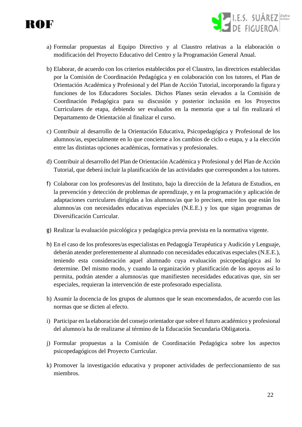



- a) Formular propuestas al Equipo Directivo y al Claustro relativas a la elaboración o modificación del Proyecto Educativo del Centro y la Programación General Anual.
- b) Elaborar, de acuerdo con los criterios establecidos por el Claustro, las directrices establecidas por la Comisión de Coordinación Pedagógica y en colaboración con los tutores, el Plan de Orientación Académica y Profesional y del Plan de Acción Tutorial, incorporando la figura y funciones de los Educadores Sociales. Dichos Planes serán elevados a la Comisión de Coordinación Pedagógica para su discusión y posterior inclusión en los Proyectos Curriculares de etapa, debiendo ser evaluados en la memoria que a tal fin realizará el Departamento de Orientación al finalizar el curso.
- c) Contribuir al desarrollo de la Orientación Educativa, Psicopedagógica y Profesional de los alumnos/as, especialmente en lo que concierne a los cambios de ciclo o etapa, y a la elección entre las distintas opciones académicas, formativas y profesionales.
- d) Contribuir al desarrollo del Plan de Orientación Académica y Profesional y del Plan de Acción Tutorial, que deberá incluir la planificación de las actividades que corresponden a los tutores.
- f) Colaborar con los profesores/as del Instituto, bajo la dirección de la Jefatura de Estudios, en la prevención y detección de problemas de aprendizaje, y en la programación y aplicación de adaptaciones curriculares dirigidas a los alumnos/as que lo precisen, entre los que están los alumnos/as con necesidades educativas especiales (N.E.E.) y los que sigan programas de Diversificación Curricular.
- g) Realizar la evaluación psicológica y pedagógica previa prevista en la normativa vigente.
- h) En el caso de los profesores/as especialistas en Pedagogía Terapéutica y Audición y Lenguaje, deberán atender preferentemente al alumnado con necesidades educativas especiales (N.E.E.), teniendo esta consideración aquel alumnado cuya evaluación psicopedagógica así lo determine. Del mismo modo, y cuando la organización y planificación de los apoyos así lo permita, podrán atender a alumnos/as que manifiesten necesidades educativas que, sin ser especiales, requieran la intervención de este profesorado especialista.
- h) Asumir la docencia de los grupos de alumnos que le sean encomendados, de acuerdo con las normas que se dicten al efecto.
- i) Participar en la elaboración del consejo orientador que sobre el futuro académico y profesional del alumno/a ha de realizarse al término de la Educación Secundaria Obligatoria.
- j) Formular propuestas a la Comisión de Coordinación Pedagógica sobre los aspectos psicopedagógicos del Proyecto Curricular.
- k) Promover la investigación educativa y proponer actividades de perfeccionamiento de sus miembros.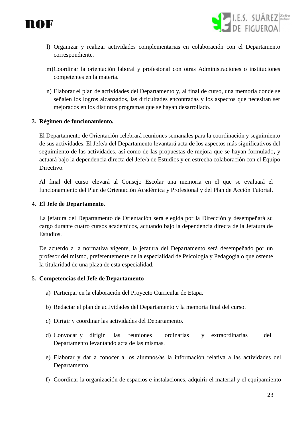



- l) Organizar y realizar actividades complementarias en colaboración con el Departamento correspondiente.
- m)Coordinar la orientación laboral y profesional con otras Administraciones o instituciones competentes en la materia.
- n) Elaborar el plan de actividades del Departamento y, al final de curso, una memoria donde se señalen los logros alcanzados, las dificultades encontradas y los aspectos que necesitan ser mejorados en los distintos programas que se hayan desarrollado.

#### **3. Régimen de funcionamiento.**

El Departamento de Orientación celebrará reuniones semanales para la coordinación y seguimiento de sus actividades. El Jefe/a del Departamento levantará acta de los aspectos más significativos del seguimiento de las actividades, así como de las propuestas de mejora que se hayan formulado**,** y actuará bajo la dependencia directa del Jefe/a de Estudios y en estrecha colaboración con el Equipo Directivo.

Al final del curso elevará al Consejo Escolar una memoria en el que se evaluará el funcionamiento del Plan de Orientación Académica y Profesional y del Plan de Acción Tutorial.

#### **4. El Jefe de Departamento**.

La jefatura del Departamento de Orientación será elegida por la Dirección y desempeñará su cargo durante cuatro cursos académicos, actuando bajo la dependencia directa de la Jefatura de Estudios.

De acuerdo a la normativa vigente, la jefatura del Departamento será desempeñado por un profesor del mismo, preferentemente de la especialidad de Psicología y Pedagogía o que ostente la titularidad de una plaza de esta especialidad.

#### **5. Competencias del Jefe de Departamento**

- a) Participar en la elaboración del Proyecto Curricular de Etapa.
- b) Redactar el plan de actividades del Departamento y la memoria final del curso.
- c) Dirigir y coordinar las actividades del Departamento.
- d) Convocar y dirigir las reuniones ordinarias y extraordinarias del Departamento levantando acta de las mismas.
- e) Elaborar y dar a conocer a los alumnos/as la información relativa a las actividades del Departamento.
- f) Coordinar la organización de espacios e instalaciones, adquirir el material y el equipamiento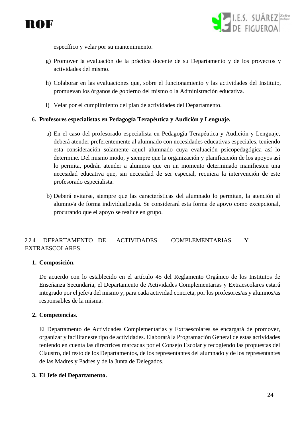



específico y velar por su mantenimiento.

- g) Promover la evaluación de la práctica docente de su Departamento y de los proyectos y actividades del mismo.
- h) Colaborar en las evaluaciones que, sobre el funcionamiento y las actividades del Instituto, promuevan los órganos de gobierno del mismo o la Administración educativa.
- i) Velar por el cumplimiento del plan de actividades del Departamento.

#### **6. Profesores especialistas en Pedagogía Terapéutica y Audición y Lenguaje.**

- a) En el caso del profesorado especialista en Pedagogía Terapéutica y Audición y Lenguaje, deberá atender preferentemente al alumnado con necesidades educativas especiales, teniendo esta consideración solamente aquel alumnado cuya evaluación psicopedagógica así lo determine. Del mismo modo, y siempre que la organización y planificación de los apoyos así lo permita, podrán atender a alumnos que en un momento determinado manifiesten una necesidad educativa que, sin necesidad de ser especial, requiera la intervención de este profesorado especialista.
- b) Deberá evitarse, siempre que las características del alumnado lo permitan, la atención al alumno/a de forma individualizada. Se considerará esta forma de apoyo como excepcional, procurando que el apoyo se realice en grupo.

#### <span id="page-23-0"></span>2.2.4. DEPARTAMENTO DE ACTIVIDADES COMPLEMENTARIAS Y EXTRAESCOLARES.

#### **1. Composición.**

De acuerdo con lo establecido en el artículo 45 del Reglamento Orgánico de los Institutos de Enseñanza Secundaria, el Departamento de Actividades Complementarias y Extraescolares estará integrado por el jefe/a del mismo y, para cada actividad concreta, por los profesores/as y alumnos/as responsables de la misma.

#### **2. Competencias.**

El Departamento de Actividades Complementarias y Extraescolares se encargará de promover, organizar y facilitar este tipo de actividades. Elaborará la Programación General de estas actividades teniendo en cuenta las directrices marcadas por el Consejo Escolar y recogiendo las propuestas del Claustro, del resto de los Departamentos, de los representantes del alumnado y de los representantes de las Madres y Padres y de la Junta de Delegados.

#### **3. El Jefe del Departamento.**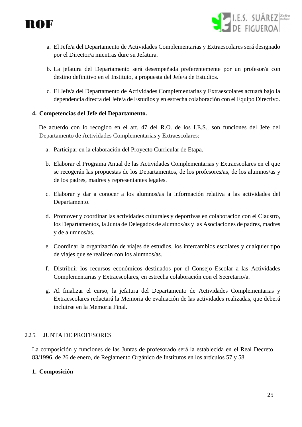

- I.E.S. SUÁREZ *zafra*<br>DE EIGLIEROA
- a. El Jefe/a del Departamento de Actividades Complementarias y Extraescolares será designado por el Director/a mientras dure su Jefatura.
- b. La jefatura del Departamento será desempeñada preferentemente por un profesor/a con destino definitivo en el Instituto, a propuesta del Jefe/a de Estudios.
- c. El Jefe/a del Departamento de Actividades Complementarias y Extraescolares actuará bajo la dependencia directa del Jefe/a de Estudios y en estrecha colaboración con el Equipo Directivo.

#### **4. Competencias del Jefe del Departamento.**

De acuerdo con lo recogido en el art. 47 del R.O. de los I.E.S., son funciones del Jefe del Departamento de Actividades Complementarias y Extraescolares:

- a. Participar en la elaboración del Proyecto Curricular de Etapa.
- b. Elaborar el Programa Anual de las Actividades Complementarias y Extraescolares en el que se recogerán las propuestas de los Departamentos, de los profesores/as, de los alumnos/as y de los padres, madres y representantes legales.
- c. Elaborar y dar a conocer a los alumnos/as la información relativa a las actividades del Departamento.
- d. Promover y coordinar las actividades culturales y deportivas en colaboración con el Claustro, los Departamentos, la Junta de Delegados de alumnos/as y las Asociaciones de padres, madres y de alumnos/as.
- e. Coordinar la organización de viajes de estudios, los intercambios escolares y cualquier tipo de viajes que se realicen con los alumnos/as.
- f. Distribuir los recursos económicos destinados por el Consejo Escolar a las Actividades Complementarias y Extraescolares, en estrecha colaboración con el Secretario/a.
- g. Al finalizar el curso, la jefatura del Departamento de Actividades Complementarias y Extraescolares redactará la Memoria de evaluación de las actividades realizadas, que deberá incluirse en la Memoria Final.

#### <span id="page-24-0"></span>2.2.5. JUNTA DE PROFESORES

La composición y funciones de las Juntas de profesorado será la establecida en el Real Decreto 83/1996, de 26 de enero, de Reglamento Orgánico de Institutos en los artículos 57 y 58.

#### **1. Composición**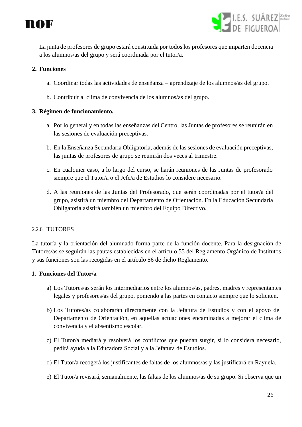



La junta de profesores de grupo estará constituida por todos los profesores que imparten docencia a los alumnos/as del grupo y será coordinada por el tutor/a.

#### **2. Funciones**

- a. Coordinar todas las actividades de enseñanza aprendizaje de los alumnos/as del grupo.
- b. Contribuir al clima de convivencia de los alumnos/as del grupo.

#### **3. Régimen de funcionamiento.**

- a. Por lo general y en todas las enseñanzas del Centro, las Juntas de profesores se reunirán en las sesiones de evaluación preceptivas.
- b. En la Enseñanza Secundaria Obligatoria, además de las sesiones de evaluación preceptivas, las juntas de profesores de grupo se reunirán dos veces al trimestre.
- c. En cualquier caso, a lo largo del curso, se harán reuniones de las Juntas de profesorado siempre que el Tutor/a o el Jefe/a de Estudios lo considere necesario.
- d. A las reuniones de las Juntas del Profesorado, que serán coordinadas por el tutor/a del grupo, asistirá un miembro del Departamento de Orientación. En la Educación Secundaria Obligatoria asistirá también un miembro del Equipo Directivo.

#### <span id="page-25-0"></span>2.2.6. TUTORES

La tutoría y la orientación del alumnado forma parte de la función docente. Para la designación de Tutores/as se seguirán las pautas establecidas en el artículo 55 del Reglamento Orgánico de Institutos y sus funciones son las recogidas en el artículo 56 de dicho Reglamento.

#### **1. Funciones del Tutor/a**

- a) Los Tutores/as serán los intermediarios entre los alumnos/as, padres, madres y representantes legales y profesores/as del grupo, poniendo a las partes en contacto siempre que lo soliciten.
- b) Los Tutores/as colaborarán directamente con la Jefatura de Estudios y con el apoyo del Departamento de Orientación, en aquellas actuaciones encaminadas a mejorar el clima de convivencia y el absentismo escolar.
- c) El Tutor/a mediará y resolverá los conflictos que puedan surgir, si lo considera necesario, pedirá ayuda a la Educadora Social y a la Jefatura de Estudios.
- d) El Tutor/a recogerá los justificantes de faltas de los alumnos/as y las justificará en Rayuela.
- e) El Tutor/a revisará, semanalmente, las faltas de los alumnos/as de su grupo. Si observa que un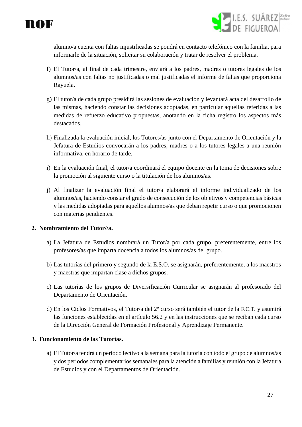

I.E.S. SUÁREZ Zafra

alumno/a cuenta con faltas injustificadas se pondrá en contacto telefónico con la familia, para informarle de la situación, solicitar su colaboración y tratar de resolver el problema.

- f) El Tutor/a, al final de cada trimestre, enviará a los padres, madres o tutores legales de los alumnos/as con faltas no justificadas o mal justificadas el informe de faltas que proporciona Rayuela.
- g) El tutor/a de cada grupo presidirá las sesiones de evaluación y levantará acta del desarrollo de las mismas, haciendo constar las decisiones adoptadas, en particular aquellas referidas a las medidas de refuerzo educativo propuestas, anotando en la ficha registro los aspectos más destacados.
- h) Finalizada la evaluación inicial, los Tutores/as junto con el Departamento de Orientación y la Jefatura de Estudios convocarán a los padres, madres o a los tutores legales a una reunión informativa, en horario de tarde.
- i) En la evaluación final, el tutor/a coordinará el equipo docente en la toma de decisiones sobre la promoción al siguiente curso o la titulación de los alumnos/as.
- j) Al finalizar la evaluación final el tutor/a elaborará el informe individualizado de los alumnos/as, haciendo constar el grado de consecución de los objetivos y competencias básicas y las medidas adoptadas para aquellos alumnos/as que deban repetir curso o que promocionen con materias pendientes.

#### **2. Nombramiento del Tutor//a.**

- a) La Jefatura de Estudios nombrará un Tutor/a por cada grupo, preferentemente, entre los profesores/as que imparta docencia a todos los alumnos/as del grupo.
- b) Las tutorías del primero y segundo de la E.S.O. se asignarán, preferentemente, a los maestros y maestras que impartan clase a dichos grupos.
- c) Las tutorías de los grupos de Diversificación Curricular se asignarán al profesorado del Departamento de Orientación.
- d) En los Ciclos Formativos, el Tutor/a del 2º curso será también el tutor de la F.C.T. y asumirá las funciones establecidas en el artículo 56.2 y en las instrucciones que se reciban cada curso de la Dirección General de Formación Profesional y Aprendizaje Permanente.

#### **3. Funcionamiento de las Tutorías.**

a) El Tutor/a tendrá un periodo lectivo a la semana para la tutoría con todo el grupo de alumnos/as y dos periodos complementarios semanales para la atención a familias y reunión con la Jefatura de Estudios y con el Departamentos de Orientación.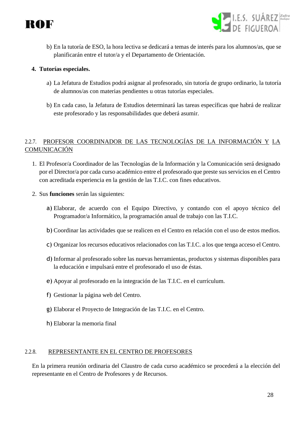



b) En la tutoría de ESO, la hora lectiva se dedicará a temas de interés para los alumnos/as, que se planificarán entre el tutor/a y el Departamento de Orientación.

#### **4. Tutorías especiales.**

- a) La Jefatura de Estudios podrá asignar al profesorado, sin tutoría de grupo ordinario, la tutoría de alumnos/as con materias pendientes u otras tutorías especiales.
- b) En cada caso, la Jefatura de Estudios determinará las tareas específicas que habrá de realizar este profesorado y las responsabilidades que deberá asumir.

### <span id="page-27-0"></span>2.2.7. PROFESOR COORDINADOR DE LAS TECNOLOGÍAS DE LA INFORMACIÓN Y LA **COMUNICACIÓN**

- 1. El Profesor/a Coordinador de las Tecnologías de la Información y la Comunicación será designado por el Director/a por cada curso académico entre el profesorado que preste sus servicios en el Centro con acreditada experiencia en la gestión de las T.I.C. con fines educativos.
- 2. Sus **funciones** serán las siguientes:
	- a) Elaborar, de acuerdo con el Equipo Directivo, y contando con el apoyo técnico del Programador/a Informático, la programación anual de trabajo con las T.I.C.
	- b) Coordinar las actividades que se realicen en el Centro en relación con el uso de estos medios.
	- c) Organizar los recursos educativos relacionados con las T.I.C. a los que tenga acceso el Centro.
	- d) Informar al profesorado sobre las nuevas herramientas, productos y sistemas disponibles para la educación e impulsará entre el profesorado el uso de éstas.
	- e) Apoyar al profesorado en la integración de las T.I.C. en el currículum.
	- f) Gestionar la página web del Centro.
	- g) Elaborar el Proyecto de Integración de las T.I.C. en el Centro.
	- h) Elaborar la memoria final

#### <span id="page-27-1"></span>2.2.8. REPRESENTANTE EN EL CENTRO DE PROFESORES

En la primera reunión ordinaria del Claustro de cada curso académico se procederá a la elección del representante en el Centro de Profesores y de Recursos.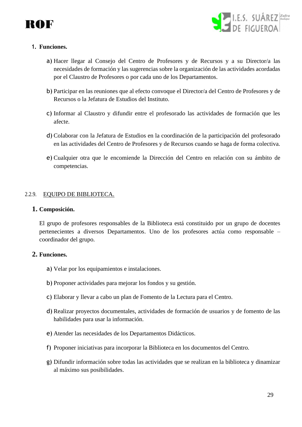



#### **1. Funciones.**

- a) Hacer llegar al Consejo del Centro de Profesores y de Recursos y a su Director/a las necesidades de formación y las sugerencias sobre la organización de las actividades acordadas por el Claustro de Profesores o por cada uno de los Departamentos.
- b) Participar en las reuniones que al efecto convoque el Director/a del Centro de Profesores y de Recursos o la Jefatura de Estudios del Instituto.
- c) Informar al Claustro y difundir entre el profesorado las actividades de formación que les afecte.
- d) Colaborar con la Jefatura de Estudios en la coordinación de la participación del profesorado en las actividades del Centro de Profesores y de Recursos cuando se haga de forma colectiva.
- e) Cualquier otra que le encomiende la Dirección del Centro en relación con su ámbito de competencias.

#### <span id="page-28-0"></span>2.2.9. EQUIPO DE BIBLIOTECA.

#### **1. Composición.**

El grupo de profesores responsables de la Biblioteca está constituido por un grupo de docentes pertenecientes a diversos Departamentos. Uno de los profesores actúa como responsable – coordinador del grupo.

#### **2. Funciones.**

- a) Velar por los equipamientos e instalaciones.
- b) Proponer actividades para mejorar los fondos y su gestión.
- c) Elaborar y llevar a cabo un plan de Fomento de la Lectura para el Centro.
- d) Realizar proyectos documentales, actividades de formación de usuarios y de fomento de las habilidades para usar la información.
- e) Atender las necesidades de los Departamentos Didácticos.
- f) Proponer iniciativas para incorporar la Biblioteca en los documentos del Centro.
- g) Difundir información sobre todas las actividades que se realizan en la biblioteca y dinamizar al máximo sus posibilidades.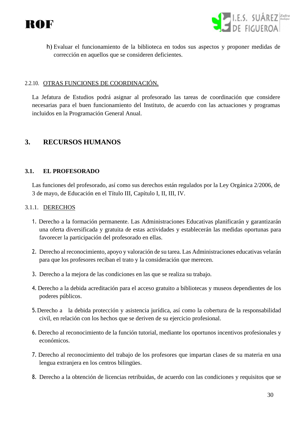



h) Evaluar el funcionamiento de la biblioteca en todos sus aspectos y proponer medidas de corrección en aquellos que se consideren deficientes.

#### <span id="page-29-0"></span>2.2.10. OTRAS FUNCIONES DE COORDINACIÓN.

La Jefatura de Estudios podrá asignar al profesorado las tareas de coordinación que considere necesarias para el buen funcionamiento del Instituto, de acuerdo con las actuaciones y programas incluidos en la Programación General Anual.

## <span id="page-29-1"></span>**3. RECURSOS HUMANOS**

#### <span id="page-29-2"></span>**3.1. EL PROFESORADO**

Las funciones del profesorado, así como sus derechos están regulados por la Ley Orgánica 2/2006, de 3 de mayo, de Educación en el Título III, Capítulo I, II, III, IV.

#### <span id="page-29-3"></span>3.1.1. DERECHOS

- 1. Derecho a la formación permanente. Las Administraciones Educativas planificarán y garantizarán una oferta diversificada y gratuita de estas actividades y establecerán las medidas oportunas para favorecer la participación del profesorado en ellas.
- 2. Derecho al reconocimiento, apoyo y valoración de su tarea. Las Administraciones educativas velarán para que los profesores reciban el trato y la consideración que merecen.
- 3. Derecho a la mejora de las condiciones en las que se realiza su trabajo.
- 4. Derecho a la debida acreditación para el acceso gratuito a bibliotecas y museos dependientes de los poderes públicos.
- 5.Derecho a la debida protección y asistencia jurídica, así como la cobertura de la responsabilidad civil, en relación con los hechos que se deriven de su ejercicio profesional.
- 6. Derecho al reconocimiento de la función tutorial, mediante los oportunos incentivos profesionales y económicos.
- 7. Derecho al reconocimiento del trabajo de los profesores que impartan clases de su materia en una lengua extranjera en los centros bilingües.
- 8. Derecho a la obtención de licencias retribuidas, de acuerdo con las condiciones y requisitos que se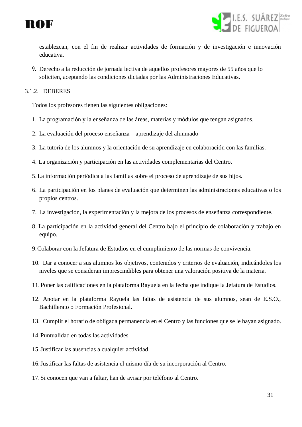



establezcan, con el fin de realizar actividades de formación y de investigación e innovación educativa.

9. Derecho a la reducción de jornada lectiva de aquellos profesores mayores de 55 años que lo soliciten, aceptando las condiciones dictadas por las Administraciones Educativas.

#### <span id="page-30-0"></span>3.1.2. DEBERES

Todos los profesores tienen las siguientes obligaciones:

- 1. La programación y la enseñanza de las áreas, materias y módulos que tengan asignados.
- 2. La evaluación del proceso enseñanza aprendizaje del alumnado
- 3. La tutoría de los alumnos y la orientación de su aprendizaje en colaboración con las familias.
- 4. La organización y participación en las actividades complementarias del Centro.
- 5.La información periódica a las familias sobre el proceso de aprendizaje de sus hijos.
- 6. La participación en los planes de evaluación que determinen las administraciones educativas o los propios centros.
- 7. La investigación, la experimentación y la mejora de los procesos de enseñanza correspondiente.
- 8. La participación en la actividad general del Centro bajo el principio de colaboración y trabajo en equipo.
- 9.Colaborar con la Jefatura de Estudios en el cumplimiento de las normas de convivencia.
- 10. Dar a conocer a sus alumnos los objetivos, contenidos y criterios de evaluación, indicándoles los niveles que se consideran imprescindibles para obtener una valoración positiva de la materia.
- 11. Poner las calificaciones en la plataforma Rayuela en la fecha que indique la Jefatura de Estudios.
- 12. Anotar en la plataforma Rayuela las faltas de asistencia de sus alumnos, sean de E.S.O., Bachillerato o Formación Profesional.
- 13. Cumplir el horario de obligada permanencia en el Centro y las funciones que se le hayan asignado.
- 14.Puntualidad en todas las actividades.
- 15.Justificar las ausencias a cualquier actividad.
- 16.Justificar las faltas de asistencia el mismo día de su incorporación al Centro.
- 17.Si conocen que van a faltar, han de avisar por teléfono al Centro.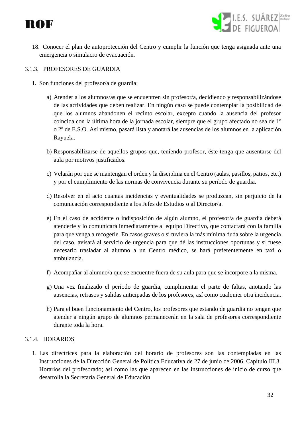- I.E.S. SUÁREZ Zafra
- 18. Conocer el plan de autoprotección del Centro y cumplir la función que tenga asignada ante una emergencia o simulacro de evacuación.

#### <span id="page-31-0"></span>3.1.3. PROFESORES DE GUARDIA

- 1. Son funciones del profesor/a de guardia:
	- a) Atender a los alumnos/as que se encuentren sin profesor/a, decidiendo y responsabilizándose de las actividades que deben realizar. En ningún caso se puede contemplar la posibilidad de que los alumnos abandonen el recinto escolar, excepto cuando la ausencia del profesor coincida con la última hora de la jornada escolar, siempre que el grupo afectado no sea de 1º o 2º de E.S.O. Así mismo, pasará lista y anotará las ausencias de los alumnos en la aplicación Rayuela.
	- b) Responsabilizarse de aquellos grupos que, teniendo profesor, éste tenga que ausentarse del aula por motivos justificados.
	- c) Velarán por que se mantengan el orden y la disciplina en el Centro (aulas, pasillos, patios, etc.) y por el cumplimiento de las normas de convivencia durante su período de guardia.
	- d) Resolver en el acto cuantas incidencias y eventualidades se produzcan, sin perjuicio de la comunicación correspondiente a los Jefes de Estudios o al Director/a.
	- e) En el caso de accidente o indisposición de algún alumno, el profesor/a de guardia deberá atenderle y lo comunicará inmediatamente al equipo Directivo, que contactará con la familia para que venga a recogerle. En casos graves o si tuviera la más mínima duda sobre la urgencia del caso, avisará al servicio de urgencia para que dé las instrucciones oportunas y si fuese necesario trasladar al alumno a un Centro médico, se hará preferentemente en taxi o ambulancia.
	- f) Acompañar al alumno/a que se encuentre fuera de su aula para que se incorpore a la misma.
	- g) Una vez finalizado el período de guardia, cumplimentar el parte de faltas, anotando las ausencias, retrasos y salidas anticipadas de los profesores, así como cualquier otra incidencia.
	- h) Para el buen funcionamiento del Centro, los profesores que estando de guardia no tengan que atender a ningún grupo de alumnos permanecerán en la sala de profesores correspondiente durante toda la hora.

#### <span id="page-31-1"></span>3.1.4. HORARIOS

1. Las directrices para la elaboración del horario de profesores son las contempladas en las Instrucciones de la Dirección General de Política Educativa de 27 de junio de 2006. Capítulo III.3. Horarios del profesorado; así como las que aparecen en las instrucciones de inicio de curso que desarrolla la Secretaría General de Educación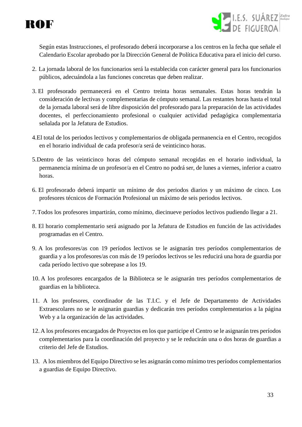



Según estas Instrucciones, el profesorado deberá incorporarse a los centros en la fecha que señale el Calendario Escolar aprobado por la Dirección General de Política Educativa para el inicio del curso.

- 2. La jornada laboral de los funcionarios será la establecida con carácter general para los funcionarios públicos, adecuándola a las funciones concretas que deben realizar.
- 3. El profesorado permanecerá en el Centro treinta horas semanales. Estas horas tendrán la consideración de lectivas y complementarias de cómputo semanal. Las restantes horas hasta el total de la jornada laboral será de libre disposición del profesorado para la preparación de las actividades docentes, el perfeccionamiento profesional o cualquier actividad pedagógica complementaria señalada por la Jefatura de Estudios.
- 4.El total de los periodos lectivos y complementarios de obligada permanencia en el Centro, recogidos en el horario individual de cada profesor/a será de veinticinco horas.
- 5.Dentro de las veinticinco horas del cómputo semanal recogidas en el horario individual, la permanencia mínima de un profesor/a en el Centro no podrá ser, de lunes a viernes, inferior a cuatro horas.
- 6. El profesorado deberá impartir un mínimo de dos periodos diarios y un máximo de cinco. Los profesores técnicos de Formación Profesional un máximo de seis periodos lectivos.
- 7.Todos los profesores impartirán, como mínimo, diecinueve períodos lectivos pudiendo llegar a 21.
- 8. El horario complementario será asignado por la Jefatura de Estudios en función de las actividades programadas en el Centro.
- 9. A los profesores/as con 19 períodos lectivos se le asignarán tres períodos complementarios de guardia y a los profesores/as con más de 19 períodos lectivos se les reducirá una hora de guardia por cada período lectivo que sobrepase a los 19.
- 10. A los profesores encargados de la Biblioteca se le asignarán tres períodos complementarios de guardias en la biblioteca.
- 11. A los profesores, coordinador de las T.I.C. y el Jefe de Departamento de Actividades Extraescolares no se le asignarán guardias y dedicarán tres períodos complementarios a la página Web y a la organización de las actividades.
- 12. A los profesores encargados de Proyectos en los que participe el Centro se le asignarán tres períodos complementarios para la coordinación del proyecto y se le reducirán una o dos horas de guardias a criterio del Jefe de Estudios.
- 13. A los miembros del Equipo Directivo se les asignarán como mínimo tres períodos complementarios a guardias de Equipo Directivo.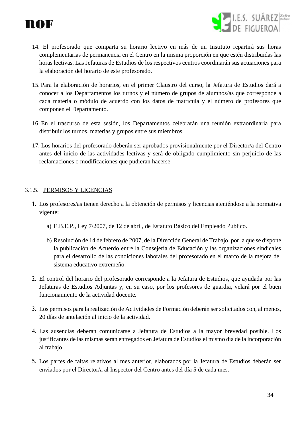



- 14. El profesorado que comparta su horario lectivo en más de un Instituto repartirá sus horas complementarias de permanencia en el Centro en la misma proporción en que estén distribuidas las horas lectivas. Las Jefaturas de Estudios de los respectivos centros coordinarán sus actuaciones para la elaboración del horario de este profesorado.
- 15. Para la elaboración de horarios, en el primer Claustro del curso, la Jefatura de Estudios dará a conocer a los Departamentos los turnos y el número de grupos de alumnos/as que corresponde a cada materia o módulo de acuerdo con los datos de matrícula y el número de profesores que componen el Departamento.
- 16. En el trascurso de esta sesión, los Departamentos celebrarán una reunión extraordinaria para distribuir los turnos, materias y grupos entre sus miembros.
- 17. Los horarios del profesorado deberán ser aprobados provisionalmente por el Director/a del Centro antes del inicio de las actividades lectivas y será de obligado cumplimiento sin perjuicio de las reclamaciones o modificaciones que pudieran hacerse.

#### <span id="page-33-0"></span>3.1.5. PERMISOS Y LICENCIAS

- 1. Los profesores/as tienen derecho a la obtención de permisos y licencias ateniéndose a la normativa vigente:
	- a) E.B.E.P., Ley 7/2007, de 12 de abril, de Estatuto Básico del Empleado Público.
	- b) Resolución de 14 de febrero de 2007, de la Dirección General de Trabajo, por la que se dispone la publicación de Acuerdo entre la Consejería de Educación y las organizaciones sindicales para el desarrollo de las condiciones laborales del profesorado en el marco de la mejora del sistema educativo extremeño.
- 2. El control del horario del profesorado corresponde a la Jefatura de Estudios, que ayudada por las Jefaturas de Estudios Adjuntas y, en su caso, por los profesores de guardia, velará por el buen funcionamiento de la actividad docente.
- 3. Los permisos para la realización de Actividades de Formación deberán ser solicitados con, al menos, 20 días de antelación al inicio de la actividad.
- 4. Las ausencias deberán comunicarse a Jefatura de Estudios a la mayor brevedad posible. Los justificantes de las mismas serán entregados en Jefatura de Estudios el mismo día de la incorporación al trabajo.
- 5. Los partes de faltas relativos al mes anterior, elaborados por la Jefatura de Estudios deberán ser enviados por el Director/a al Inspector del Centro antes del día 5 de cada mes.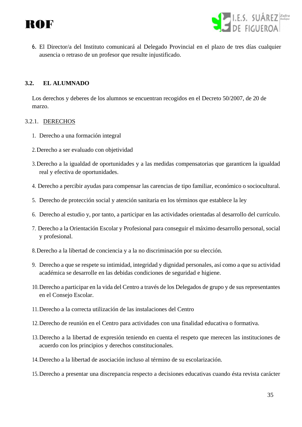



6. El Director/a del Instituto comunicará al Delegado Provincial en el plazo de tres días cualquier ausencia o retraso de un profesor que resulte injustificado.

#### <span id="page-34-0"></span>**3.2. EL ALUMNADO**

Los derechos y deberes de los alumnos se encuentran recogidos en el Decreto 50/2007, de 20 de marzo.

#### <span id="page-34-1"></span>3.2.1. DERECHOS

- 1. Derecho a una formación integral
- 2.Derecho a ser evaluado con objetividad
- 3.Derecho a la igualdad de oportunidades y a las medidas compensatorias que garanticen la igualdad real y efectiva de oportunidades.
- 4. Derecho a percibir ayudas para compensar las carencias de tipo familiar, económico o sociocultural.
- 5. Derecho de protección social y atención sanitaria en los términos que establece la ley
- 6. Derecho al estudio y, por tanto, a participar en las actividades orientadas al desarrollo del currículo.
- 7. Derecho a la Orientación Escolar y Profesional para conseguir el máximo desarrollo personal, social y profesional.
- 8.Derecho a la libertad de conciencia y a la no discriminación por su elección.
- 9. Derecho a que se respete su intimidad, integridad y dignidad personales, así como a que su actividad académica se desarrolle en las debidas condiciones de seguridad e higiene.
- 10.Derecho a participar en la vida del Centro a través de los Delegados de grupo y de sus representantes en el Consejo Escolar.
- 11.Derecho a la correcta utilización de las instalaciones del Centro
- 12.Derecho de reunión en el Centro para actividades con una finalidad educativa o formativa.
- 13.Derecho a la libertad de expresión teniendo en cuenta el respeto que merecen las instituciones de acuerdo con los principios y derechos constitucionales.
- 14.Derecho a la libertad de asociación incluso al término de su escolarización.
- 15.Derecho a presentar una discrepancia respecto a decisiones educativas cuando ésta revista carácter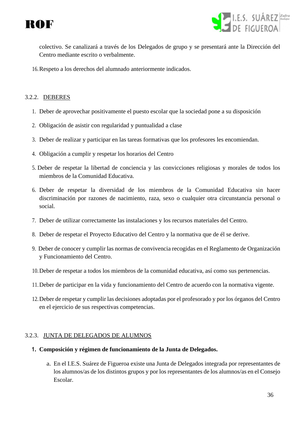



colectivo. Se canalizará a través de los Delegados de grupo y se presentará ante la Dirección del Centro mediante escrito o verbalmente.

16.Respeto a los derechos del alumnado anteriormente indicados.

#### <span id="page-35-0"></span>3.2.2. DEBERES

- 1. Deber de aprovechar positivamente el puesto escolar que la sociedad pone a su disposición
- 2. Obligación de asistir con regularidad y puntualidad a clase
- 3. Deber de realizar y participar en las tareas formativas que los profesores les encomiendan.
- 4. Obligación a cumplir y respetar los horarios del Centro
- 5. Deber de respetar la libertad de conciencia y las convicciones religiosas y morales de todos los miembros de la Comunidad Educativa.
- 6. Deber de respetar la diversidad de los miembros de la Comunidad Educativa sin hacer discriminación por razones de nacimiento, raza, sexo o cualquier otra circunstancia personal o social.
- 7. Deber de utilizar correctamente las instalaciones y los recursos materiales del Centro.
- 8. Deber de respetar el Proyecto Educativo del Centro y la normativa que de él se derive.
- 9. Deber de conocer y cumplir las normas de convivencia recogidas en el Reglamento de Organización y Funcionamiento del Centro.
- 10.Deber de respetar a todos los miembros de la comunidad educativa, así como sus pertenencias.
- 11.Deber de participar en la vida y funcionamiento del Centro de acuerdo con la normativa vigente.
- 12.Deber de respetar y cumplir las decisiones adoptadas por el profesorado y por los órganos del Centro en el ejercicio de sus respectivas competencias.

#### <span id="page-35-1"></span>3.2.3. JUNTA DE DELEGADOS DE ALUMNOS

#### **1. Composición y régimen de funcionamiento de la Junta de Delegados.**

a. En el I.E.S. Suárez de Figueroa existe una Junta de Delegados integrada por representantes de los alumnos/as de los distintos grupos y por los representantes de los alumnos/as en el Consejo Escolar.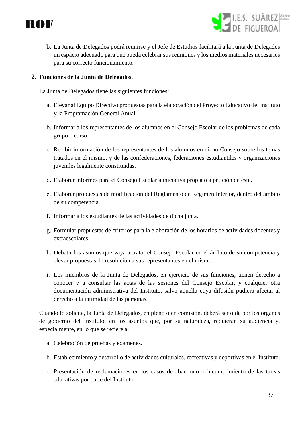

- I.E.S. SUÁREZ *zafra*<br>DE EIGLIEROA
- b. La Junta de Delegados podrá reunirse y el Jefe de Estudios facilitará a la Junta de Delegados un espacio adecuado para que pueda celebrar sus reuniones y los medios materiales necesarios para su correcto funcionamiento.

#### **2. Funciones de la Junta de Delegados.**

La Junta de Delegados tiene las siguientes funciones:

- a. Elevar al Equipo Directivo propuestas para la elaboración del Proyecto Educativo del Instituto y la Programación General Anual.
- b. Informar a los representantes de los alumnos en el Consejo Escolar de los problemas de cada grupo o curso.
- c. Recibir información de los representantes de los alumnos en dicho Consejo sobre los temas tratados en el mismo, y de las confederaciones, federaciones estudiantiles y organizaciones juveniles legalmente constituidas.
- d. Elaborar informes para el Consejo Escolar a iniciativa propia o a petición de éste.
- e. Elaborar propuestas de modificación del Reglamento de Régimen Interior, dentro del ámbito de su competencia.
- f. Informar a los estudiantes de las actividades de dicha junta.
- g. Formular propuestas de criterios para la elaboración de los horarios de actividades docentes y extraescolares.
- h. Debatir los asuntos que vaya a tratar el Consejo Escolar en el ámbito de su competencia y elevar propuestas de resolución a sus representantes en el mismo.
- i. Los miembros de la Junta de Delegados, en ejercicio de sus funciones, tienen derecho a conocer y a consultar las actas de las sesiones del Consejo Escolar, y cualquier otra documentación administrativa del Instituto, salvo aquella cuya difusión pudiera afectar al derecho a la intimidad de las personas.

Cuando lo solicite, la Junta de Delegados, en pleno o en comisión, deberá ser oída por los órganos de gobierno del Instituto, en los asuntos que, por su naturaleza, requieran su audiencia y, especialmente, en lo que se refiere a:

- a. Celebración de pruebas y exámenes.
- b. Establecimiento y desarrollo de actividades culturales, recreativas y deportivas en el Instituto.
- c. Presentación de reclamaciones en los casos de abandono o incumplimiento de las tareas educativas por parte del Instituto.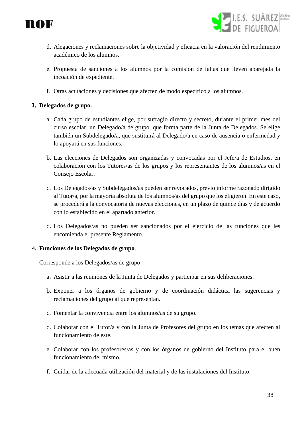



- d. Alegaciones y reclamaciones sobre la objetividad y eficacia en la valoración del rendimiento académico de los alumnos.
- e. Propuesta de sanciones a los alumnos por la comisión de faltas que lleven aparejada la incoación de expediente.
- f. Otras actuaciones y decisiones que afecten de modo específico a los alumnos.

# **3. Delegados de grupo.**

- a. Cada grupo de estudiantes elige, por sufragio directo y secreto, durante el primer mes del curso escolar, un Delegado/a de grupo, que forma parte de la Junta de Delegados. Se elige también un Subdelegado/a, que sustituirá al Delegado/a en caso de ausencia o enfermedad y lo apoyará en sus funciones.
- b. Las elecciones de Delegados son organizadas y convocadas por el Jefe/a de Estudios, en colaboración con los Tutores/as de los grupos y los representantes de los alumnos/as en el Consejo Escolar.
- c. Los Delegados/as y Subdelegados/as pueden ser revocados, previo informe razonado dirigido al Tutor/a, por la mayoría absoluta de los alumnos/as del grupo que los eligieron. En este caso, se procederá a la convocatoria de nuevas elecciones, en un plazo de quince días y de acuerdo con lo establecido en el apartado anterior.
- d. Los Delegados/as no pueden ser sancionados por el ejercicio de las funciones que les encomienda el presente Reglamento.

#### 4. **Funciones de los Delegados de grupo**.

Corresponde a los Delegados/as de grupo:

- a. Asistir a las reuniones de la Junta de Delegados y participar en sus deliberaciones.
- b. Exponer a los órganos de gobierno y de coordinación didáctica las sugerencias y reclamaciones del grupo al que representan.
- c. Fomentar la convivencia entre los alumnos/as de su grupo.
- d. Colaborar con el Tutor/a y con la Junta de Profesores del grupo en los temas que afecten al funcionamiento de éste.
- e. Colaborar con los profesores/as y con los órganos de gobierno del Instituto para el buen funcionamiento del mismo.
- f. Cuidar de la adecuada utilización del material y de las instalaciones del Instituto.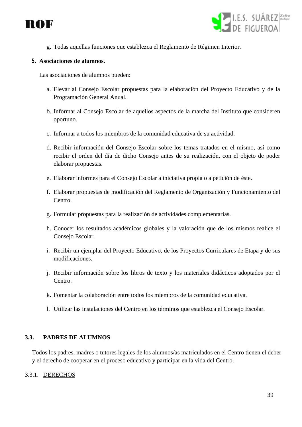



g. Todas aquellas funciones que establezca el Reglamento de Régimen Interior.

#### **5. Asociaciones de alumnos.**

Las asociaciones de alumnos pueden:

- a. Elevar al Consejo Escolar propuestas para la elaboración del Proyecto Educativo y de la Programación General Anual.
- b. Informar al Consejo Escolar de aquellos aspectos de la marcha del Instituto que consideren oportuno.
- c. Informar a todos los miembros de la comunidad educativa de su actividad.
- d. Recibir información del Consejo Escolar sobre los temas tratados en el mismo, así como recibir el orden del día de dicho Consejo antes de su realización, con el objeto de poder elaborar propuestas.
- e. Elaborar informes para el Consejo Escolar a iniciativa propia o a petición de éste.
- f. Elaborar propuestas de modificación del Reglamento de Organización y Funcionamiento del Centro.
- g. Formular propuestas para la realización de actividades complementarias.
- h. Conocer los resultados académicos globales y la valoración que de los mismos realice el Consejo Escolar.
- i. Recibir un ejemplar del Proyecto Educativo, de los Proyectos Curriculares de Etapa y de sus modificaciones.
- j. Recibir información sobre los libros de texto y los materiales didácticos adoptados por el Centro.
- k. Fomentar la colaboración entre todos los miembros de la comunidad educativa.
- l. Utilizar las instalaciones del Centro en los términos que establezca el Consejo Escolar.

#### **3.3. PADRES DE ALUMNOS**

Todos los padres, madres o tutores legales de los alumnos/as matriculados en el Centro tienen el deber y el derecho de cooperar en el proceso educativo y participar en la vida del Centro.

#### 3.3.1. DERECHOS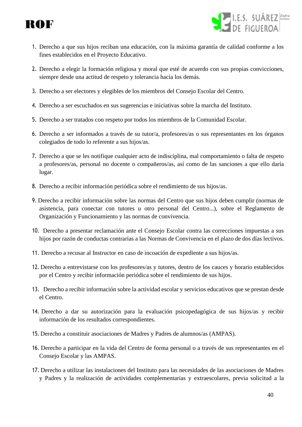



- 1. Derecho a que sus hijos reciban una educación, con la máxima garantía de calidad conforme a los fines establecidos en el Proyecto Educativo.
- 2. Derecho a elegir la formación religiosa y moral que esté de acuerdo con sus propias convicciones, siempre desde una actitud de respeto y tolerancia hacia los demás.
- 3. Derecho a ser electores y elegibles de los miembros del Consejo Escolar del Centro.
- 4. Derecho a ser escuchados en sus sugerencias e iniciativas sobre la marcha del Instituto.
- 5. Derecho a ser tratados con respeto por todos los miembros de la Comunidad Escolar.
- 6. Derecho a ser informados a través de su tutor/a, profesores/as o sus representantes en los órganos colegiados de todo lo referente a sus hijos/as.
- 7. Derecho a que se les notifique cualquier acto de indisciplina, mal comportamiento o falta de respeto a profesores/as, personal no docente o compañeros/as, así como de las sanciones a que ello daría lugar.
- 8. Derecho a recibir información periódica sobre el rendimiento de sus hijos/as.
- 9. Derecho a recibir información sobre las normas del Centro que sus hijos deben cumplir (normas de asistencia, para conectar con tutores u otro personal del Centro...), sobre el Reglamento de Organización y Funcionamiento y las normas de convivencia.
- 10. Derecho a presentar reclamación ante el Consejo Escolar contra las correcciones impuestas a sus hijos por razón de conductas contrarias a las Normas de Convivencia en el plazo de dos días lectivos.
- 11. Derecho a recusar al Instructor en caso de incoación de expediente a sus hijos/as.
- 12. Derecho a entrevistarse con los profesores/as y tutores, dentro de los cauces y horario establecidos por el Centro y recibir información periódica sobre el rendimiento de sus hijos.
- 13. Derecho a recibir información sobre la actividad escolar y servicios educativos que se prestan desde el Centro.
- 14. Derecho a dar su autorización para la evaluación psicopedagógica de sus hijos/as y recibir información de los resultados correspondientes.
- 15. Derecho a constituir asociaciones de Madres y Padres de alumnos/as (AMPAS).
- 16. Derecho a participar en la vida del Centro de forma personal o a través de sus representantes en el Consejo Escolar y las AMPAS.
- 17. Derecho a utilizar las instalaciones del Instituto para las necesidades de las asociaciones de Madres y Padres y la realización de actividades complementarias y extraescolares, previa solicitud a la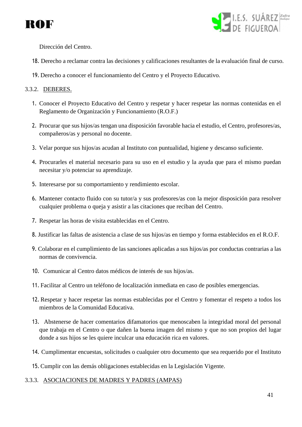



Dirección del Centro.

- 18. Derecho a reclamar contra las decisiones y calificaciones resultantes de la evaluación final de curso.
- 19. Derecho a conocer el funcionamiento del Centro y el Proyecto Educativo.

# 3.3.2. DEBERES.

- 1. Conocer el Proyecto Educativo del Centro y respetar y hacer respetar las normas contenidas en el Reglamento de Organización y Funcionamiento (R.O.F.)
- 2. Procurar que sus hijos/as tengan una disposición favorable hacia el estudio, el Centro, profesores/as, compañeros/as y personal no docente.
- 3. Velar porque sus hijos/as acudan al Instituto con puntualidad, higiene y descanso suficiente.
- 4. Procurarles el material necesario para su uso en el estudio y la ayuda que para el mismo puedan necesitar y/o potenciar su aprendizaje.
- 5. Interesarse por su comportamiento y rendimiento escolar.
- 6. Mantener contacto fluido con su tutor/a y sus profesores/as con la mejor disposición para resolver cualquier problema o queja y asistir a las citaciones que reciban del Centro.
- 7. Respetar las horas de visita establecidas en el Centro.
- 8. Justificar las faltas de asistencia a clase de sus hijos/as en tiempo y forma establecidos en el R.O.F.
- 9. Colaborar en el cumplimiento de las sanciones aplicadas a sus hijos/as por conductas contrarias a las normas de convivencia.
- 10. Comunicar al Centro datos médicos de interés de sus hijos/as.
- 11. Facilitar al Centro un teléfono de localización inmediata en caso de posibles emergencias.
- 12. Respetar y hacer respetar las normas establecidas por el Centro y fomentar el respeto a todos los miembros de la Comunidad Educativa.
- 13. Abstenerse de hacer comentarios difamatorios que menoscaben la integridad moral del personal que trabaja en el Centro o que dañen la buena imagen del mismo y que no son propios del lugar donde a sus hijos se les quiere inculcar una educación rica en valores.
- 14. Cumplimentar encuestas, solicitudes o cualquier otro documento que sea requerido por el Instituto
- 15. Cumplir con las demás obligaciones establecidas en la Legislación Vigente.

#### 3.3.3. ASOCIACIONES DE MADRES Y PADRES (AMPAS)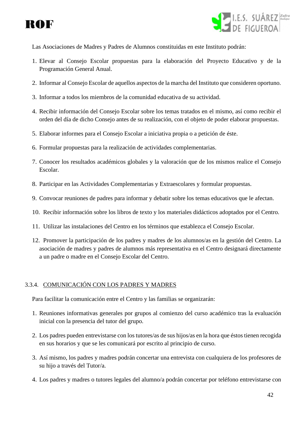



Las Asociaciones de Madres y Padres de Alumnos constituidas en este Instituto podrán:

- 1. Elevar al Consejo Escolar propuestas para la elaboración del Proyecto Educativo y de la Programación General Anual.
- 2. Informar al Consejo Escolar de aquellos aspectos de la marcha del Instituto que consideren oportuno.
- 3. Informar a todos los miembros de la comunidad educativa de su actividad.
- 4. Recibir información del Consejo Escolar sobre los temas tratados en el mismo, así como recibir el orden del día de dicho Consejo antes de su realización, con el objeto de poder elaborar propuestas.
- 5. Elaborar informes para el Consejo Escolar a iniciativa propia o a petición de éste.
- 6. Formular propuestas para la realización de actividades complementarias.
- 7. Conocer los resultados académicos globales y la valoración que de los mismos realice el Consejo Escolar.
- 8. Participar en las Actividades Complementarias y Extraescolares y formular propuestas.
- 9. Convocar reuniones de padres para informar y debatir sobre los temas educativos que le afectan.
- 10. Recibir información sobre los libros de texto y los materiales didácticos adoptados por el Centro.
- 11. Utilizar las instalaciones del Centro en los términos que establezca el Consejo Escolar.
- 12. Promover la participación de los padres y madres de los alumnos/as en la gestión del Centro. La asociación de madres y padres de alumnos más representativa en el Centro designará directamente a un padre o madre en el Consejo Escolar del Centro.

#### 3.3.4. COMUNICACIÓN CON LOS PADRES Y MADRES

Para facilitar la comunicación entre el Centro y las familias se organizarán:

- 1. Reuniones informativas generales por grupos al comienzo del curso académico tras la evaluación inicial con la presencia del tutor del grupo.
- 2. Los padres pueden entrevistarse con los tutores/as de sus hijos/as en la hora que éstos tienen recogida en sus horarios y que se les comunicará por escrito al principio de curso.
- 3. Así mismo, los padres y madres podrán concertar una entrevista con cualquiera de los profesores de su hijo a través del Tutor/a.
- 4. Los padres y madres o tutores legales del alumno/a podrán concertar por teléfono entrevistarse con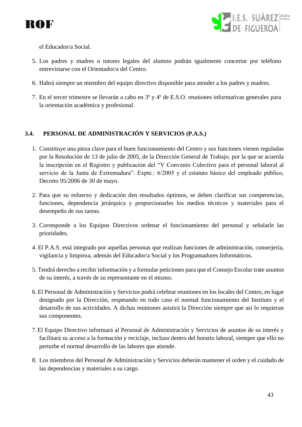



el Educador/a Social.

- 5. Los padres y madres o tutores legales del alumno podrán igualmente concertar por teléfono entrevistarse con el Orientador/a del Centro.
- 6. Habrá siempre un miembro del equipo directivo disponible para atender a los padres y madres.
- 7. En el tercer trimestre se llevarán a cabo en 3º y 4º de E.S.O. reuniones informativas generales para la orientación académica y profesional.

# **3.4. PERSONAL DE ADMINISTRACIÓN Y SERVICIOS (P.A.S.)**

- 1. Constituye una pieza clave para el buen funcionamiento del Centro y sus funciones vienen reguladas por la Resolución de 13 de julio de 2005, de la Dirección General de Trabajo, por la que se acuerda la inscripción en el Registro y publicación del "V Convenio Colectivo para el personal laboral al servicio de la Junta de Extremadura". Expte.: 6/2005 y el estatuto básico del empleado público, Decreto 95/2006 de 30 de mayo.
- 2. Para que su esfuerzo y dedicación den resultados óptimos, se deben clarificar sus competencias, funciones, dependencia jerárquica y proporcionarles los medios técnicos y materiales para el desempeño de sus tareas.
- 3. Corresponde a los Equipos Directivos ordenar el funcionamiento del personal y señalarle las prioridades.
- 4. El P.A.S. está integrado por aquellas personas que realizan funciones de administración, conserjería, vigilancia y limpieza, además del Educador/a Social y los Programadores Informáticos.
- 5. Tendrá derecho a recibir información y a formular peticiones para que el Consejo Escolar trate asuntos de su interés, a través de su representante en el mismo.
- 6. El Personal de Administración y Servicios podrá celebrar reuniones en los locales del Centro, en lugar designado por la Dirección, respetando en todo caso el normal funcionamiento del Instituto y el desarrollo de sus actividades. A dichas reuniones asistirá la Dirección siempre que así lo requieran sus componentes.
- 7.El Equipo Directivo informará al Personal de Administración y Servicios de asuntos de su interés y facilitará su acceso a la formación y reciclaje, incluso dentro del horario laboral, siempre que ello no perturbe el normal desarrollo de las labores que atiende.
- 8. Los miembros del Personal de Administración y Servicios deberán mantener el orden y el cuidado de las dependencias y materiales a su cargo.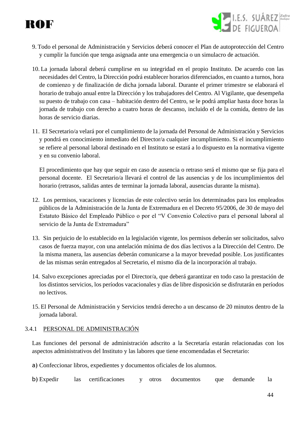# ROF

- LE.S. SUÁREZ Zafra
- 9. Todo el personal de Administración y Servicios deberá conocer el Plan de autoprotección del Centro y cumplir la función que tenga asignada ante una emergencia o un simulacro de actuación.
- 10. La jornada laboral deberá cumplirse en su integridad en el propio Instituto. De acuerdo con las necesidades del Centro, la Dirección podrá establecer horarios diferenciados, en cuanto a turnos, hora de comienzo y de finalización de dicha jornada laboral. Durante el primer trimestre se elaborará el horario de trabajo anual entre la Dirección y los trabajadores del Centro. Al Vigilante, que desempeña su puesto de trabajo con casa – habitación dentro del Centro, se le podrá ampliar hasta doce horas la jornada de trabajo con derecho a cuatro horas de descanso, incluido el de la comida, dentro de las horas de servicio diarias.
- 11. El Secretario/a velará por el cumplimiento de la jornada del Personal de Administración y Servicios y pondrá en conocimiento inmediato del Director/a cualquier incumplimiento. Si el incumplimiento se refiere al personal laboral destinado en el Instituto se estará a lo dispuesto en la normativa vigente y en su convenio laboral.

El procedimiento que hay que seguir en caso de ausencia o retraso será el mismo que se fija para el personal docente. El Secretario/a llevará el control de las ausencias y de los incumplimientos del horario (retrasos, salidas antes de terminar la jornada laboral, ausencias durante la misma).

- 12. Los permisos, vacaciones y licencias de este colectivo serán los determinados para los empleados públicos de la Administración de la Junta de Extremadura en el Decreto 95/2006, de 30 de mayo del Estatuto Básico del Empleado Público o por el "V Convenio Colectivo para el personal laboral al servicio de la Junta de Extremadura"
- 13. Sin perjuicio de lo establecido en la legislación vigente, los permisos deberán ser solicitados, salvo casos de fuerza mayor, con una antelación mínima de dos días lectivos a la Dirección del Centro. De la misma manera, las ausencias deberán comunicarse a la mayor brevedad posible. Los justificantes de las mismas serán entregados al Secretario, el mismo día de la incorporación al trabajo.
- 14. Salvo excepciones apreciadas por el Director/a, que deberá garantizar en todo caso la prestación de los distintos servicios, los períodos vacacionales y días de libre disposición se disfrutarán en períodos no lectivos.
- 15. El Personal de Administración y Servicios tendrá derecho a un descanso de 20 minutos dentro de la jornada laboral.

# 3.4.1 PERSONAL DE ADMINISTRACIÓN

Las funciones del personal de administración adscrito a la Secretaría estarán relacionadas con los aspectos administrativos del Instituto y las labores que tiene encomendadas el Secretario:

- a) Confeccionar libros, expedientes y documentos oficiales de los alumnos.
- b) Expedir las certificaciones y otros documentos que demande la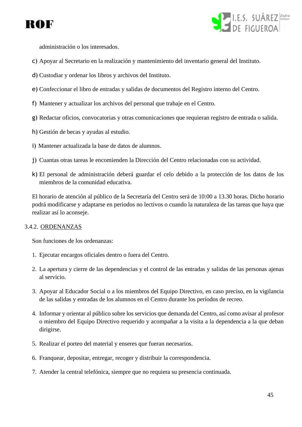



administración o los interesados.

- c) Apoyar al Secretario en la realización y mantenimiento del inventario general del Instituto.
- d) Custodiar y ordenar los libros y archivos del Instituto.
- e) Confeccionar el libro de entradas y salidas de documentos del Registro interno del Centro.
- f) Mantener y actualizar los archivos del personal que trabaje en el Centro.
- g) Redactar oficios, convocatorias y otras comunicaciones que requieran registro de entrada o salida.
- h) Gestión de becas y ayudas al estudio.
- i) Mantener actualizada la base de datos de alumnos.
- j) Cuantas otras tareas le encomienden la Dirección del Centro relacionadas con su actividad.
- k) El personal de administración deberá guardar el celo debido a la protección de los datos de los miembros de la comunidad educativa.

El horario de atención al público de la Secretaría del Centro será de 10:00 a 13.30 horas. Dicho horario podrá modificarse y adaptarse en periodos no lectivos o cuando la naturaleza de las tareas que haya que realizar así lo aconseje.

#### 3.4.2. ORDENANZAS

Son funciones de los ordenanzas:

- 1. Ejecutar encargos oficiales dentro o fuera del Centro.
- 2. La apertura y cierre de las dependencias y el control de las entradas y salidas de las personas ajenas al servicio.
- 3. Apoyar al Educador Social o a los miembros del Equipo Directivo, en caso preciso, en la vigilancia de las salidas y entradas de los alumnos en el Centro durante los períodos de recreo.
- 4. Informar y orientar al público sobre los servicios que demanda del Centro, así como avisar al profesor o miembro del Equipo Directivo requerido y acompañar a la visita a la dependencia a la que deban dirigirse.
- 5. Realizar el porteo del material y enseres que fueran necesarios.
- 6. Franquear, depositar, entregar, recoger y distribuir la correspondencia.
- 7. Atender la central telefónica, siempre que no requiera su presencia continuada.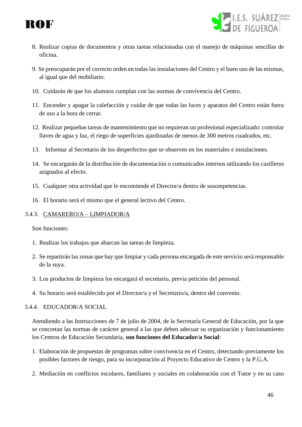



- 8. Realizar copias de documentos y otras tareas relacionadas con el manejo de máquinas sencillas de oficina.
- 9. Se preocuparán por el correcto orden en todas las instalaciones del Centro y el buen uso de las mismas, al igual que del mobiliario.
- 10. Cuidarán de que los alumnos cumplan con las normas de convivencia del Centro.
- 11. Encender y apagar la calefacción y cuidar de que todas las luces y aparatos del Centro están fuera de uso a la hora de cerrar.
- 12. Realizar pequeñas tareas de mantenimiento que no requieran un profesional especializado: controlar llaves de agua y luz, el riego de superficies ajardinadas de menos de 300 metros cuadrados, etc.
- 13. Informar al Secretario de los desperfectos que se observen en los materiales e instalaciones.
- 14. Se encargarán de la distribución de documentación o comunicados internos utilizando los casilleros asignados al efecto.
- 15. Cualquier otra actividad que le encomiende el Director/a dentro de susompetencias.
- 16. El horario será el mismo que el general lectivo del Centro.

#### 3.4.3. CAMARERO/A – LIMPIADOR/A

Son funciones:

- 1. Realizar los trabajos que abarcan las tareas de limpieza.
- 2. Se repartirán las zonas que hay que limpiar y cada persona encargada de este servicio será responsable de la suya.
- 3. Los productos de limpieza los encargará el secretario, previa petición del personal.
- 4. Su horario será establecido por el Director/a y el Secretario/a, dentro del convenio.

#### 3.4.4. EDUCADOR/A SOCIAL

Atendiendo a las Instrucciones de 7 de julio de 2004, de la Secretaría General de Educación, por la que se concretan las normas de carácter general a las que deben adecuar su organización y funcionamiento los Centros de Educación Secundaria, **son funciones del Educador/a Social**:

- 1. Elaboración de propuestas de programas sobre convivencia en el Centro, detectando previamente los posibles factores de riesgo, para su incorporación al Proyecto Educativo de Centro y la P.G.A.
- 2. Mediación en conflictos escolares, familiares y sociales en colaboración con el Tutor y en su caso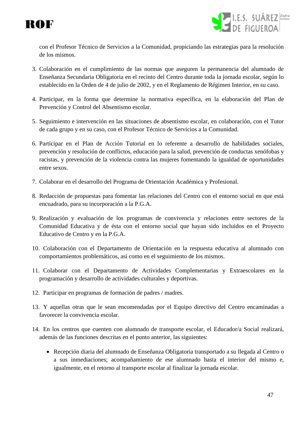



con el Profesor Técnico de Servicios a la Comunidad, propiciando las estrategias para la resolución de los mismos.

- 3. Colaboración en el cumplimiento de las normas que aseguren la permanencia del alumnado de Enseñanza Secundaria Obligatoria en el recinto del Centro durante toda la jornada escolar, según lo establecido en la Orden de 4 de julio de 2002, y en el Reglamento de Régimen Interior, en su caso.
- 4. Participar, en la forma que determine la normativa específica, en la elaboración del Plan de Prevención y Control del Absentismo escolar.
- 5. Seguimiento e intervención en las situaciones de absentismo escolar, en colaboración, con el Tutor de cada grupo y en su caso, con el Profesor Técnico de Servicios a la Comunidad.
- 6. Participar en el Plan de Acción Tutorial en lo referente a desarrollo de habilidades sociales, prevención y resolución de conflictos, educación para la salud, prevención de conductas xenófobas y racistas, y prevención de la violencia contra las mujeres fomentando la igualdad de oportunidades entre sexos.
- 7. Colaborar en el desarrollo del Programa de Orientación Académica y Profesional.
- 8. Redacción de propuestas para fomentar las relaciones del Centro con el entorno social en que está encuadrado, para su incorporación a la P.G.A.
- 9. Realización y evaluación de los programas de convivencia y relaciones entre sectores de la Comunidad Educativa y de ésta con el entorno social que hayan sido incluidos en el Proyecto Educativo de Centro y en la P.G.A.
- 10. Colaboración con el Departamento de Orientación en la respuesta educativa al alumnado con comportamientos problemáticos, así como en el seguimiento de los mismos.
- 11. Colaborar con el Departamento de Actividades Complementarias y Extraescolares en la programación y desarrollo de actividades culturales y deportivas.
- 12. Participar en programas de formación de padres / madres.
- 13. Y aquellas otras que le sean encomendadas por el Equipo directivo del Centro encaminadas a favorecer la convivencia escolar.
- 14. En los centros que cuenten con alumnado de transporte escolar, el Educador/a Social realizará, además de las funciones descritas en el punto anterior, las siguientes:
	- Recepción diaria del alumnado de Enseñanza Obligatoria transportado a su llegada al Centro o a sus inmediaciones; acompañamiento de ese alumnado hasta el interior del mismo e, igualmente, en el retorno al transporte escolar al finalizar la jornada escolar.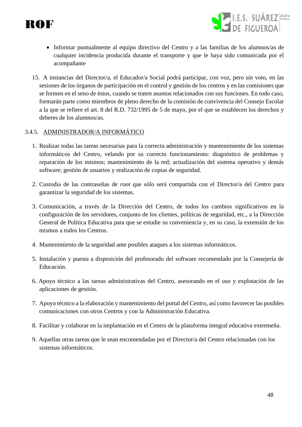



- Informar puntualmente al equipo directivo del Centro y a las familias de los alumnos/as de cualquier incidencia producida durante el transporte y que le haya sido comunicada por el acompañante
- 15. A instancias del Director/a, el Educador/a Social podrá participar, con voz, pero sin voto, en las sesiones de los órganos de participación en el control y gestión de los centros y en las comisiones que se formen en el seno de éstos, cuando se traten asuntos relacionados con sus funciones. En todo caso, formarán parte como miembros de pleno derecho de la comisión de convivencia del Consejo Escolar a la que se refiere el art. 8 del R.D. 732/1995 de 5 de mayo, por el que se establecen los derechos y deberes de los alumnos/as.

#### 3.4.5. ADMINISTRADOR/A INFORMÁTICO

- 1. Realizar todas las tareas necesarias para la correcta administración y mantenimiento de los sistemas informáticos del Centro, velando por su correcto funcionamiento: diagnóstico de problemas y reparación de los mismos; mantenimiento de la red; actualización del sistema operativo y demás software; gestión de usuarios y realización de copias de seguridad.
- 2. Custodia de las contraseñas de *root* que sólo será compartida con el Director/a del Centro para garantizar la seguridad de los sistemas*.*
- 3. Comunicación, a través de la Dirección del Centro, de todos los cambios significativos en la configuración de los servidores, conjunto de los clientes, políticas de seguridad, etc., a la Dirección General de Política Educativa para que se estudie su conveniencia y, en su caso, la extensión de los mismos a todos los Centros.
- 4. Mantenimiento de la seguridad ante posibles ataques a los sistemas informáticos.
- 5. Instalación y puesta a disposición del profesorado del software recomendado por la Consejería de Educación.
- 6. Apoyo técnico a las tareas administrativas del Centro, asesorando en el uso y explotación de las aplicaciones de gestión.
- 7. Apoyo técnico a la elaboración y mantenimiento del portal del Centro, así como favorecer las posibles comunicaciones con otros Centros y con la Administración Educativa.
- 8. Facilitar y colaborar en la implantación en el Centro de la plataforma integral educativa extremeña.
- 9. Aquellas otras tareas que le sean encomendadas por el Director/a del Centro relacionadas con los sistemas informáticos.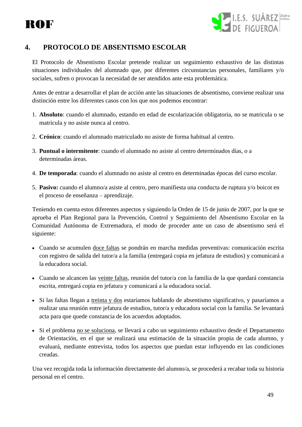# ROF



# **4. PROTOCOLO DE ABSENTISMO ESCOLAR**

El Protocolo de Absentismo Escolar pretende realizar un seguimiento exhaustivo de las distintas situaciones individuales del alumnado que, por diferentes circunstancias personales, familiares y/o sociales, sufren o provocan la necesidad de ser atendidos ante esta problemática.

Antes de entrar a desarrollar el plan de acción ante las situaciones de absentismo, conviene realizar una distinción entre los diferentes casos con los que nos podemos encontrar:

- 1. **Absoluto**: cuando el alumnado, estando en edad de escolarización obligatoria, no se matricula o se matricula y no asiste nunca al centro.
- 2. **Crónico**: cuando el alumnado matriculado no asiste de forma habitual al centro.
- 3. **Puntual o intermitente**: cuando el alumnado no asiste al centro determinados días, o a determinadas áreas.
- 4. **De temporada**: cuando el alumnado no asiste al centro en determinadas épocas del curso escolar.
- 5. **Pasivo:** cuando el alumno/a asiste al centro, pero manifiesta una conducta de ruptura y/o boicot en el proceso de enseñanza – aprendizaje.

Teniendo en cuenta estos diferentes aspectos y siguiendo la Orden de 15 de junio de 2007, por la que se aprueba el Plan Regional para la Prevención, Control y Seguimiento del Absentismo Escolar en la Comunidad Autónoma de Extremadura, el modo de proceder ante un caso de absentismo será el siguiente:

- Cuando se acumulen doce faltas se pondrán en marcha medidas preventivas: comunicación escrita con registro de salida del tutor/a a la familia (entregará copia en jefatura de estudios) y comunicará a la educadora social.
- Cuando se alcancen las veinte faltas, reunión del tutor/a con la familia de la que quedará constancia escrita, entregará copia en jefatura y comunicará a la educadora social.
- Si las faltas llegan a treinta y dos estaríamos hablando de absentismo significativo, y pasaríamos a realizar una reunión entre jefatura de estudios, tutor/a y educadora social con la familia. Se levantará acta para que quede constancia de los acuerdos adoptados.
- Si el problema no se soluciona, se llevará a cabo un seguimiento exhaustivo desde el Departamento de Orientación, en el que se realizará una estimación de la situación propia de cada alumno, y evaluará, mediante entrevista, todos los aspectos que puedan estar influyendo en las condiciones creadas.

Una vez recogida toda la información directamente del alumno/a, se procederá a recabar toda su historia personal en el centro.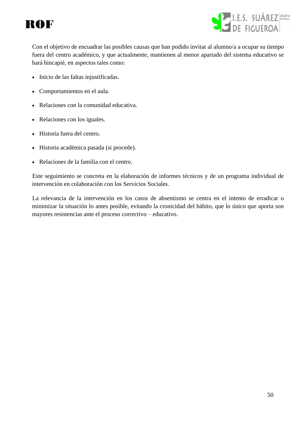



Con el objetivo de encuadrar las posibles causas que han podido invitar al alumno/a a ocupar su tiempo fuera del centro académico, y que actualmente, mantienen al menor apartado del sistema educativo se hará hincapié, en aspectos tales como:

- Inicio de las faltas injustificadas.
- Comportamientos en el aula.
- Relaciones con la comunidad educativa.
- Relaciones con los iguales.
- Historia fuera del centro.
- Historia académica pasada (si procede).
- Relaciones de la familia con el centro.

Este seguimiento se concreta en la elaboración de informes técnicos y de un programa individual de intervención en colaboración con los Servicios Sociales.

La relevancia de la intervención en los casos de absentismo se centra en el intento de erradicar o minimizar la situación lo antes posible, evitando la cronicidad del hábito, que lo único que aporta son mayores resistencias ante el proceso correctivo – educativo.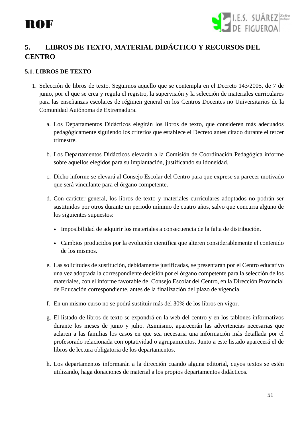

# **5. LIBROS DE TEXTO, MATERIAL DIDÁCTICO Y RECURSOS DEL CENTRO**

# **5.1**. **LIBROS DE TEXTO**

- 1. Selección de libros de texto. Seguimos aquello que se contempla en el Decreto 143/2005, de 7 de junio, por el que se crea y regula el registro, la supervisión y la selección de materiales curriculares para las enseñanzas escolares de régimen general en los Centros Docentes no Universitarios de la Comunidad Autónoma de Extremadura.
	- a. Los Departamentos Didácticos elegirán los libros de texto, que consideren más adecuados pedagógicamente siguiendo los criterios que establece el Decreto antes citado durante el tercer trimestre.
	- b. Los Departamentos Didácticos elevarán a la Comisión de Coordinación Pedagógica informe sobre aquellos elegidos para su implantación, justificando su idoneidad.
	- c. Dicho informe se elevará al Consejo Escolar del Centro para que exprese su parecer motivado que será vinculante para el órgano competente.
	- d. Con carácter general, los libros de texto y materiales curriculares adoptados no podrán ser sustituidos por otros durante un periodo mínimo de cuatro años, salvo que concurra alguno de los siguientes supuestos:
		- Imposibilidad de adquirir los materiales a consecuencia de la falta de distribución.
		- Cambios producidos por la evolución científica que alteren considerablemente el contenido de los mismos.
	- e. Las solicitudes de sustitución, debidamente justificadas, se presentarán por el Centro educativo una vez adoptada la correspondiente decisión por el órgano competente para la selección de los materiales, con el informe favorable del Consejo Escolar del Centro, en la Dirección Provincial de Educación correspondiente, antes de la finalización del plazo de vigencia.
	- f. En un mismo curso no se podrá sustituir más del 30% de los libros en vigor.
	- g. El listado de libros de texto se expondrá en la web del centro y en los tablones informativos durante los meses de junio y julio. Asimismo, aparecerán las advertencias necesarias que aclaren a las familias los casos en que sea necesaria una información más detallada por el profesorado relacionada con optatividad o agrupamientos. Junto a este listado aparecerá el de libros de lectura obligatoria de los departamentos.
	- h. Los departamentos informarán a la dirección cuando alguna editorial, cuyos textos se estén utilizando, haga donaciones de material a los propios departamentos didácticos.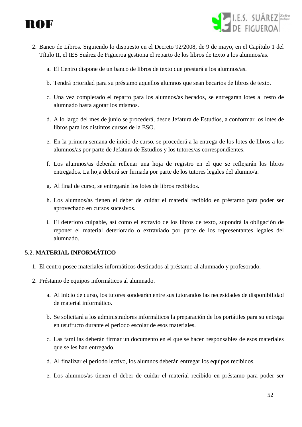



- 2. Banco de Libros. Siguiendo lo dispuesto en el Decreto 92/2008, de 9 de mayo, en el Capítulo 1 del Título II, el IES Suárez de Figueroa gestiona el reparto de los libros de texto a los alumnos/as.
	- a. El Centro dispone de un banco de libros de texto que prestará a los alumnos/as.
	- b. Tendrá prioridad para su préstamo aquellos alumnos que sean becarios de libros de texto.
	- c. Una vez completado el reparto para los alumnos/as becados, se entregarán lotes al resto de alumnado hasta agotar los mismos.
	- d. A lo largo del mes de junio se procederá, desde Jefatura de Estudios, a conformar los lotes de libros para los distintos cursos de la ESO.
	- e. En la primera semana de inicio de curso, se procederá a la entrega de los lotes de libros a los alumnos/as por parte de Jefatura de Estudios y los tutores/as correspondientes.
	- f. Los alumnos/as deberán rellenar una hoja de registro en el que se reflejarán los libros entregados. La hoja deberá ser firmada por parte de los tutores legales del alumno/a.
	- g. Al final de curso, se entregarán los lotes de libros recibidos.
	- h. Los alumnos/as tienen el deber de cuidar el material recibido en préstamo para poder ser aprovechado en cursos sucesivos.
	- i. El deterioro culpable, así como el extravío de los libros de texto, supondrá la obligación de reponer el material deteriorado o extraviado por parte de los representantes legales del alumnado.

# 5.2. **MATERIAL INFORMÁTICO**

- 1. El centro posee materiales informáticos destinados al préstamo al alumnado y profesorado.
- 2. Préstamo de equipos informáticos al alumnado.
	- a. Al inicio de curso, los tutores sondearán entre sus tutorandos las necesidades de disponibilidad de material informático.
	- b. Se solicitará a los administradores informáticos la preparación de los portátiles para su entrega en usufructo durante el periodo escolar de esos materiales.
	- c. Las familias deberán firmar un documento en el que se hacen responsables de esos materiales que se les han entregado.
	- d. Al finalizar el periodo lectivo, los alumnos deberán entregar los equipos recibidos.
	- e. Los alumnos/as tienen el deber de cuidar el material recibido en préstamo para poder ser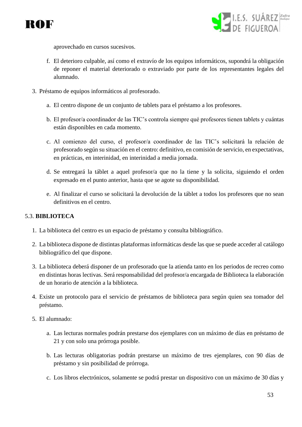



aprovechado en cursos sucesivos.

- f. El deterioro culpable, así como el extravío de los equipos informáticos, supondrá la obligación de reponer el material deteriorado o extraviado por parte de los representantes legales del alumnado.
- 3. Préstamo de equipos informáticos al profesorado.
	- a. El centro dispone de un conjunto de tablets para el préstamo a los profesores.
	- b. El profesor/a coordinador de las TIC's controla siempre qué profesores tienen tablets y cuántas están disponibles en cada momento.
	- c. Al comienzo del curso, el profesor/a coordinador de las TIC's solicitará la relación de profesorado según su situación en el centro: definitivo, en comisión de servicio, en expectativas, en prácticas, en interinidad, en interinidad a media jornada.
	- d. Se entregará la táblet a aquel profesor/a que no la tiene y la solicita, siguiendo el orden expresado en el punto anterior, hasta que se agote su disponibilidad.
	- e. Al finalizar el curso se solicitará la devolución de la táblet a todos los profesores que no sean definitivos en el centro.

### 5.3. **BIBLIOTECA**

- 1. La biblioteca del centro es un espacio de préstamo y consulta bibliográfico.
- 2. La biblioteca dispone de distintas plataformas informáticas desde las que se puede acceder al catálogo bibliográfico del que dispone.
- 3. La biblioteca deberá disponer de un profesorado que la atienda tanto en los periodos de recreo como en distintas horas lectivas. Será responsabilidad del profesor/a encargada de Biblioteca la elaboración de un horario de atención a la biblioteca.
- 4. Existe un protocolo para el servicio de préstamos de biblioteca para según quien sea tomador del préstamo.
- 5. El alumnado:
	- a. Las lecturas normales podrán prestarse dos ejemplares con un máximo de días en préstamo de 21 y con solo una prórroga posible.
	- b. Las lecturas obligatorias podrán prestarse un máximo de tres ejemplares, con 90 días de préstamo y sin posibilidad de prórroga.
	- c. Los libros electrónicos, solamente se podrá prestar un dispositivo con un máximo de 30 días y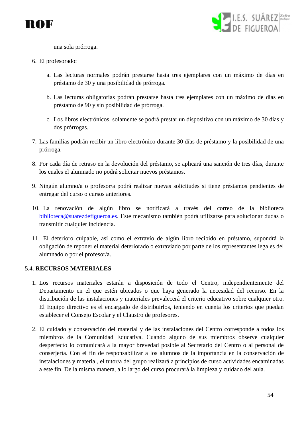



una sola prórroga.

- 6. El profesorado:
	- a. Las lecturas normales podrán prestarse hasta tres ejemplares con un máximo de días en préstamo de 30 y una posibilidad de prórroga.
	- b. Las lecturas obligatorias podrán prestarse hasta tres ejemplares con un máximo de días en préstamo de 90 y sin posibilidad de prórroga.
	- c. Los libros electrónicos, solamente se podrá prestar un dispositivo con un máximo de 30 días y dos prórrogas.
- 7. Las familias podrán recibir un libro electrónico durante 30 días de préstamo y la posibilidad de una prórroga.
- 8. Por cada día de retraso en la devolución del préstamo, se aplicará una sanción de tres días, durante los cuales el alumnado no podrá solicitar nuevos préstamos.
- 9. Ningún alumno/a o profesor/a podrá realizar nuevas solicitudes si tiene préstamos pendientes de entregar del curso o cursos anteriores.
- 10. La renovación de algún libro se notificará a través del correo de la biblioteca [biblioteca@suarezdefigueroa.es.](mailto:biblioteca@suarezdefigueroa.es) Este mecanismo también podrá utilizarse para solucionar dudas o transmitir cualquier incidencia.
- 11. El deterioro culpable, así como el extravío de algún libro recibido en préstamo, supondrá la obligación de reponer el material deteriorado o extraviado por parte de los representantes legales del alumnado o por el profesor/a.

#### 5.4. **RECURSOS MATERIALES**

- 1. Los recursos materiales estarán a disposición de todo el Centro, independientemente del Departamento en el que estén ubicados o que haya generado la necesidad del recurso. En la distribución de las instalaciones y materiales prevalecerá el criterio educativo sobre cualquier otro. El Equipo directivo es el encargado de distribuirlos, teniendo en cuenta los criterios que puedan establecer el Consejo Escolar y el Claustro de profesores.
- 2. El cuidado y conservación del material y de las instalaciones del Centro corresponde a todos los miembros de la Comunidad Educativa. Cuando alguno de sus miembros observe cualquier desperfecto lo comunicará a la mayor brevedad posible al Secretario del Centro o al personal de conserjería. Con el fin de responsabilizar a los alumnos de la importancia en la conservación de instalaciones y material, el tutor/a del grupo realizará a principios de curso actividades encaminadas a este fin. De la misma manera, a lo largo del curso procurará la limpieza y cuidado del aula.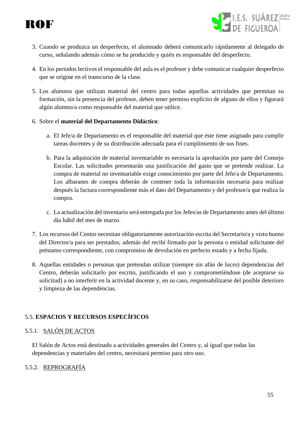

- I.E.S. SUÁREZ Zafra
- 3. Cuando se produzca un desperfecto, el alumnado deberá comunicarlo rápidamente al delegado de curso, señalando además cómo se ha producido y quién es responsable del desperfecto.
- 4. En los periodos lectivos el responsable del aula es el profesor y debe comunicar cualquier desperfecto que se origine en el transcurso de la clase.
- 5. Los alumnos que utilizan material del centro para todas aquellas actividades que permitan su formación, sin la presencia del profesor, deben tener permiso explícito de alguno de ellos y figurará algún alumno/a como responsable del material que utilice.
- 6. Sobre el **material del Departamento Didáctico**:
	- a. El Jefe/a de Departamento es el responsable del material que éste tiene asignado para cumplir tareas docentes y de su distribución adecuada para el cumplimiento de sus fines.
	- b. Para la adquisición de material inventariable es necesaria la aprobación por parte del Consejo Escolar. Las solicitudes presentarán una justificación del gasto que se pretende realizar. La compra de material no inventariable exige conocimiento por parte del Jefe/a de Departamento. Los albaranes de compra deberán de contener toda la información necesaria para realizar después la factura correspondiente más el dato del Departamento y del profesor/a que realiza la compra.
	- c. La actualización del inventario será entregada por los Jefes/as de Departamento antes del último día hábil del mes de marzo.
- 7. Los recursos del Centro necesitan obligatoriamente autorización escrita del Secretario/a y visto bueno del Director/a para ser prestados; además del recibí firmado por la persona o entidad solicitante del préstamo correspondiente, con compromiso de devolución en perfecto estado y a fecha fijada.
- 8. Aquellas entidades o personas que pretendan utilizar (siempre sin afán de lucro) dependencias del Centro, deberán solicitarlo por escrito, justificando el uso y comprometiéndose (de aceptarse su solicitud) a no interferir en la actividad docente y, en su caso, responsabilizarse del posible deterioro y limpieza de las dependencias.

# 5.5. **ESPACIOS Y RECURSOS ESPECÍFICOS**

# 5.5.1. SALÓN DE ACTOS

El Salón de Actos está destinado a actividades generales del Centro y, al igual que todas las dependencias y materiales del centro, necesitará permiso para otro uso.

# 5.5.2. REPROGRAFÍA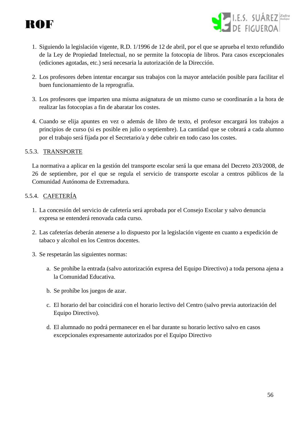



- 1. Siguiendo la legislación vigente, R.D. 1/1996 de 12 de abril, por el que se aprueba el texto refundido de la Ley de Propiedad Intelectual, no se permite la fotocopia de libros. Para casos excepcionales (ediciones agotadas, etc.) será necesaria la autorización de la Dirección.
- 2. Los profesores deben intentar encargar sus trabajos con la mayor antelación posible para facilitar el buen funcionamiento de la reprografía.
- 3. Los profesores que imparten una misma asignatura de un mismo curso se coordinarán a la hora de realizar las fotocopias a fin de abaratar los costes.
- 4. Cuando se elija apuntes en vez o además de libro de texto, el profesor encargará los trabajos a principios de curso (si es posible en julio o septiembre). La cantidad que se cobrará a cada alumno por el trabajo será fijada por el Secretario/a y debe cubrir en todo caso los costes.

#### 5.5.3. TRANSPORTE

La normativa a aplicar en la gestión del transporte escolar será la que emana del Decreto 203/2008, de 26 de septiembre, por el que se regula el servicio de transporte escolar a centros públicos de la Comunidad Autónoma de Extremadura.

#### 5.5.4. CAFETERÍA

- 1. La concesión del servicio de cafetería será aprobada por el Consejo Escolar y salvo denuncia expresa se entenderá renovada cada curso.
- 2. Las cafeterías deberán atenerse a lo dispuesto por la legislación vigente en cuanto a expedición de tabaco y alcohol en los Centros docentes.
- 3. Se respetarán las siguientes normas:
	- a. Se prohíbe la entrada (salvo autorización expresa del Equipo Directivo) a toda persona ajena a la Comunidad Educativa.
	- b. Se prohíbe los juegos de azar.
	- c. El horario del bar coincidirá con el horario lectivo del Centro (salvo previa autorización del Equipo Directivo).
	- d. El alumnado no podrá permanecer en el bar durante su horario lectivo salvo en casos excepcionales expresamente autorizados por el Equipo Directivo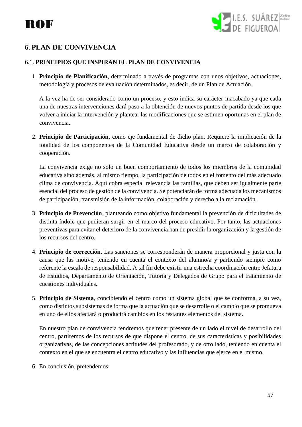

# **6. PLAN DE CONVIVENCIA**

# 6.1. **PRINCIPIOS QUE INSPIRAN EL PLAN DE CONVIVENCIA**

1. **Principio de Planificación**, determinado a través de programas con unos objetivos, actuaciones, metodología y procesos de evaluación determinados, es decir, de un Plan de Actuación.

A la vez ha de ser considerado como un proceso, y esto indica su carácter inacabado ya que cada una de nuestras intervenciones dará paso a la obtención de nuevos puntos de partida desde los que volver a iniciar la intervención y plantear las modificaciones que se estimen oportunas en el plan de convivencia.

2. **Principio de Participación**, como eje fundamental de dicho plan. Requiere la implicación de la totalidad de los componentes de la Comunidad Educativa desde un marco de colaboración y cooperación.

La convivencia exige no solo un buen comportamiento de todos los miembros de la comunidad educativa sino además, al mismo tiempo, la participación de todos en el fomento del más adecuado clima de convivencia. Aquí cobra especial relevancia las familias, que deben ser igualmente parte esencial del proceso de gestión de la convivencia. Se potenciarán de forma adecuada los mecanismos de participación, transmisión de la información, colaboración y derecho a la reclamación.

- 3. **Principio de Prevención**, planteando como objetivo fundamental la prevención de dificultades de distinta índole que pudieran surgir en el marco del proceso educativo. Por tanto, las actuaciones preventivas para evitar el deterioro de la convivencia han de presidir la organización y la gestión de los recursos del centro.
- 4. **Principio de corrección**. Las sanciones se corresponderán de manera proporcional y justa con la causa que las motive, teniendo en cuenta el contexto del alumno/a y partiendo siempre como referente la escala de responsabilidad. A tal fin debe existir una estrecha coordinación entre Jefatura de Estudios, Departamento de Orientación, Tutoría y Delegados de Grupo para el tratamiento de cuestiones individuales.
- 5. **Principio de Sistema**, concibiendo el centro como un sistema global que se conforma, a su vez, como distintos subsistemas de forma que la actuación que se desarrolle o el cambio que se promueva en uno de ellos afectará o producirá cambios en los restantes elementos del sistema.

En nuestro plan de convivencia tendremos que tener presente de un lado el nivel de desarrollo del centro, partiremos de los recursos de que dispone el centro, de sus características y posibilidades organizativas, de las concepciones actitudes del profesorado, y de otro lado, teniendo en cuenta el contexto en el que se encuentra el centro educativo y las influencias que ejerce en el mismo.

6. En conclusión, pretendemos: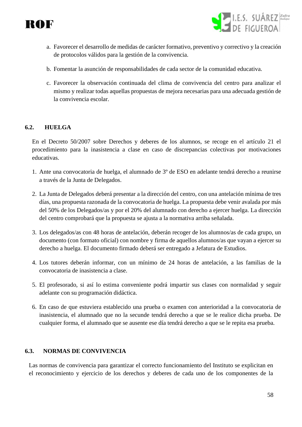



- a. Favorecer el desarrollo de medidas de carácter formativo, preventivo y correctivo y la creación de protocolos válidos para la gestión de la convivencia.
- b. Fomentar la asunción de responsabilidades de cada sector de la comunidad educativa.
- c. Favorecer la observación continuada del clima de convivencia del centro para analizar el mismo y realizar todas aquellas propuestas de mejora necesarias para una adecuada gestión de la convivencia escolar.

# **6.2. HUELGA**

En el Decreto 50/2007 sobre Derechos y deberes de los alumnos, se recoge en el artículo 21 el procedimiento para la inasistencia a clase en caso de discrepancias colectivas por motivaciones educativas.

- 1. Ante una convocatoria de huelga, el alumnado de 3º de ESO en adelante tendrá derecho a reunirse a través de la Junta de Delegados.
- 2. La Junta de Delegados deberá presentar a la dirección del centro, con una antelación mínima de tres días, una propuesta razonada de la convocatoria de huelga. La propuesta debe venir avalada por más del 50% de los Delegados/as y por el 20% del alumnado con derecho a ejercer huelga. La dirección del centro comprobará que la propuesta se ajusta a la normativa arriba señalada.
- 3. Los delegados/as con 48 horas de antelación, deberán recoger de los alumnos/as de cada grupo, un documento (con formato oficial) con nombre y firma de aquellos alumnos/as que vayan a ejercer su derecho a huelga. El documento firmado deberá ser entregado a Jefatura de Estudios.
- 4. Los tutores deberán informar, con un mínimo de 24 horas de antelación, a las familias de la convocatoria de inasistencia a clase.
- 5. El profesorado, si así lo estima conveniente podrá impartir sus clases con normalidad y seguir adelante con su programación didáctica.
- 6. En caso de que estuviera establecido una prueba o examen con anterioridad a la convocatoria de inasistencia, el alumnado que no la secunde tendrá derecho a que se le realice dicha prueba. De cualquier forma, el alumnado que se ausente ese día tendrá derecho a que se le repita esa prueba.

#### **6.3. NORMAS DE CONVIVENCIA**

Las normas de convivencia para garantizar el correcto funcionamiento del Instituto se explicitan en el reconocimiento y ejercicio de los derechos y deberes de cada uno de los componentes de la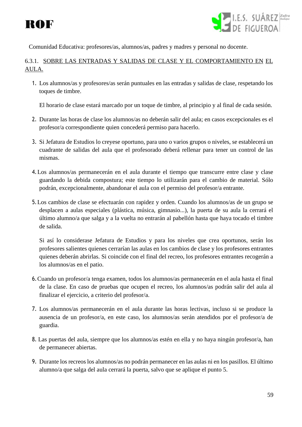



Comunidad Educativa: profesores/as, alumnos/as, padres y madres y personal no docente.

# 6.3.1. SOBRE LAS ENTRADAS Y SALIDAS DE CLASE Y EL COMPORTAMIENTO EN EL AULA.

1. Los alumnos/as y profesores/as serán puntuales en las entradas y salidas de clase, respetando los toques de timbre.

El horario de clase estará marcado por un toque de timbre, al principio y al final de cada sesión.

- 2. Durante las horas de clase los alumnos/as no deberán salir del aula; en casos excepcionales es el profesor/a correspondiente quien concederá permiso para hacerlo.
- 3. Si Jefatura de Estudios lo creyese oportuno, para uno o varios grupos o niveles, se establecerá un cuadrante de salidas del aula que el profesorado deberá rellenar para tener un control de las mismas.
- 4.Los alumnos/as permanecerán en el aula durante el tiempo que transcurre entre clase y clase guardando la debida compostura; este tiempo lo utilizarán para el cambio de material. Sólo podrán, excepcionalmente, abandonar el aula con el permiso del profesor/a entrante.
- 5.Los cambios de clase se efectuarán con rapidez y orden. Cuando los alumnos/as de un grupo se desplacen a aulas especiales (plástica, música, gimnasio...), la puerta de su aula la cerrará el último alumno/a que salga y a la vuelta no entrarán al pabellón hasta que haya tocado el timbre de salida.

Si así lo considerase Jefatura de Estudios y para los niveles que crea oportunos, serán los profesores salientes quienes cerrarían las aulas en los cambios de clase y los profesores entrantes quienes deberán abrirlas. Si coincide con el final del recreo, los profesores entrantes recogerán a los alumnos/as en el patio.

- 6.Cuando un profesor/a tenga examen, todos los alumnos/as permanecerán en el aula hasta el final de la clase. En caso de pruebas que ocupen el recreo, los alumnos/as podrán salir del aula al finalizar el ejercicio, a criterio del profesor/a.
- 7. Los alumnos/as permanecerán en el aula durante las horas lectivas, incluso si se produce la ausencia de un profesor/a, en este caso, los alumnos/as serán atendidos por el profesor/a de guardia.
- 8. Las puertas del aula, siempre que los alumnos/as estén en ella y no haya ningún profesor/a, han de permanecer abiertas.
- 9. Durante los recreos los alumnos/as no podrán permanecer en las aulas ni en los pasillos. El último alumno/a que salga del aula cerrará la puerta, salvo que se aplique el punto 5.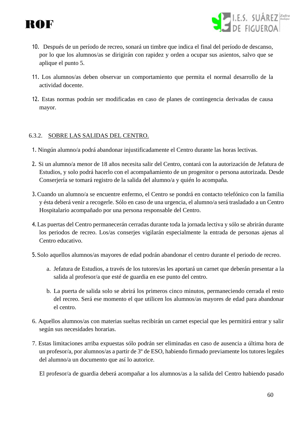

- I.E.S. SUÁREZ Zafra
- 10. Después de un período de recreo, sonará un timbre que indica el final del período de descanso, por lo que los alumnos/as se dirigirán con rapidez y orden a ocupar sus asientos, salvo que se aplique el punto 5.
- 11. Los alumnos/as deben observar un comportamiento que permita el normal desarrollo de la actividad docente.
- 12. Estas normas podrán ser modificadas en caso de planes de contingencia derivadas de causa mayor.

# 6.3.2. SOBRE LAS SALIDAS DEL CENTRO.

- 1. Ningún alumno/a podrá abandonar injustificadamente el Centro durante las horas lectivas.
- 2. Si un alumno/a menor de 18 años necesita salir del Centro, contará con la autorización de Jefatura de Estudios, y solo podrá hacerlo con el acompañamiento de un progenitor o persona autorizada. Desde Conserjería se tomará registro de la salida del alumno/a y quién lo acompaña.
- 3.Cuando un alumno/a se encuentre enfermo, el Centro se pondrá en contacto telefónico con la familia y ésta deberá venir a recogerle. Sólo en caso de una urgencia, el alumno/a será trasladado a un Centro Hospitalario acompañado por una persona responsable del Centro.
- 4.Las puertas del Centro permanecerán cerradas durante toda la jornada lectiva y sólo se abrirán durante los periodos de recreo. Los/as conserjes vigilarán especialmente la entrada de personas ajenas al Centro educativo.
- 5.Solo aquellos alumnos/as mayores de edad podrán abandonar el centro durante el periodo de recreo.
	- a. Jefatura de Estudios, a través de los tutores/as les aportará un carnet que deberán presentar a la salida al profesor/a que esté de guardia en ese punto del centro.
	- b. La puerta de salida solo se abrirá los primeros cinco minutos, permaneciendo cerrada el resto del recreo. Será ese momento el que utilicen los alumnos/as mayores de edad para abandonar el centro.
- 6. Aquellos alumnos/as con materias sueltas recibirán un carnet especial que les permitirá entrar y salir según sus necesidades horarias.
- 7. Estas limitaciones arriba expuestas sólo podrán ser eliminadas en caso de ausencia a última hora de un profesor/a, por alumnos/as a partir de 3º de ESO, habiendo firmado previamente los tutores legales del alumno/a un documento que así lo autorice.

El profesor/a de guardia deberá acompañar a los alumnos/as a la salida del Centro habiendo pasado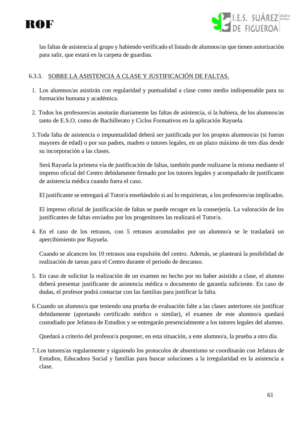



las faltas de asistencia al grupo y habiendo verificado el listado de alumnos/as que tienen autorización para salir, que estará en la carpeta de guardias.

# 6.3.3. SOBRE LA ASISTENCIA A CLASE Y JUSTIFICACIÓN DE FALTAS.

- 1. Los alumnos/as asistirán con regularidad y puntualidad a clase como medio indispensable para su formación humana y académica.
- 2. Todos los profesores/as anotarán diariamente las faltas de asistencia, si la hubiera, de los alumnos/as tanto de E.S.O. como de Bachillerato y Ciclos Formativos en la aplicación Rayuela.
- 3. Toda falta de asistencia o impuntualidad deberá ser justificada por los propios alumnos/as (si fueran mayores de edad) o por sus padres, madres o tutores legales, en un plazo máximo de tres días desde su incorporación a las clases.

Será Rayuela la primera vía de justificación de faltas, también puede realizarse la misma mediante el impreso oficial del Centro debidamente firmado por los tutores legales y acompañado de justificante de asistencia médica cuando fuera el caso.

El justificante se entregará al Tutor/a enseñándolo si así lo requirieran, a los profesores/as implicados.

El impreso oficial de justificación de faltas se puede recoger en la conserjería. La valoración de los justificantes de faltas enviados por los progenitores las realizará el Tutor/a.

4. En el caso de los retrasos, con 5 retrasos acumulados por un alumno/a se le trasladará un apercibimiento por Rayuela.

Cuando se alcancen los 10 retrasos una expulsión del centro. Además, se planteará la posibilidad de realización de tareas para el Centro durante el periodo de descanso.

- 5. En caso de solicitar la realización de un examen no hecho por no haber asistido a clase, el alumno deberá presentar justificante de asistencia médica o documento de garantía suficiente. En caso de dudas, el profesor podrá contactar con las familias para justificar la falta.
- 6.Cuando un alumno/a que teniendo una prueba de evaluación falte a las clases anteriores sin justificar debidamente (aportando certificado médico o similar), el examen de este alumno/a quedará custodiado por Jefatura de Estudios y se entregarán presencialmente a los tutores legales del alumno.

Quedará a criterio del profesor/a posponer, en esta situación, a este alumno/a, la prueba a otro día.

7. Los tutores/as regularmente y siguiendo los protocolos de absentismo se coordinarán con Jefatura de Estudios, Educadora Social y familias para buscar soluciones a la irregularidad en la asistencia a clase.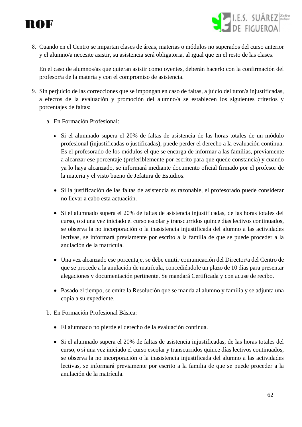



8. Cuando en el Centro se impartan clases de áreas, materias o módulos no superados del curso anterior y el alumno/a necesite asistir, su asistencia será obligatoria, al igual que en el resto de las clases.

En el caso de alumnos/as que quieran asistir como oyentes, deberán hacerlo con la confirmación del profesor/a de la materia y con el compromiso de asistencia.

- 9. Sin perjuicio de las correcciones que se impongan en caso de faltas, a juicio del tutor/a injustificadas, a efectos de la evaluación y promoción del alumno/a se establecen los siguientes criterios y porcentajes de faltas:
	- a. En Formación Profesional:
		- Si el alumnado supera el 20% de faltas de asistencia de las horas totales de un módulo profesional (injustificadas o justificadas), puede perder el derecho a la evaluación continua. Es el profesorado de los módulos el que se encarga de informar a las familias, previamente a alcanzar ese porcentaje (preferiblemente por escrito para que quede constancia) y cuando ya lo haya alcanzado, se informará mediante documento oficial firmado por el profesor de la materia y el visto bueno de Jefatura de Estudios.
		- Si la justificación de las faltas de asistencia es razonable, el profesorado puede considerar no llevar a cabo esta actuación.
		- Si el alumnado supera el 20% de faltas de asistencia injustificadas, de las horas totales del curso, o si una vez iniciado el curso escolar y transcurridos quince días lectivos continuados, se observa la no incorporación o la inasistencia injustificada del alumno a las actividades lectivas, se informará previamente por escrito a la familia de que se puede proceder a la anulación de la matrícula.
		- Una vez alcanzado ese porcentaje, se debe emitir comunicación del Director/a del Centro de que se procede a la anulación de matrícula, concediéndole un plazo de 10 días para presentar alegaciones y documentación pertinente. Se mandará Certificada y con acuse de recibo.
		- Pasado el tiempo, se emite la Resolución que se manda al alumno y familia y se adjunta una copia a su expediente.
	- b. En Formación Profesional Básica:
		- El alumnado no pierde el derecho de la evaluación continua.
		- Si el alumnado supera el 20% de faltas de asistencia injustificadas, de las horas totales del curso, o si una vez iniciado el curso escolar y transcurridos quince días lectivos continuados, se observa la no incorporación o la inasistencia injustificada del alumno a las actividades lectivas, se informará previamente por escrito a la familia de que se puede proceder a la anulación de la matrícula.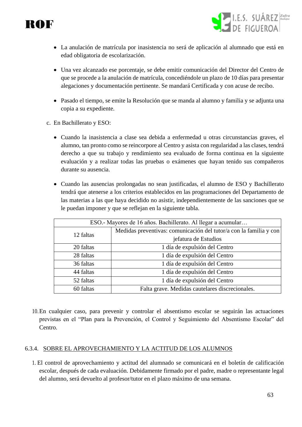

- **SALES.** SUÁREZ<sup>Zafra</sup>
- La anulación de matrícula por inasistencia no será de aplicación al alumnado que está en edad obligatoria de escolarización.
- Una vez alcanzado ese porcentaje, se debe emitir comunicación del Director del Centro de que se procede a la anulación de matrícula, concediéndole un plazo de 10 días para presentar alegaciones y documentación pertinente. Se mandará Certificada y con acuse de recibo.
- Pasado el tiempo, se emite la Resolución que se manda al alumno y familia y se adjunta una copia a su expediente.
- c. En Bachillerato y ESO:
	- Cuando la inasistencia a clase sea debida a enfermedad u otras circunstancias graves, el alumno, tan pronto como se reincorpore al Centro y asista con regularidad a las clases, tendrá derecho a que su trabajo y rendimiento sea evaluado de forma continua en la siguiente evaluación y a realizar todas las pruebas o exámenes que hayan tenido sus compañeros durante su ausencia.
	- Cuando las ausencias prolongadas no sean justificadas, el alumno de ESO y Bachillerato tendrá que atenerse a los criterios establecidos en las programaciones del Departamento de las materias a las que haya decidido no asistir, independientemente de las sanciones que se le puedan imponer y que se reflejan en la siguiente tabla.

| ESO.- Mayores de 16 años. Bachillerato. Al llegar a acumular |                                                                    |
|--------------------------------------------------------------|--------------------------------------------------------------------|
| 12 faltas                                                    | Medidas preventivas: comunicación del tutor/a con la familia y con |
|                                                              | jefatura de Estudios                                               |
| 20 faltas                                                    | 1 día de expulsión del Centro                                      |
| 28 faltas                                                    | 1 día de expulsión del Centro                                      |
| 36 faltas                                                    | 1 día de expulsión del Centro                                      |
| 44 faltas                                                    | 1 día de expulsión del Centro                                      |
| 52 faltas                                                    | 1 día de expulsión del Centro                                      |
| 60 faltas                                                    | Falta grave. Medidas cautelares discrecionales.                    |

10.En cualquier caso, para prevenir y controlar el absentismo escolar se seguirán las actuaciones previstas en el "Plan para la Prevención, el Control y Seguimiento del Absentismo Escolar" del Centro.

# 6.3.4. SOBRE EL APROVECHAMIENTO Y LA ACTITUD DE LOS ALUMNOS

1. El control de aprovechamiento y actitud del alumnado se comunicará en el boletín de calificación escolar, después de cada evaluación. Debidamente firmado por el padre, madre o representante legal del alumno, será devuelto al profesor/tutor en el plazo máximo de una semana.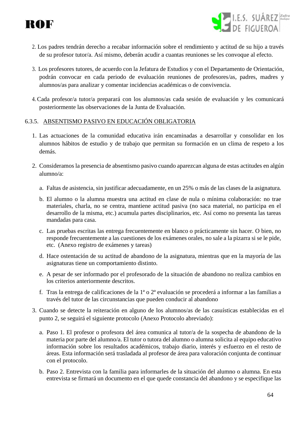



- 2. Los padres tendrán derecho a recabar información sobre el rendimiento y actitud de su hijo a través de su profesor tutor/a. Así mismo, deberán acudir a cuantas reuniones se les convoque al efecto.
- 3. Los profesores tutores, de acuerdo con la Jefatura de Estudios y con el Departamento de Orientación, podrán convocar en cada periodo de evaluación reuniones de profesores/as, padres, madres y alumnos/as para analizar y comentar incidencias académicas o de convivencia.
- 4. Cada profesor/a tutor/a preparará con los alumnos/as cada sesión de evaluación y les comunicará posteriormente las observaciones de la Junta de Evaluación.

# 6.3.5. ABSENTISMO PASIVO EN EDUCACIÓN OBLIGATORIA

- 1. Las actuaciones de la comunidad educativa irán encaminadas a desarrollar y consolidar en los alumnos hábitos de estudio y de trabajo que permitan su formación en un clima de respeto a los demás.
- 2. Consideramos la presencia de absentismo pasivo cuando aparezcan alguna de estas actitudes en algún alumno/a:
	- a. Faltas de asistencia, sin justificar adecuadamente, en un 25% o más de las clases de la asignatura.
	- b. El alumno o la alumna muestra una actitud en clase de nula o mínima colaboración: no trae materiales, charla, no se centra, mantiene actitud pasiva (no saca material, no participa en el desarrollo de la misma, etc.) acumula partes disciplinarios, etc. Así como no presenta las tareas mandadas para casa.
	- c. Las pruebas escritas las entrega frecuentemente en blanco o prácticamente sin hacer. O bien, no responde frecuentemente a las cuestiones de los exámenes orales, no sale a la pizarra si se le pide, etc. (Anexo registro de exámenes y tareas)
	- d. Hace ostentación de su actitud de abandono de la asignatura, mientras que en la mayoría de las asignaturas tiene un comportamiento distinto.
	- e. A pesar de ser informado por el profesorado de la situación de abandono no realiza cambios en los criterios anteriormente descritos.
	- f. Tras la entrega de calificaciones de la 1ª o 2ª evaluación se procederá a informar a las familias a través del tutor de las circunstancias que pueden conducir al abandono
- 3. Cuando se detecte la reiteración en alguno de los alumnos/as de las casuísticas establecidas en el punto 2, se seguirá el siguiente protocolo (Anexo Protocolo abreviado):
	- a. Paso 1. El profesor o profesora del área comunica al tutor/a de la sospecha de abandono de la materia por parte del alumno/a. El tutor o tutora del alumno o alumna solicita al equipo educativo información sobre los resultados académicos, trabajo diario, interés y esfuerzo en el resto de áreas. Esta información será trasladada al profesor de área para valoración conjunta de continuar con el protocolo.
	- b. Paso 2. Entrevista con la familia para informarles de la situación del alumno o alumna. En esta entrevista se firmará un documento en el que quede constancia del abandono y se especifique las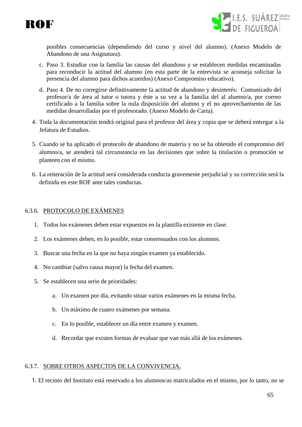



posibles consecuencias (dependiendo del curso y nivel del alumno). (Anexo Modelo de Abandono de una Asignatura).

- c. Paso 3. Estudiar con la familia las causas del abandono y se establecen medidas encaminadas para reconducir la actitud del alumno (en esta parte de la entrevista se aconseja solicitar la presencia del alumno para dichos acuerdos) (Anexo Compromiso educativo).
- d. Paso 4. De no corregirse definitivamente la actitud de abandono y desinterés: Comunicado del profesor/a de área al tutor o tutora y éste a su vez a la familia del al alumno/a, por correo certificado a la familia sobre la nula disposición del alumno y el no aprovechamiento de las medidas desarrolladas por el profesorado. (Anexo Modelo de Carta).
- 4. Toda la documentación tendrá original para el profesor del área y copia que se deberá entregar a la Jefatura de Estudios.
- 5. Cuando se ha aplicado el protocolo de abandono de materia y no se ha obtenido el compromiso del alumno/a, se atenderá tal circunstancia en las decisiones que sobre la titulación o promoción se planteen con el mismo.
- 6. La reiteración de la actitud será considerada conducta gravemente perjudicial y su corrección será la definida en este ROF ante tales conductas.

# 6.3.6. PROTOCOLO DE EXÁMENES

- 1. Todos los exámenes deben estar expuestos en la plantilla existente en clase.
- 2. Los exámenes deben, en lo posible, estar consensuados con los alumnos.
- 3. Buscar una fecha en la que no haya ningún examen ya establecido.
- 4. No cambiar (salvo causa mayor) la fecha del examen.
- 5. Se establecen una serie de prioridades:
	- a. Un examen por día, evitando situar varios exámenes en la misma fecha.
	- b. Un máximo de cuatro exámenes por semana.
	- c. En lo posible, establecer un día entre examen y examen.
	- d. Recordar que existen formas de evaluar que van más allá de los exámenes.

#### 6.3.7. SOBRE OTROS ASPECTOS DE LA CONVIVENCIA.

1. El recinto del Instituto está reservado a los alumnos/as matriculados en el mismo, por lo tanto, no se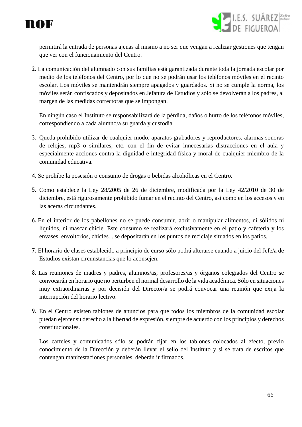



permitirá la entrada de personas ajenas al mismo a no ser que vengan a realizar gestiones que tengan que ver con el funcionamiento del Centro.

2. La comunicación del alumnado con sus familias está garantizada durante toda la jornada escolar por medio de los teléfonos del Centro, por lo que no se podrán usar los teléfonos móviles en el recinto escolar. Los móviles se mantendrán siempre apagados y guardados. Si no se cumple la norma, los móviles serán confiscados y depositados en Jefatura de Estudios y sólo se devolverán a los padres, al margen de las medidas correctoras que se impongan.

En ningún caso el Instituto se responsabilizará de la pérdida, daños o hurto de los teléfonos móviles, correspondiendo a cada alumno/a su guarda y custodia.

- 3. Queda prohibido utilizar de cualquier modo, aparatos grabadores y reproductores, alarmas sonoras de relojes, mp3 o similares, etc. con el fin de evitar innecesarias distracciones en el aula y especialmente acciones contra la dignidad e integridad física y moral de cualquier miembro de la comunidad educativa.
- 4. Se prohíbe la posesión o consumo de drogas o bebidas alcohólicas en el Centro.
- 5. Como establece la Ley 28/2005 de 26 de diciembre, modificada por la Ley 42/2010 de 30 de diciembre, está rigurosamente prohibido fumar en el recinto del Centro, así como en los accesos y en las aceras circundantes.
- 6. En el interior de los pabellones no se puede consumir, abrir o manipular alimentos, ni sólidos ni líquidos, ni mascar chicle. Este consumo se realizará exclusivamente en el patio y cafetería y los envases, envoltorios, chicles... se depositarán en los puntos de reciclaje situados en los patios.
- 7. El horario de clases establecido a principio de curso sólo podrá alterarse cuando a juicio del Jefe/a de Estudios existan circunstancias que lo aconsejen.
- 8. Las reuniones de madres y padres, alumnos/as, profesores/as y órganos colegiados del Centro se convocarán en horario que no perturben el normal desarrollo de la vida académica. Sólo en situaciones muy extraordinarias y por decisión del Director/a se podrá convocar una reunión que exija la interrupción del horario lectivo.
- 9. En el Centro existen tablones de anuncios para que todos los miembros de la comunidad escolar puedan ejercer su derecho a la libertad de expresión, siempre de acuerdo con los principios y derechos constitucionales.

Los carteles y comunicados sólo se podrán fijar en los tablones colocados al efecto, previo conocimiento de la Dirección y deberán llevar el sello del Instituto y si se trata de escritos que contengan manifestaciones personales, deberán ir firmados.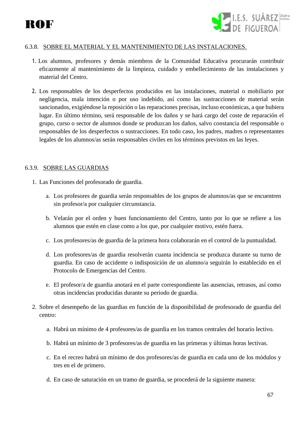

# 6.3.8. SOBRE EL MATERIAL Y EL MANTENIMIENTO DE LAS INSTALACIONES.

- 1. Los alumnos, profesores y demás miembros de la Comunidad Educativa procurarán contribuir eficazmente al mantenimiento de la limpieza, cuidado y embellecimiento de las instalaciones y material del Centro.
- 2. Los responsables de los desperfectos producidos en las instalaciones, material o mobiliario por negligencia, mala intención o por uso indebido, así como las sustracciones de material serán sancionados, exigiéndose la reposición o las reparaciones precisas, incluso económicas, a que hubiera lugar. En último término, será responsable de los daños y se hará cargo del coste de reparación el grupo, curso o sector de alumnos donde se produzcan los daños, salvo constancia del responsable o responsables de los desperfectos o sustracciones. En todo caso, los padres, madres o representantes legales de los alumnos/as serán responsables civiles en los términos previstos en las leyes.

#### 6.3.9. SOBRE LAS GUARDIAS

- 1. Las Funciones del profesorado de guardia.
	- a. Los profesores de guardia serán responsables de los grupos de alumnos/as que se encuentren sin profesor/a por cualquier circunstancia.
	- b. Velarán por el orden y buen funcionamiento del Centro, tanto por lo que se refiere a los alumnos que estén en clase como a los que, por cualquier motivo, estén fuera.
	- c. Los profesores/as de guardia de la primera hora colaborarán en el control de la puntualidad.
	- d. Los profesores/as de guardia resolverán cuanta incidencia se produzca durante su turno de guardia. En caso de accidente o indisposición de un alumno/a seguirán lo establecido en el Protocolo de Emergencias del Centro.
	- e. El profesor/a de guardia anotará en el parte correspondiente las ausencias, retrasos, así como otras incidencias producidas durante su periodo de guardia.
- 2. Sobre el desempeño de las guardias en función de la disponibilidad de profesorado de guardia del centro:
	- a. Habrá un mínimo de 4 profesores/as de guardia en los tramos centrales del horario lectivo.
	- b. Habrá un mínimo de 3 profesores/as de guardia en las primeras y últimas horas lectivas.
	- c. En el recreo habrá un mínimo de dos profesores/as de guardia en cada uno de los módulos y tres en el de primero.
	- d. En caso de saturación en un tramo de guardia, se procederá de la siguiente manera: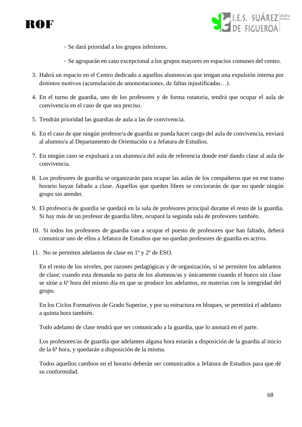



- Se dará prioridad a los grupos inferiores.
- Se agruparán en caso excepcional a los grupos mayores en espacios comunes del centro.
- 3. Habrá un espacio en el Centro dedicado a aquellos alumnos/as que tengan una expulsión interna por distintos motivos (acumulación de amonestaciones, de faltas injustificadas…).
- 4. En el turno de guardia, uno de los profesores y de forma rotatoria, tendrá que ocupar el aula de convivencia en el caso de que sea preciso.
- 5. Tendrán prioridad las guardias de aula a las de convivencia.
- 6. En el caso de que ningún profesor/a de guardia se pueda hacer cargo del aula de convivencia, enviará al alumno/a al Departamento de Orientación o a Jefatura de Estudios.
- 7. En ningún caso se expulsará a un alumno/a del aula de referencia donde esté dando clase al aula de convivencia.
- 8. Los profesores de guardia se organizarán para ocupar las aulas de los compañeros que en ese tramo horario hayan faltado a clase. Aquellos que queden libres se cerciorarán de que no quede ningún grupo sin atender.
- 9. El profesor/a de guardia se quedará en la sala de profesores principal durante el resto de la guardia. Si hay más de un profesor de guardia libre, ocupará la segunda sala de profesores también.
- 10. Si todos los profesores de guardia van a ocupar el puesto de profesores que han faltado, deberá comunicar uno de ellos a Jefatura de Estudios que no quedan profesores de guardia en activo.
- 11. No se permiten adelantos de clase en 1º y 2º de ESO.

En el resto de los niveles, por razones pedagógicas y de organización, sí se permiten los adelantos de clase; cuando esta demanda no parta de los alumnos/as y únicamente cuando el hueco sin clase se sitúe a 6ª hora del mismo día en que se produce los adelantos, en materias con la integridad del grupo.

En los Ciclos Formativos de Grado Superior, y por su estructura en bloques, se permitirá el adelanto a quinta hora también.

Todo adelanto de clase tendrá que ser comunicado a la guardia, que lo anotará en el parte.

Los profesores/as de guardia que adelanten alguna hora estarán a disposición de la guardia al inicio de la 6ª hora, y quedarán a disposición de la misma.

Todos aquellos cambios en el horario deberán ser comunicados a Jefatura de Estudios para que dé su conformidad.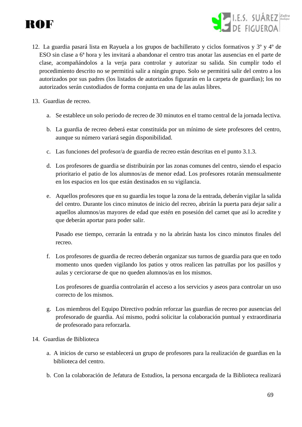



- 12. La guardia pasará lista en Rayuela a los grupos de bachillerato y ciclos formativos y 3º y 4º de ESO sin clase a 6ª hora y les invitará a abandonar el centro tras anotar las ausencias en el parte de clase, acompañándolos a la verja para controlar y autorizar su salida. Sin cumplir todo el procedimiento descrito no se permitirá salir a ningún grupo. Solo se permitirá salir del centro a los autorizados por sus padres (los listados de autorizados figurarán en la carpeta de guardias); los no autorizados serán custodiados de forma conjunta en una de las aulas libres.
- 13. Guardias de recreo.
	- a. Se establece un solo periodo de recreo de 30 minutos en el tramo central de la jornada lectiva.
	- b. La guardia de recreo deberá estar constituida por un mínimo de siete profesores del centro, aunque su número variará según disponibilidad.
	- c. Las funciones del profesor/a de guardia de recreo están descritas en el punto 3.1.3.
	- d. Los profesores de guardia se distribuirán por las zonas comunes del centro, siendo el espacio prioritario el patio de los alumnos/as de menor edad. Los profesores rotarán mensualmente en los espacios en los que están destinados en su vigilancia.
	- e. Aquellos profesores que en su guardia les toque la zona de la entrada, deberán vigilar la salida del centro. Durante los cinco minutos de inicio del recreo, abrirán la puerta para dejar salir a aquellos alumnos/as mayores de edad que estén en posesión del carnet que así lo acredite y que deberán aportar para poder salir.

Pasado ese tiempo, cerrarán la entrada y no la abrirán hasta los cinco minutos finales del recreo.

f. Los profesores de guardia de recreo deberán organizar sus turnos de guardia para que en todo momento unos queden vigilando los patios y otros realicen las patrullas por los pasillos y aulas y cerciorarse de que no queden alumnos/as en los mismos.

Los profesores de guardia controlarán el acceso a los servicios y aseos para controlar un uso correcto de los mismos.

- g. Los miembros del Equipo Directivo podrán reforzar las guardias de recreo por ausencias del profesorado de guardia. Así mismo, podrá solicitar la colaboración puntual y extraordinaria de profesorado para reforzarla.
- 14. Guardias de Biblioteca
	- a. A inicios de curso se establecerá un grupo de profesores para la realización de guardias en la biblioteca del centro.
	- b. Con la colaboración de Jefatura de Estudios, la persona encargada de la Biblioteca realizará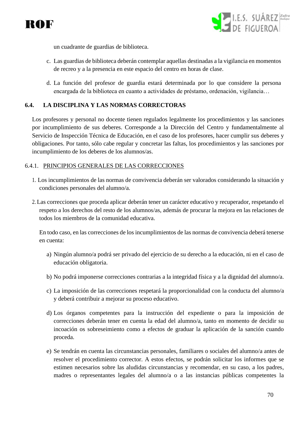



un cuadrante de guardias de biblioteca.

- c. Las guardias de biblioteca deberán contemplar aquellas destinadas a la vigilancia en momentos de recreo y a la presencia en este espacio del centro en horas de clase.
- d. La función del profesor de guardia estará determinada por lo que considere la persona encargada de la biblioteca en cuanto a actividades de préstamo, ordenación, vigilancia…

#### **6.4. LA DISCIPLINA Y LAS NORMAS CORRECTORAS**

Los profesores y personal no docente tienen regulados legalmente los procedimientos y las sanciones por incumplimiento de sus deberes. Corresponde a la Dirección del Centro y fundamentalmente al Servicio de Inspección Técnica de Educación, en el caso de los profesores, hacer cumplir sus deberes y obligaciones. Por tanto, sólo cabe regular y concretar las faltas, los procedimientos y las sanciones por incumplimiento de los deberes de los alumnos/as.

#### 6.4.1. PRINCIPIOS GENERALES DE LAS CORRECCIONES

- 1. Los incumplimientos de las normas de convivencia deberán ser valorados considerando la situación y condiciones personales del alumno/a.
- 2. Las correcciones que proceda aplicar deberán tener un carácter educativo y recuperador, respetando el respeto a los derechos del resto de los alumnos/as, además de procurar la mejora en las relaciones de todos los miembros de la comunidad educativa.

En todo caso, en las correcciones de los incumplimientos de las normas de convivencia deberá tenerse en cuenta:

- a) Ningún alumno/a podrá ser privado del ejercicio de su derecho a la educación, ni en el caso de educación obligatoria.
- b) No podrá imponerse correcciones contrarias a la integridad física y a la dignidad del alumno/a.
- c) La imposición de las correcciones respetará la proporcionalidad con la conducta del alumno/a y deberá contribuir a mejorar su proceso educativo.
- d) Los órganos competentes para la instrucción del expediente o para la imposición de correcciones deberán tener en cuenta la edad del alumno/a, tanto en momento de decidir su incoación os sobreseimiento como a efectos de graduar la aplicación de la sanción cuando proceda.
- e) Se tendrán en cuenta las circunstancias personales, familiares o sociales del alumno/a antes de resolver el procedimiento corrector. A estos efectos, se podrán solicitar los informes que se estimen necesarios sobre las aludidas circunstancias y recomendar, en su caso, a los padres, madres o representantes legales del alumno/a o a las instancias públicas competentes la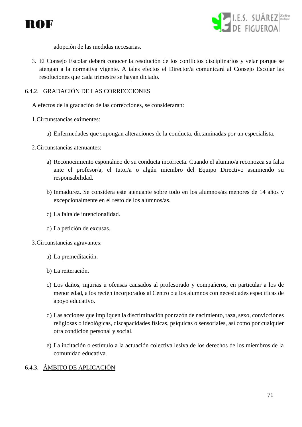



adopción de las medidas necesarias.

3. El Consejo Escolar deberá conocer la resolución de los conflictos disciplinarios y velar porque se atengan a la normativa vigente. A tales efectos el Director/a comunicará al Consejo Escolar las resoluciones que cada trimestre se hayan dictado.

#### 6.4.2. GRADACIÓN DE LAS CORRECCIONES

A efectos de la gradación de las correcciones, se considerarán:

- 1.Circunstancias eximentes:
	- a) Enfermedades que supongan alteraciones de la conducta, dictaminadas por un especialista.
- 2.Circunstancias atenuantes:
	- a) Reconocimiento espontáneo de su conducta incorrecta. Cuando el alumno/a reconozca su falta ante el profesor/a, el tutor/a o algún miembro del Equipo Directivo asumiendo su responsabilidad.
	- b) Inmadurez. Se considera este atenuante sobre todo en los alumnos/as menores de 14 años y excepcionalmente en el resto de los alumnos/as.
	- c) La falta de intencionalidad.
	- d) La petición de excusas.

3.Circunstancias agravantes:

- a) La premeditación.
- b) La reiteración.
- c) Los daños, injurias u ofensas causados al profesorado y compañeros, en particular a los de menor edad, a los recién incorporados al Centro o a los alumnos con necesidades específicas de apoyo educativo.
- d) Las acciones que impliquen la discriminación por razón de nacimiento, raza, sexo, convicciones religiosas o ideológicas, discapacidades físicas, psíquicas o sensoriales, así como por cualquier otra condición personal y social.
- e) La incitación o estímulo a la actuación colectiva lesiva de los derechos de los miembros de la comunidad educativa.

# 6.4.3. ÁMBITO DE APLICACIÓN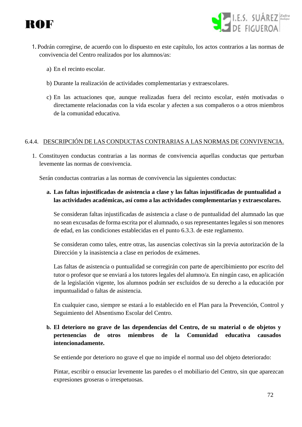



- 1. Podrán corregirse, de acuerdo con lo dispuesto en este capítulo, los actos contrarios a las normas de convivencia del Centro realizados por los alumnos/as:
	- a) En el recinto escolar.
	- b) Durante la realización de actividades complementarias y extraescolares.
	- c) En las actuaciones que, aunque realizadas fuera del recinto escolar, estén motivadas o directamente relacionadas con la vida escolar y afecten a sus compañeros o a otros miembros de la comunidad educativa.

#### 6.4.4. DESCRIPCIÓN DE LAS CONDUCTAS CONTRARIAS A LAS NORMAS DE CONVIVENCIA.

1. Constituyen conductas contrarias a las normas de convivencia aquellas conductas que perturban levemente las normas de convivencia.

Serán conductas contrarias a las normas de convivencia las siguientes conductas:

# **a. Las faltas injustificadas de asistencia a clase y las faltas injustificadas de puntualidad a las actividades académicas, así como a las actividades complementarias y extraescolares.**

Se consideran faltas injustificadas de asistencia a clase o de puntualidad del alumnado las que no sean excusadas de forma escrita por el alumnado, o sus representantes legales si son menores de edad, en las condiciones establecidas en el punto 6.3.3. de este reglamento.

Se consideran como tales, entre otras, las ausencias colectivas sin la previa autorización de la Dirección y la inasistencia a clase en periodos de exámenes.

Las faltas de asistencia o puntualidad se corregirán con parte de apercibimiento por escrito del tutor o profesor que se enviará a los tutores legales del alumno/a. En ningún caso, en aplicación de la legislación vigente, los alumnos podrán ser excluidos de su derecho a la educación por impuntualidad o faltas de asistencia.

En cualquier caso, siempre se estará a lo establecido en el Plan para la Prevención, Control y Seguimiento del Absentismo Escolar del Centro.

# **b. El deterioro no grave de las dependencias del Centro, de su material o de objetos y pertenencias de otros miembros de la Comunidad educativa causados intencionadamente.**

Se entiende por deterioro no grave el que no impide el normal uso del objeto deteriorado:

Pintar, escribir o ensuciar levemente las paredes o el mobiliario del Centro, sin que aparezcan expresiones groseras o irrespetuosas.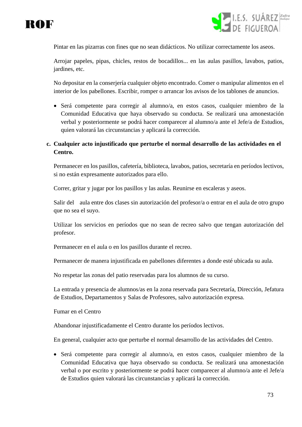



Pintar en las pizarras con fines que no sean didácticos. No utilizar correctamente los aseos.

Arrojar papeles, pipas, chicles, restos de bocadillos... en las aulas pasillos, lavabos, patios, jardines, etc.

No depositar en la conserjería cualquier objeto encontrado. Comer o manipular alimentos en el interior de los pabellones. Escribir, romper o arrancar los avisos de los tablones de anuncios.

• Será competente para corregir al alumno/a, en estos casos, cualquier miembro de la Comunidad Educativa que haya observado su conducta. Se realizará una amonestación verbal y posteriormente se podrá hacer comparecer al alumno/a ante el Jefe/a de Estudios, quien valorará las circunstancias y aplicará la corrección.

#### **c. Cualquier acto injustificado que perturbe el normal desarrollo de las actividades en el Centro.**

Permanecer en los pasillos, cafetería, biblioteca, lavabos, patios, secretaría en períodos lectivos, si no están expresamente autorizados para ello.

Correr, gritar y jugar por los pasillos y las aulas. Reunirse en escaleras y aseos.

Salir del aula entre dos clases sin autorización del profesor/a o entrar en el aula de otro grupo que no sea el suyo.

Utilizar los servicios en períodos que no sean de recreo salvo que tengan autorización del profesor.

Permanecer en el aula o en los pasillos durante el recreo.

Permanecer de manera injustificada en pabellones diferentes a donde esté ubicada su aula.

No respetar las zonas del patio reservadas para los alumnos de su curso.

La entrada y presencia de alumnos/as en la zona reservada para Secretaría, Dirección, Jefatura de Estudios, Departamentos y Salas de Profesores, salvo autorización expresa.

Fumar en el Centro

Abandonar injustificadamente el Centro durante los períodos lectivos.

En general, cualquier acto que perturbe el normal desarrollo de las actividades del Centro.

• Será competente para corregir al alumno/a, en estos casos, cualquier miembro de la Comunidad Educativa que haya observado su conducta. Se realizará una amonestación verbal o por escrito y posteriormente se podrá hacer comparecer al alumno/a ante el Jefe/a de Estudios quien valorará las circunstancias y aplicará la corrección.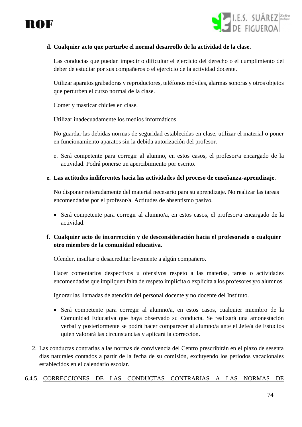



#### **d. Cualquier acto que perturbe el normal desarrollo de la actividad de la clase.**

Las conductas que puedan impedir o dificultar el ejercicio del derecho o el cumplimiento del deber de estudiar por sus compañeros o el ejercicio de la actividad docente.

Utilizar aparatos grabadoras y reproductores, teléfonos móviles, alarmas sonoras y otros objetos que perturben el curso normal de la clase.

Comer y masticar chicles en clase.

Utilizar inadecuadamente los medios informáticos

No guardar las debidas normas de seguridad establecidas en clase, utilizar el material o poner en funcionamiento aparatos sin la debida autorización del profesor.

e. Será competente para corregir al alumno, en estos casos, el profesor/a encargado de la actividad. Podrá ponerse un apercibimiento por escrito.

#### **e. Las actitudes indiferentes hacia las actividades del proceso de enseñanza-aprendizaje.**

No disponer reiteradamente del material necesario para su aprendizaje. No realizar las tareas encomendadas por el profesor/a. Actitudes de absentismo pasivo.

• Será competente para corregir al alumno/a, en estos casos, el profesor/a encargado de la actividad.

#### **f. Cualquier acto de incorrección y de desconsideración hacia el profesorado o cualquier otro miembro de la comunidad educativa.**

Ofender, insultar o desacreditar levemente a algún compañero.

Hacer comentarios despectivos u ofensivos respeto a las materias, tareas o actividades encomendadas que impliquen falta de respeto implícita o explícita a los profesores y/o alumnos.

Ignorar las llamadas de atención del personal docente y no docente del Instituto.

- Será competente para corregir al alumno/a, en estos casos, cualquier miembro de la Comunidad Educativa que haya observado su conducta. Se realizará una amonestación verbal y posteriormente se podrá hacer comparecer al alumno/a ante el Jefe/a de Estudios quien valorará las circunstancias y aplicará la corrección.
- 2. Las conductas contrarias a las normas de convivencia del Centro prescribirán en el plazo de sesenta días naturales contados a partir de la fecha de su comisión, excluyendo los periodos vacacionales establecidos en el calendario escolar.

#### 6.4.5. CORRECCIONES DE LAS CONDUCTAS CONTRARIAS A LAS NORMAS DE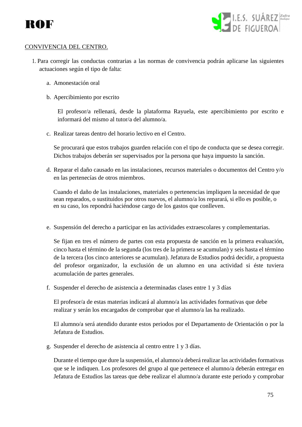



#### CONVIVENCIA DEL CENTRO.

- 1. Para corregir las conductas contrarias a las normas de convivencia podrán aplicarse las siguientes actuaciones según el tipo de falta:
	- a. Amonestación oral
	- b. Apercibimiento por escrito

El profesor/a rellenará, desde la plataforma Rayuela, este apercibimiento por escrito e informará del mismo al tutor/a del alumno/a.

c. Realizar tareas dentro del horario lectivo en el Centro.

Se procurará que estos trabajos guarden relación con el tipo de conducta que se desea corregir. Dichos trabajos deberán ser supervisados por la persona que haya impuesto la sanción.

d. Reparar el daño causado en las instalaciones, recursos materiales o documentos del Centro y/o en las pertenecías de otros miembros.

Cuando el daño de las instalaciones, materiales o pertenencias impliquen la necesidad de que sean reparados, o sustituidos por otros nuevos, el alumno/a los reparará, si ello es posible, o en su caso, los repondrá haciéndose cargo de los gastos que conlleven.

e. Suspensión del derecho a participar en las actividades extraescolares y complementarias.

Se fijan en tres el número de partes con esta propuesta de sanción en la primera evaluación, cinco hasta el término de la segunda (los tres de la primera se acumulan) y seis hasta el término de la tercera (los cinco anteriores se acumulan). Jefatura de Estudios podrá decidir, a propuesta del profesor organizador, la exclusión de un alumno en una actividad si éste tuviera acumulación de partes generales.

f. Suspender el derecho de asistencia a determinadas clases entre 1 y 3 días

El profesor/a de estas materias indicará al alumno/a las actividades formativas que debe realizar y serán los encargados de comprobar que el alumno/a las ha realizado.

El alumno/a será atendido durante estos periodos por el Departamento de Orientación o por la Jefatura de Estudios.

g. Suspender el derecho de asistencia al centro entre 1 y 3 días.

Durante el tiempo que dure la suspensión, el alumno/a deberá realizar las actividades formativas que se le indiquen. Los profesores del grupo al que pertenece el alumno/a deberán entregar en Jefatura de Estudios las tareas que debe realizar el alumno/a durante este periodo y comprobar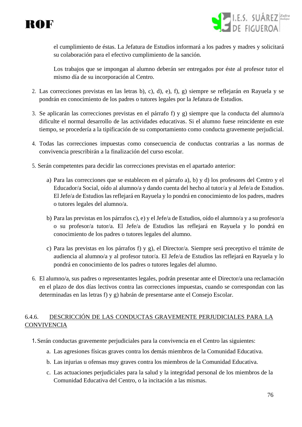



el cumplimiento de éstas. La Jefatura de Estudios informará a los padres y madres y solicitará su colaboración para el efectivo cumplimiento de la sanción.

Los trabajos que se impongan al alumno deberán ser entregados por éste al profesor tutor el mismo día de su incorporación al Centro.

- 2. Las correcciones previstas en las letras b), c), d), e), f), g) siempre se reflejarán en Rayuela y se pondrán en conocimiento de los padres o tutores legales por la Jefatura de Estudios.
- 3. Se aplicarán las correcciones previstas en el párrafo f) y g) siempre que la conducta del alumno/a dificulte el normal desarrollo de las actividades educativas. Si el alumno fuese reincidente en este tiempo, se procedería a la tipificación de su comportamiento como conducta gravemente perjudicial.
- 4. Todas las correcciones impuestas como consecuencia de conductas contrarias a las normas de convivencia prescribirán a la finalización del curso escolar.
- 5. Serán competentes para decidir las correcciones previstas en el apartado anterior:
	- a) Para las correcciones que se establecen en el párrafo a), b) y d) los profesores del Centro y el Educador/a Social, oído al alumno/a y dando cuenta del hecho al tutor/a y al Jefe/a de Estudios. El Jefe/a de Estudios las reflejará en Rayuela y lo pondrá en conocimiento de los padres, madres o tutores legales del alumno/a.
	- b) Para las previstas en los párrafos c), e) y el Jefe/a de Estudios, oído el alumno/a y a su profesor/a o su profesor/a tutor/a. El Jefe/a de Estudios las reflejará en Rayuela y lo pondrá en conocimiento de los padres o tutores legales del alumno.
	- c) Para las previstas en los párrafos f) y g), el Director/a. Siempre será preceptivo el trámite de audiencia al alumno/a y al profesor tutor/a. El Jefe/a de Estudios las reflejará en Rayuela y lo pondrá en conocimiento de los padres o tutores legales del alumno.
- 6. El alumno/a, sus padres o representantes legales, podrán presentar ante el Director/a una reclamación en el plazo de dos días lectivos contra las correcciones impuestas, cuando se correspondan con las determinadas en las letras f) y g) habrán de presentarse ante el Consejo Escolar.

#### 6.4.6. DESCRICCIÓN DE LAS CONDUCTAS GRAVEMENTE PERJUDICIALES PARA LA **CONVIVENCIA**

- 1.Serán conductas gravemente perjudiciales para la convivencia en el Centro las siguientes:
	- a. Las agresiones físicas graves contra los demás miembros de la Comunidad Educativa.
	- b. Las injurias u ofensas muy graves contra los miembros de la Comunidad Educativa.
	- c. Las actuaciones perjudiciales para la salud y la integridad personal de los miembros de la Comunidad Educativa del Centro, o la incitación a las mismas.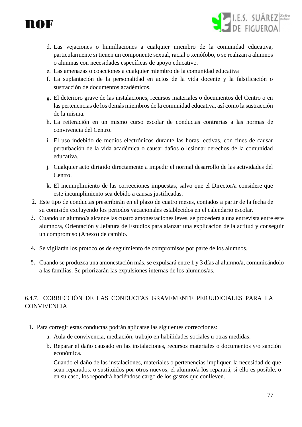



- d. Las vejaciones o humillaciones a cualquier miembro de la comunidad educativa, particularmente si tienen un componente sexual, racial o xenófobo, o se realizan a alumnos o alumnas con necesidades específicas de apoyo educativo.
- e. Las amenazas o coacciones a cualquier miembro de la comunidad educativa
- f. La suplantación de la personalidad en actos de la vida docente y la falsificación o sustracción de documentos académicos.
- g. El deterioro grave de las instalaciones, recursos materiales o documentos del Centro o en las pertenencias de los demás miembros de la comunidad educativa, así como la sustracción de la misma.
- h. La reiteración en un mismo curso escolar de conductas contrarias a las normas de convivencia del Centro.
- i. El uso indebido de medios electrónicos durante las horas lectivas, con fines de causar perturbación de la vida académica o causar daños o lesionar derechos de la comunidad educativa.
- j. Cualquier acto dirigido directamente a impedir el normal desarrollo de las actividades del Centro.
- k. El incumplimiento de las correcciones impuestas, salvo que el Director/a considere que este incumplimiento sea debido a causas justificadas.
- 2. Este tipo de conductas prescribirán en el plazo de cuatro meses, contados a partir de la fecha de su comisión excluyendo los periodos vacacionales establecidos en el calendario escolar.
- 3. Cuando un alumno/a alcance las cuatro amonestaciones leves, se procederá a una entrevista entre este alumno/a, Orientación y Jefatura de Estudios para alanzar una explicación de la actitud y conseguir un compromiso (Anexo) de cambio.
- 4. Se vigilarán los protocolos de seguimiento de compromisos por parte de los alumnos.
- 5. Cuando se produzca una amonestación más, se expulsará entre 1 y 3 días al alumno/a, comunicándolo a las familias. Se priorizarán las expulsiones internas de los alumnos/as.

#### 6.4.7. CORRECCIÓN DE LAS CONDUCTAS GRAVEMENTE PERJUDICIALES PARA LA **CONVIVENCIA**

- 1. Para corregir estas conductas podrán aplicarse las siguientes correcciones:
	- a. Aula de convivencia, mediación, trabajo en habilidades sociales u otras medidas.
	- b. Reparar el daño causado en las instalaciones, recursos materiales o documentos y/o sanción económica.

Cuando el daño de las instalaciones, materiales o pertenencias impliquen la necesidad de que sean reparados, o sustituidos por otros nuevos, el alumno/a los reparará, si ello es posible, o en su caso, los repondrá haciéndose cargo de los gastos que conlleven.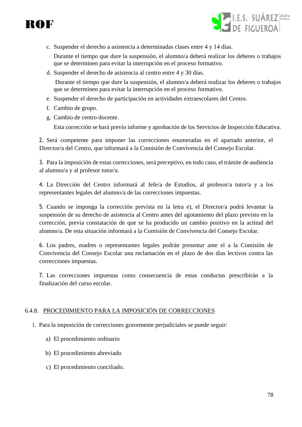



c. Suspender el derecho a asistencia a determinadas clases entre 4 y 14 días.

Durante el tiempo que dure la suspensión, el alumno/a deberá realizar los deberes o trabajos que se determinen para evitar la interrupción en el proceso formativo.

d. Suspender el derecho de asistencia al centro entre 4 y 30 días.

Durante el tiempo que dure la suspensión, el alumno/a deberá realizar los deberes o trabajos que se determinen para evitar la interrupción en el proceso formativo.

- e. Suspender el derecho de participación en actividades extraescolares del Centro.
- f. Cambio de grupo.
- g. Cambio de centro docente.

Esta corrección se hará previo informe y aprobación de los Servicios de Inspección Educativa.

2. Será competente para imponer las correcciones enumeradas en el apartado anterior, el Director/a del Centro, que informará a la Comisión de Convivencia del Consejo Escolar.

3. Para la imposición de estas correcciones, será preceptivo, en todo caso, el trámite de audiencia al alumno/a y al profesor tutor/a.

4. La Dirección del Centro informará al Jefe/a de Estudios, al profesor/a tutor/a y a los representantes legales del alumno/a de las correcciones impuestas.

5. Cuando se imponga la corrección prevista en la letra e), el Director/a podrá levantar la suspensión de su derecho de asistencia al Centro antes del agotamiento del plazo previsto en la corrección, previa constatación de que se ha producido un cambio positivo en la actitud del alumno/a. De esta situación informará a la Comisión de Convivencia del Consejo Escolar.

6. Los padres, madres o representantes legales podrán presentar ante el a la Comisión de Convivencia del Consejo Escolar una reclamación en el plazo de dos días lectivos contra las correcciones impuestas.

7. Las correcciones impuestas como consecuencia de estas conductas prescribirán a la finalización del curso escolar.

#### 6.4.8. PROCEDIMIENTO PARA LA IMPOSICIÓN DE CORRECCIONES

- 1. Para la imposición de correcciones gravemente perjudiciales se puede seguir:
	- a) El procedimiento ordinario
	- b) El procedimiento abreviado
	- c) El procedimiento conciliado.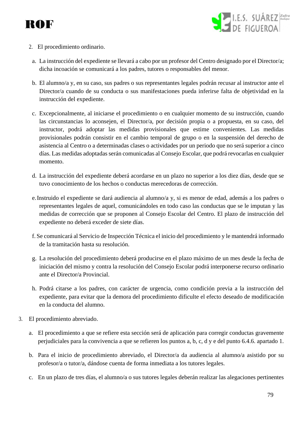



- 2. El procedimiento ordinario.
- a. La instrucción del expediente se llevará a cabo por un profesor del Centro designado por el Director/a; dicha incoación se comunicará a los padres, tutores o responsables del menor.
- b. El alumno/a y, en su caso, sus padres o sus representantes legales podrán recusar al instructor ante el Director/a cuando de su conducta o sus manifestaciones pueda inferirse falta de objetividad en la instrucción del expediente.
- c. Excepcionalmente, al iniciarse el procedimiento o en cualquier momento de su instrucción, cuando las circunstancias lo aconsejen, el Director/a, por decisión propia o a propuesta, en su caso, del instructor, podrá adoptar las medidas provisionales que estime convenientes. Las medidas provisionales podrán consistir en el cambio temporal de grupo o en la suspensión del derecho de asistencia al Centro o a determinadas clases o actividades por un periodo que no será superior a cinco días. Las medidas adoptadas serán comunicadas al Consejo Escolar, que podrá revocarlas en cualquier momento.
- d. La instrucción del expediente deberá acordarse en un plazo no superior a los diez días, desde que se tuvo conocimiento de los hechos o conductas merecedoras de corrección.
- e.Instruido el expediente se dará audiencia al alumno/a y, si es menor de edad, además a los padres o representantes legales de aquel, comunicándoles en todo caso las conductas que se le imputan y las medidas de corrección que se proponen al Consejo Escolar del Centro. El plazo de instrucción del expediente no deberá exceder de siete días.
- f. Se comunicará al Servicio de Inspección Técnica el inicio del procedimiento y le mantendrá informado de la tramitación hasta su resolución.
- g. La resolución del procedimiento deberá producirse en el plazo máximo de un mes desde la fecha de iniciación del mismo y contra la resolución del Consejo Escolar podrá interponerse recurso ordinario ante el Director/a Provincial.
- h. Podrá citarse a los padres, con carácter de urgencia, como condición previa a la instrucción del expediente, para evitar que la demora del procedimiento dificulte el efecto deseado de modificación en la conducta del alumno.
- 3. El procedimiento abreviado.
	- a. El procedimiento a que se refiere esta sección será de aplicación para corregir conductas gravemente perjudiciales para la convivencia a que se refieren los puntos a, b, c, d y e del punto 6.4.6. apartado 1.
	- b. Para el inicio de procedimiento abreviado, el Director/a da audiencia al alumno/a asistido por su profesor/a o tutor/a, dándose cuenta de forma inmediata a los tutores legales.
	- c. En un plazo de tres días, el alumno/a o sus tutores legales deberán realizar las alegaciones pertinentes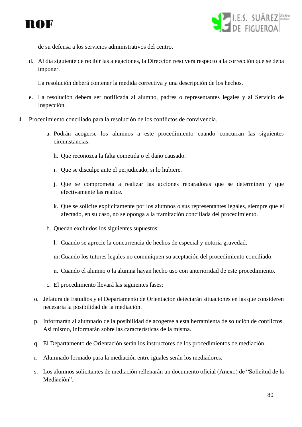



de su defensa a los servicios administrativos del centro.

d. Al día siguiente de recibir las alegaciones, la Dirección resolverá respecto a la corrección que se deba imponer.

La resolución deberá contener la medida correctiva y una descripción de los hechos.

- e. La resolución deberá ser notificada al alumno, padres o representantes legales y al Servicio de Inspección.
- 4. Procedimiento conciliado para la resolución de los conflictos de convivencia.
	- a. Podrán acogerse los alumnos a este procedimiento cuando concurran las siguientes circunstancias:
		- h. Que reconozca la falta cometida o el daño causado.
		- i. Que se disculpe ante el perjudicado, si lo hubiere.
		- j. Que se comprometa a realizar las acciones reparadoras que se determinen y que efectivamente las realice.
		- k. Que se solicite explícitamente por los alumnos o sus representantes legales, siempre que el afectado, en su caso, no se oponga a la tramitación conciliada del procedimiento.
	- b. Quedan excluidos los siguientes supuestos:
		- l. Cuando se aprecie la concurrencia de hechos de especial y notoria gravedad.
		- m.Cuando los tutores legales no comuniquen su aceptación del procedimiento conciliado.
		- n. Cuando el alumno o la alumna hayan hecho uso con anterioridad de este procedimiento.
	- c. El procedimiento llevará las siguientes fases:
	- o. Jefatura de Estudios y el Departamento de Orientación detectarán situaciones en las que consideren necesaria la posibilidad de la mediación.
	- p. Informarán al alumnado de la posibilidad de acogerse a esta herramienta de solución de conflictos. Así mismo, informarán sobre las características de la misma.
	- q. El Departamento de Orientación serán los instructores de los procedimientos de mediación.
	- r. Alumnado formado para la mediación entre iguales serán los mediadores.
	- s. Los alumnos solicitantes de mediación rellenarán un documento oficial (Anexo) de "Solicitud de la Mediación".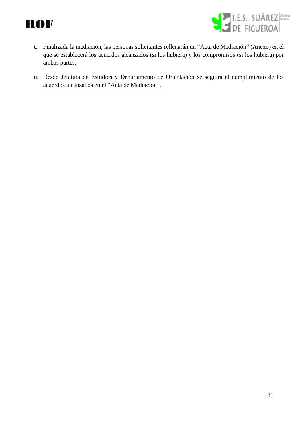



- t. Finalizada la mediación, las personas solicitantes rellenarán un "Acta de Mediación" (Anexo) en el que se establecerá los acuerdos alcanzados (si los hubiera) y los compromisos (si los hubiera) por ambas partes.
- u. Desde Jefatura de Estudios y Departamento de Orientación se seguirá el cumplimiento de los acuerdos alcanzados en el "Acta de Mediación".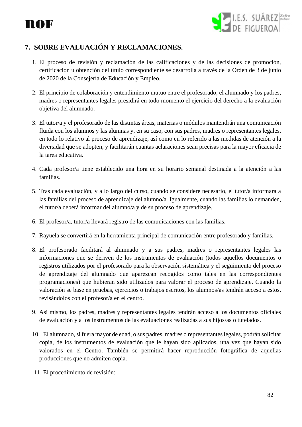# ROF



### **7. SOBRE EVALUACIÓN Y RECLAMACIONES.**

- 1. El proceso de revisión y reclamación de las calificaciones y de las decisiones de promoción, certificación u obtención del título correspondiente se desarrolla a través de la Orden de 3 de junio de 2020 de la Consejería de Educación y Empleo.
- 2. El principio de colaboración y entendimiento mutuo entre el profesorado, el alumnado y los padres, madres o representantes legales presidirá en todo momento el ejercicio del derecho a la evaluación objetiva del alumnado.
- 3. El tutor/a y el profesorado de las distintas áreas, materias o módulos mantendrán una comunicación fluida con los alumnos y las alumnas y, en su caso, con sus padres, madres o representantes legales, en todo lo relativo al proceso de aprendizaje, así como en lo referido a las medidas de atención a la diversidad que se adopten, y facilitarán cuantas aclaraciones sean precisas para la mayor eficacia de la tarea educativa.
- 4. Cada profesor/a tiene establecido una hora en su horario semanal destinada a la atención a las familias.
- 5. Tras cada evaluación, y a lo largo del curso, cuando se considere necesario, el tutor/a informará a las familias del proceso de aprendizaje del alumno/a. Igualmente, cuando las familias lo demanden, el tutor/a deberá informar del alumno/a y de su proceso de aprendizaje.
- 6. El profesor/a, tutor/a llevará registro de las comunicaciones con las familias.
- 7. Rayuela se convertirá en la herramienta principal de comunicación entre profesorado y familias.
- 8. El profesorado facilitará al alumnado y a sus padres, madres o representantes legales las informaciones que se deriven de los instrumentos de evaluación (todos aquellos documentos o registros utilizados por el profesorado para la observación sistemática y el seguimiento del proceso de aprendizaje del alumnado que aparezcan recogidos como tales en las correspondientes programaciones) que hubieran sido utilizados para valorar el proceso de aprendizaje. Cuando la valoración se base en pruebas, ejercicios o trabajos escritos, los alumnos/as tendrán acceso a estos, revisándolos con el profesor/a en el centro.
- 9. Así mismo, los padres, madres y representantes legales tendrán acceso a los documentos oficiales de evaluación y a los instrumentos de las evaluaciones realizadas a sus hijos/as o tutelados.
- 10. El alumnado, si fuera mayor de edad, o sus padres, madres o representantes legales, podrán solicitar copia, de los instrumentos de evaluación que le hayan sido aplicados, una vez que hayan sido valorados en el Centro. También se permitirá hacer reproducción fotográfica de aquellas producciones que no admiten copia.
- 11. El procedimiento de revisión: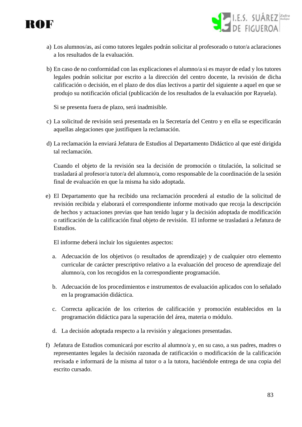

- I.E.S. SUÁREZ *zafra*<br>DE EIGLIEROA
- a) Los alumnos/as, así como tutores legales podrán solicitar al profesorado o tutor/a aclaraciones a los resultados de la evaluación.
- b) En caso de no conformidad con las explicaciones el alumno/a si es mayor de edad y los tutores legales podrán solicitar por escrito a la dirección del centro docente, la revisión de dicha calificación o decisión, en el plazo de dos días lectivos a partir del siguiente a aquel en que se produjo su notificación oficial (publicación de los resultados de la evaluación por Rayuela).

Si se presenta fuera de plazo, será inadmisible.

- c) La solicitud de revisión será presentada en la Secretaría del Centro y en ella se especificarán aquellas alegaciones que justifiquen la reclamación.
- d) La reclamación la enviará Jefatura de Estudios al Departamento Didáctico al que esté dirigida tal reclamación.

Cuando el objeto de la revisión sea la decisión de promoción o titulación, la solicitud se trasladará al profesor/a tutor/a del alumno/a, como responsable de la coordinación de la sesión final de evaluación en que la misma ha sido adoptada.

e) El Departamento que ha recibido una reclamación procederá al estudio de la solicitud de revisión recibida y elaborará el correspondiente informe motivado que recoja la descripción de hechos y actuaciones previas que han tenido lugar y la decisión adoptada de modificación o ratificación de la calificación final objeto de revisión. El informe se trasladará a Jefatura de Estudios.

El informe deberá incluir los siguientes aspectos:

- a. Adecuación de los objetivos (o resultados de aprendizaje) y de cualquier otro elemento curricular de carácter prescriptivo relativo a la evaluación del proceso de aprendizaje del alumno/a, con los recogidos en la correspondiente programación.
- b. Adecuación de los procedimientos e instrumentos de evaluación aplicados con lo señalado en la programación didáctica.
- c. Correcta aplicación de los criterios de calificación y promoción establecidos en la programación didáctica para la superación del área, materia o módulo.
- d. La decisión adoptada respecto a la revisión y alegaciones presentadas.
- f) Jefatura de Estudios comunicará por escrito al alumno/a y, en su caso, a sus padres, madres o representantes legales la decisión razonada de ratificación o modificación de la calificación revisada e informará de la misma al tutor o a la tutora, haciéndole entrega de una copia del escrito cursado.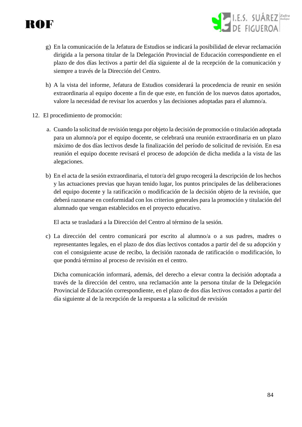g) En la comunicación de la Jefatura de Estudios se indicará la posibilidad de elevar reclamación dirigida a la persona titular de la Delegación Provincial de Educación correspondiente en el plazo de dos días lectivos a partir del día siguiente al de la recepción de la comunicación y siempre a través de la Dirección del Centro.

I.E.S. SUÁREZ Zafra

- h) A la vista del informe, Jefatura de Estudios considerará la procedencia de reunir en sesión extraordinaria al equipo docente a fin de que este, en función de los nuevos datos aportados, valore la necesidad de revisar los acuerdos y las decisiones adoptadas para el alumno/a.
- 12. El procedimiento de promoción:
	- a. Cuando la solicitud de revisión tenga por objeto la decisión de promoción o titulación adoptada para un alumno/a por el equipo docente, se celebrará una reunión extraordinaria en un plazo máximo de dos días lectivos desde la finalización del período de solicitud de revisión. En esa reunión el equipo docente revisará el proceso de adopción de dicha medida a la vista de las alegaciones.
	- b) En el acta de la sesión extraordinaria, el tutor/a del grupo recogerá la descripción de los hechos y las actuaciones previas que hayan tenido lugar, los puntos principales de las deliberaciones del equipo docente y la ratificación o modificación de la decisión objeto de la revisión, que deberá razonarse en conformidad con los criterios generales para la promoción y titulación del alumnado que vengan establecidos en el proyecto educativo.

El acta se trasladará a la Dirección del Centro al término de la sesión.

c) La dirección del centro comunicará por escrito al alumno/a o a sus padres, madres o representantes legales, en el plazo de dos días lectivos contados a partir del de su adopción y con el consiguiente acuse de recibo, la decisión razonada de ratificación o modificación, lo que pondrá término al proceso de revisión en el centro.

Dicha comunicación informará, además, del derecho a elevar contra la decisión adoptada a través de la dirección del centro, una reclamación ante la persona titular de la Delegación Provincial de Educación correspondiente, en el plazo de dos días lectivos contados a partir del día siguiente al de la recepción de la respuesta a la solicitud de revisión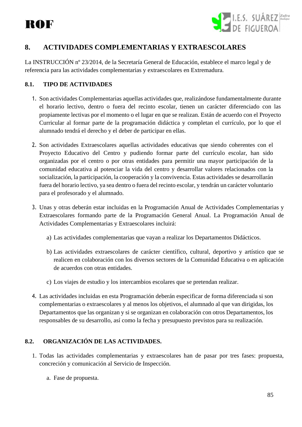

### **8. ACTIVIDADES COMPLEMENTARIAS Y EXTRAESCOLARES**

La INSTRUCCIÓN nº 23/2014, de la Secretaría General de Educación, establece el marco legal y de referencia para las actividades complementarias y extraescolares en Extremadura.

#### **8.1. TIPO DE ACTIVIDADES**

- 1. Son actividades Complementarias aquellas actividades que, realizándose fundamentalmente durante el horario lectivo, dentro o fuera del recinto escolar, tienen un carácter diferenciado con las propiamente lectivas por el momento o el lugar en que se realizan. Están de acuerdo con el Proyecto Curricular al formar parte de la programación didáctica y completan el currículo, por lo que el alumnado tendrá el derecho y el deber de participar en ellas.
- 2. Son actividades Extraescolares aquellas actividades educativas que siendo coherentes con el Proyecto Educativo del Centro y pudiendo formar parte del currículo escolar, han sido organizadas por el centro o por otras entidades para permitir una mayor participación de la comunidad educativa al potenciar la vida del centro y desarrollar valores relacionados con la socialización, la participación, la cooperación y la convivencia. Estas actividades se desarrollarán fuera del horario lectivo, ya sea dentro o fuera del recinto escolar, y tendrán un carácter voluntario para el profesorado y el alumnado.
- 3. Unas y otras deberán estar incluidas en la Programación Anual de Actividades Complementarias y Extraescolares formando parte de la Programación General Anual. La Programación Anual de Actividades Complementarias y Extraescolares incluirá:
	- a) Las actividades complementarias que vayan a realizar los Departamentos Didácticos.
	- b) Las actividades extraescolares de carácter científico, cultural, deportivo y artístico que se realicen en colaboración con los diversos sectores de la Comunidad Educativa o en aplicación de acuerdos con otras entidades.
	- c) Los viajes de estudio y los intercambios escolares que se pretendan realizar.
- 4. Las actividades incluidas en esta Programación deberán especificar de forma diferenciada si son complementarias o extraescolares y al menos los objetivos, el alumnado al que van dirigidas, los Departamentos que las organizan y si se organizan en colaboración con otros Departamentos, los responsables de su desarrollo, así como la fecha y presupuesto previstos para su realización.

#### **8.2. ORGANIZACIÓN DE LAS ACTIVIDADES.**

- 1. Todas las actividades complementarias y extraescolares han de pasar por tres fases: propuesta, concreción y comunicación al Servicio de Inspección.
	- a. Fase de propuesta.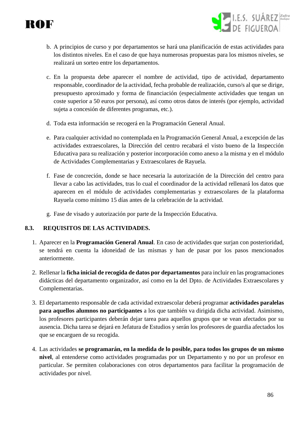

b. A principios de curso y por departamentos se hará una planificación de estas actividades para los distintos niveles. En el caso de que haya numerosas propuestas para los mismos niveles, se realizará un sorteo entre los departamentos.

I.E.S. SUÁREZ Zafra

- c. En la propuesta debe aparecer el nombre de actividad, tipo de actividad, departamento responsable, coordinador de la actividad, fecha probable de realización, curso/s al que se dirige, presupuesto aproximado y forma de financiación (especialmente actividades que tengan un coste superior a 50 euros por persona), así como otros datos de interés (por ejemplo, actividad sujeta a concesión de diferentes programas, etc.).
- d. Toda esta información se recogerá en la Programación General Anual.
- e. Para cualquier actividad no contemplada en la Programación General Anual, a excepción de las actividades extraescolares, la Dirección del centro recabará el visto bueno de la Inspección Educativa para su realización y posterior incorporación como anexo a la misma y en el módulo de Actividades Complementarias y Extraescolares de Rayuela.
- f. Fase de concreción, donde se hace necesaria la autorización de la Dirección del centro para llevar a cabo las actividades, tras lo cual el coordinador de la actividad rellenará los datos que aparecen en el módulo de actividades complementarias y extraescolares de la plataforma Rayuela como mínimo 15 días antes de la celebración de la actividad.
- g. Fase de visado y autorización por parte de la Inspección Educativa.

#### **8.3. REQUISITOS DE LAS ACTIVIDADES.**

- 1. Aparecer en la **Programación General Anual**. En caso de actividades que surjan con posterioridad, se tendrá en cuenta la idoneidad de las mismas y han de pasar por los pasos mencionados anteriormente.
- 2. Rellenar la **ficha inicial de recogida de datos por departamentos** para incluir en las programaciones didácticas del departamento organizador, así como en la del Dpto. de Actividades Extraescolares y Complementarias.
- 3. El departamento responsable de cada actividad extraescolar deberá programar **actividades paralelas para aquellos alumnos no participantes** a los que también va dirigida dicha actividad. Asimismo, los profesores participantes deberán dejar tarea para aquellos grupos que se vean afectados por su ausencia. Dicha tarea se dejará en Jefatura de Estudios y serán los profesores de guardia afectados los que se encarguen de su recogida.
- 4. Las actividades **se programarán, en la medida de lo posible, para todos los grupos de un mismo nivel**, al entenderse como actividades programadas por un Departamento y no por un profesor en particular. Se permiten colaboraciones con otros departamentos para facilitar la programación de actividades por nivel.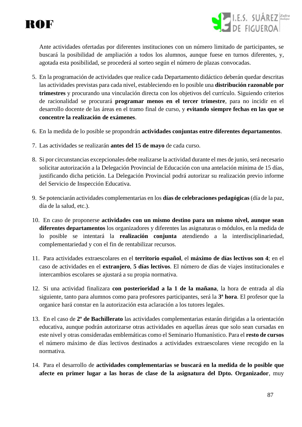



Ante actividades ofertadas por diferentes instituciones con un número limitado de participantes, se buscará la posibilidad de ampliación a todos los alumnos, aunque fuese en turnos diferentes, y, agotada esta posibilidad, se procederá al sorteo según el número de plazas convocadas.

- 5. En la programación de actividades que realice cada Departamento didáctico deberán quedar descritas las actividades previstas para cada nivel, estableciendo en lo posible una **distribución razonable por trimestres** y procurando una vinculación directa con los objetivos del currículo. Siguiendo criterios de racionalidad se procurará **programar menos en el tercer trimestre**, para no incidir en el desarrollo docente de las áreas en el tramo final de curso, y **evitando siempre fechas en las que se concentre la realización de exámenes**.
- 6. En la medida de lo posible se propondrán **actividades conjuntas entre diferentes departamentos**.
- 7. Las actividades se realizarán **antes del 15 de mayo** de cada curso.
- 8. Si por circunstancias excepcionales debe realizarse la actividad durante el mes de junio, será necesario solicitar autorización a la Delegación Provincial de Educación con una antelación mínima de 15 días, justificando dicha petición. La Delegación Provincial podrá autorizar su realización previo informe del Servicio de Inspección Educativa.
- 9. Se potenciarán actividades complementarias en los **días de celebraciones pedagógicas** (día de la paz, día de la salud, etc.).
- 10. En caso de proponerse **actividades con un mismo destino para un mismo nivel, aunque sean diferentes departamentos** los organizadores y diferentes las asignaturas o módulos, en la medida de lo posible se intentará la **realización conjunta** atendiendo a la interdisciplinariedad, complementariedad y con el fin de rentabilizar recursos.
- 11. Para actividades extraescolares en el **territorio español**, el **máximo de días lectivos son 4**; en el caso de actividades en el **extranjero**, **5 días lectivos**. El número de días de viajes institucionales e intercambios escolares se ajustará a su propia normativa.
- 12. Si una actividad finalizara **con posterioridad a la 1 de la mañana**, la hora de entrada al día siguiente, tanto para alumnos como para profesores participantes, será la **3ª hora**. El profesor que la organice hará constar en la autorización esta aclaración a los tutores legales.
- 13. En el caso de **2º de Bachillerato** las actividades complementarias estarán dirigidas a la orientación educativa, aunque podrán autorizarse otras actividades en aquellas áreas que solo sean cursadas en este nivel y otras consideradas emblemáticas como el Seminario Humanístico. Para el **resto de cursos** el número máximo de días lectivos destinados a actividades extraescolares viene recogido en la normativa.
- 14. Para el desarrollo de **actividades complementarias se buscará en la medida de lo posible que afecte en primer lugar a las horas de clase de la asignatura del Dpto. Organizador**, muy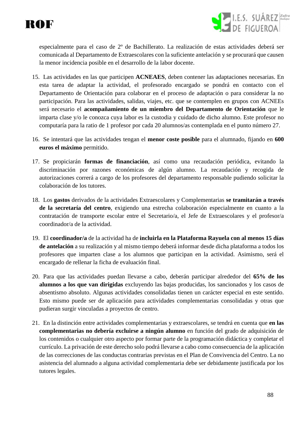



especialmente para el caso de 2º de Bachillerato. La realización de estas actividades deberá ser comunicada al Departamento de Extraescolares con la suficiente antelación y se procurará que causen la menor incidencia posible en el desarrollo de la labor docente.

- 15. Las actividades en las que participen **ACNEAES**, deben contener las adaptaciones necesarias. En esta tarea de adaptar la actividad, el profesorado encargado se pondrá en contacto con el Departamento de Orientación para colaborar en el proceso de adaptación o para considerar la no participación. Para las actividades, salidas, viajes, etc. que se contemplen en grupos con ACNEEs será necesario el **acompañamiento de un miembro del Departamento de Orientación** que le imparta clase y/o le conozca cuya labor es la custodia y cuidado de dicho alumno. Este profesor no computaría para la ratio de 1 profesor por cada 20 alumnos/as contemplada en el punto número 27.
- 16. Se intentará que las actividades tengan el **menor coste posible** para el alumnado, fijando en **600 euros el máximo** permitido.
- 17. Se propiciarán **formas de financiación**, así como una recaudación periódica, evitando la discriminación por razones económicas de algún alumno. La recaudación y recogida de autorizaciones correrá a cargo de los profesores del departamento responsable pudiendo solicitar la colaboración de los tutores.
- 18. Los **gastos** derivados de la actividades Extraescolares y Complementarias **se tramitarán a través de la secretaría del centro**, exigiendo una estrecha colaboración especialmente en cuanto a la contratación de transporte escolar entre el Secretario/a, el Jefe de Extraescolares y el profesor/a coordinador/a de la actividad.
- 19. El **coordinador/a** de la actividad ha de **incluirla en la Plataforma Rayuela con al menos 15 días de antelación** a su realización y al mismo tiempo deberá informar desde dicha plataforma a todos los profesores que imparten clase a los alumnos que participan en la actividad. Asimismo, será el encargado de rellenar la ficha de evaluación final.
- 20. Para que las actividades puedan llevarse a cabo, deberán participar alrededor del **65% de los alumnos a los que van dirigidas** excluyendo las bajas producidas, los sancionados y los casos de absentismo absoluto. Algunas actividades consolidadas tienen un carácter especial en este sentido. Esto mismo puede ser de aplicación para actividades complementarias consolidadas y otras que pudieran surgir vinculadas a proyectos de centro.
- 21. En la distinción entre actividades complementarias y extraescolares, se tendrá en cuenta que **en las complementarias no debería excluirse a ningún alumno** en función del grado de adquisición de los contenidos o cualquier otro aspecto por formar parte de la programación didáctica y completar el currículo. La privación de este derecho solo podrá llevarse a cabo como consecuencia de la aplicación de las correcciones de las conductas contrarias previstas en el Plan de Convivencia del Centro. La no asistencia del alumnado a alguna actividad complementaria debe ser debidamente justificada por los tutores legales.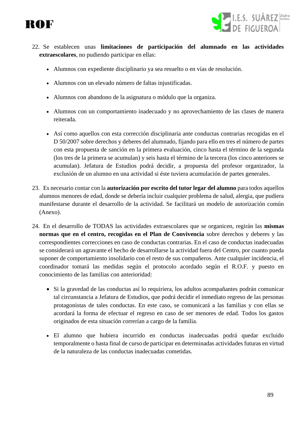



- 22. Se establecen unas **limitaciones de participación del alumnado en las actividades extraescolares**, no pudiendo participar en ellas:
	- Alumnos con expediente disciplinario ya sea resuelto o en vías de resolución.
	- Alumnos con un elevado número de faltas injustificadas.
	- Alumnos con abandono de la asignatura o módulo que la organiza.
	- Alumnos con un comportamiento inadecuado y no aprovechamiento de las clases de manera reiterada.
	- Así como aquellos con esta corrección disciplinaria ante conductas contrarias recogidas en el D 50/2007 sobre derechos y deberes del alumnado, fijando para ello en tres el número de partes con esta propuesta de sanción en la primera evaluación, cinco hasta el término de la segunda (los tres de la primera se acumulan) y seis hasta el término de la tercera (los cinco anteriores se acumulan). Jefatura de Estudios podrá decidir, a propuesta del profesor organizador, la exclusión de un alumno en una actividad si éste tuviera acumulación de partes generales.
- 23. Es necesario contar con la **autorización por escrito del tutor legar del alumno** para todos aquellos alumnos menores de edad, donde se debería incluir cualquier problema de salud, alergia, que pudiera manifestarse durante el desarrollo de la actividad. Se facilitará un modelo de autorización común (Anexo).
- 24. En el desarrollo de TODAS las actividades extraescolares que se organicen, regirán las **mismas normas que en el centro, recogidas en el Plan de Convivencia** sobre derechos y deberes y las correspondientes correcciones en caso de conductas contrarias. En el caso de conductas inadecuadas se considerará un agravante el hecho de desarrollarse la actividad fuera del Centro, por cuanto pueda suponer de comportamiento insolidario con el resto de sus compañeros. Ante cualquier incidencia, el coordinador tomará las medidas según el protocolo acordado según el R.O.F. y puesto en conocimiento de las familias con anterioridad:
	- Si la gravedad de las conductas así lo requiriera, los adultos acompañantes podrán comunicar tal circunstancia a Jefatura de Estudios, que podrá decidir el inmediato regreso de las personas protagonistas de tales conductas. En este caso, se comunicará a las familias y con ellas se acordará la forma de efectuar el regreso en caso de ser menores de edad. Todos los gastos originados de esta situación correrían a cargo de la familia.
	- El alumno que hubiera incurrido en conductas inadecuadas podrá quedar excluido temporalmente o hasta final de curso de participar en determinadas actividades futuras en virtud de la naturaleza de las conductas inadecuadas cometidas.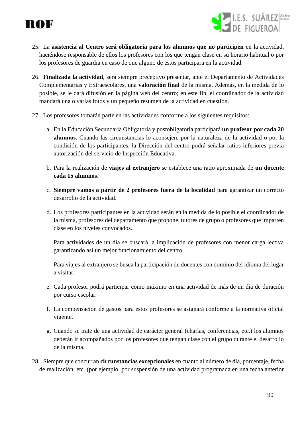

- 25. La **asistencia al Centro será obligatoria para los alumnos que no participen** en la actividad, haciéndose responsable de ellos los profesores con los que tengan clase en su horario habitual o por los profesores de guardia en caso de que alguno de estos participara en la actividad.
- 26. **Finalizada la actividad**, será siempre preceptivo presentar, ante el Departamento de Actividades Complementarias y Extraescolares, una **valoración final** de la misma. Además, en la medida de lo posible, se le dará difusión en la página web del centro; en este fin, el coordinador de la actividad mandará una o varias fotos y un pequeño resumen de la actividad en cuestión.
- 27. Los profesores tomarán parte en las actividades conforme a los siguientes requisitos:
	- a. En la Educación Secundaria Obligatoria y postobligatoria participará **un profesor por cada 20 alumnos**. Cuando las circunstancias lo aconsejen, por la naturaleza de la actividad o por la condición de los participantes, la Dirección del centro podrá señalar ratios inferiores previa autorización del servicio de Inspección Educativa.
	- b. Para la realización de **viajes al extranjero** se establece una ratio aproximada de **un docente cada 15 alumnos**.
	- c. **Siempre vamos a partir de 2 profesores fuera de la localidad** para garantizar un correcto desarrollo de la actividad.
	- d. Los profesores participantes en la actividad serán en la medida de lo posible el coordinador de la misma, profesores del departamento que propone, tutores de grupo o profesores que imparten clase en los niveles convocados.

Para actividades de un día se buscará la implicación de profesores con menor carga lectiva garantizando así un mejor funcionamiento del centro.

Para viajes al extranjero se busca la participación de docentes con dominio del idioma del lugar a visitar.

- e. Cada profesor podrá participar como máximo en una actividad de más de un día de duración por curso escolar.
- f. La compensación de gastos para estos profesores se asignará conforme a la normativa oficial vigente.
- g. Cuando se trate de una actividad de carácter general (charlas, conferencias, etc.) los alumnos deberán ir acompañados por los profesores que tengan clase con el grupo durante el desarrollo de la misma.
- 28. Siempre que concurran **circunstancias excepcionales** en cuanto al número de día, porcentaje, fecha de realización, etc. (por ejemplo, por suspensión de una actividad programada en una fecha anterior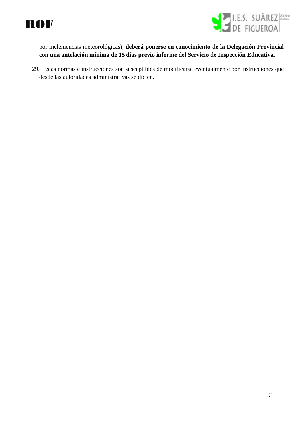



por inclemencias meteorológicas), **deberá ponerse en conocimiento de la Delegación Provincial con una antelación mínima de 15 días previo informe del Servicio de Inspección Educativa.**

29. Estas normas e instrucciones son susceptibles de modificarse eventualmente por instrucciones que desde las autoridades administrativas se dicten.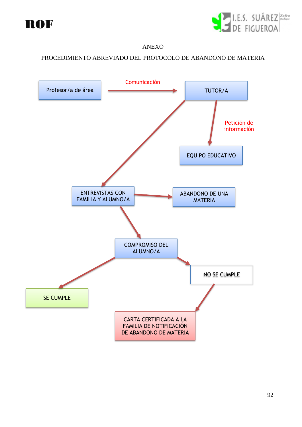



#### ANEXO

#### PROCEDIMIENTO ABREVIADO DEL PROTOCOLO DE ABANDONO DE MATERIA

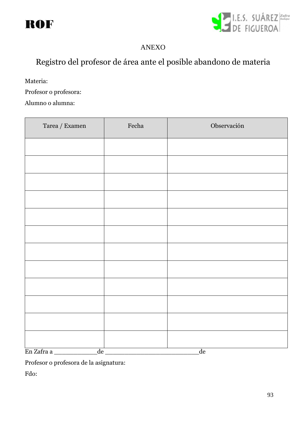



### ANEXO

# Registro del profesor de área ante el posible abandono de materia

Materia:

Profesor o profesora:

Alumno o alumna:

| $\operatorname{Tarea}/\operatorname{Examen}$ | Fecha | Observación |
|----------------------------------------------|-------|-------------|
|                                              |       |             |
|                                              |       |             |
|                                              |       |             |
|                                              |       |             |
|                                              |       |             |
|                                              |       |             |
|                                              |       |             |
|                                              |       |             |
|                                              |       |             |
|                                              |       |             |
|                                              |       |             |
|                                              |       |             |
| En Zafra a<br>$\overline{\text{de}}$         |       | de          |

Profesor o profesora de la asignatura:

Fdo: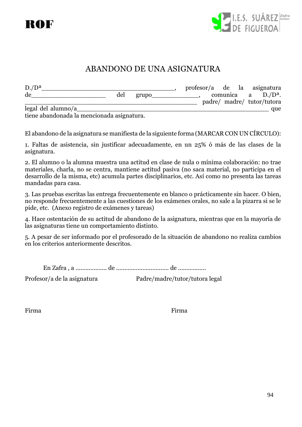



# ABANDONO DE UNA ASIGNATURA

| $D./D^a$           |  |     |       |  |  | profesor/a de la asignatura |
|--------------------|--|-----|-------|--|--|-----------------------------|
| de                 |  | del | grupo |  |  | comunica a $D.P^a$ .        |
|                    |  |     |       |  |  | padre/ madre/ tutor/tutora  |
| legal del alumno/a |  |     |       |  |  | que                         |
| $\cdots$ 1 1 1     |  |     |       |  |  |                             |

tiene abandonada la mencionada asignatura.

El abandono de la asignatura se manifiesta de la siguiente forma (MARCAR CON UN CÍRCULO):

1. Faltas de asistencia, sin justificar adecuadamente, en un 25% ó más de las clases de la asignatura.

2. El alumno o la alumna muestra una actitud en clase de nula o mínima colaboración: no trae materiales, charla, no se centra, mantiene actitud pasiva (no saca material, no participa en el desarrollo de la misma, etc) acumula partes disciplinarios, etc. Así como no presenta las tareas mandadas para casa.

3. Las pruebas escritas las entrega frecuentemente en blanco o prácticamente sin hacer. O bien, no responde frecuentemente a las cuestiones de los exámenes orales, no sale a la pizarra si se le pide, etc. (Anexo registro de exámenes y tareas)

4. Hace ostentación de su actitud de abandono de la asignatura, mientras que en la mayoría de las asignaturas tiene un comportamiento distinto.

5. A pesar de ser informado por el profesorado de la situación de abandono no realiza cambios en los criterios anteriormente descritos.

En Zafra , a ................... de ................................ de .................

Profesor/a de la asignatura Padre/madre/tutor/tutora legal

Firma Firma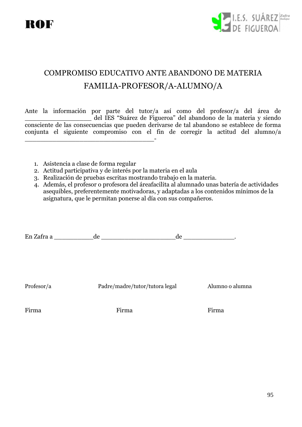



# COMPROMISO EDUCATIVO ANTE ABANDONO DE MATERIA FAMILIA-PROFESOR/A-ALUMNO/A

Ante la información por parte del tutor/a así como del profesor/a del área de \_\_\_\_\_\_\_\_\_\_\_\_\_\_\_\_\_ del IES "Suárez de Figueroa" del abandono de la materia y siendo consciente de las consecuencias que pueden derivarse de tal abandono se establece de forma conjunta el siguiente compromiso con el fin de corregir la actitud del alumno/a \_\_\_\_\_\_\_\_\_\_\_\_\_\_\_\_\_\_\_\_\_\_\_\_\_\_\_\_\_\_\_\_\_-

- 1. Asistencia a clase de forma regular
- 2. Actitud participativa y de interés por la materia en el aula
- 3. Realización de pruebas escritas mostrando trabajo en la materia.
- 4. Además, el profesor o profesora del áreafacilita al alumnado unas batería de actividades asequibles, preferentemente motivadoras, y adaptadas a los contenidos mínimos de la asignatura, que le permitan ponerse al día con sus compañeros.

En Zafra a  $\qquad \qquad \mathrm{de} \qquad \qquad \mathrm{de}$ 

Profesor/a Padre/madre/tutor/tutora legal Alumno o alumna

Firma Firma Firma